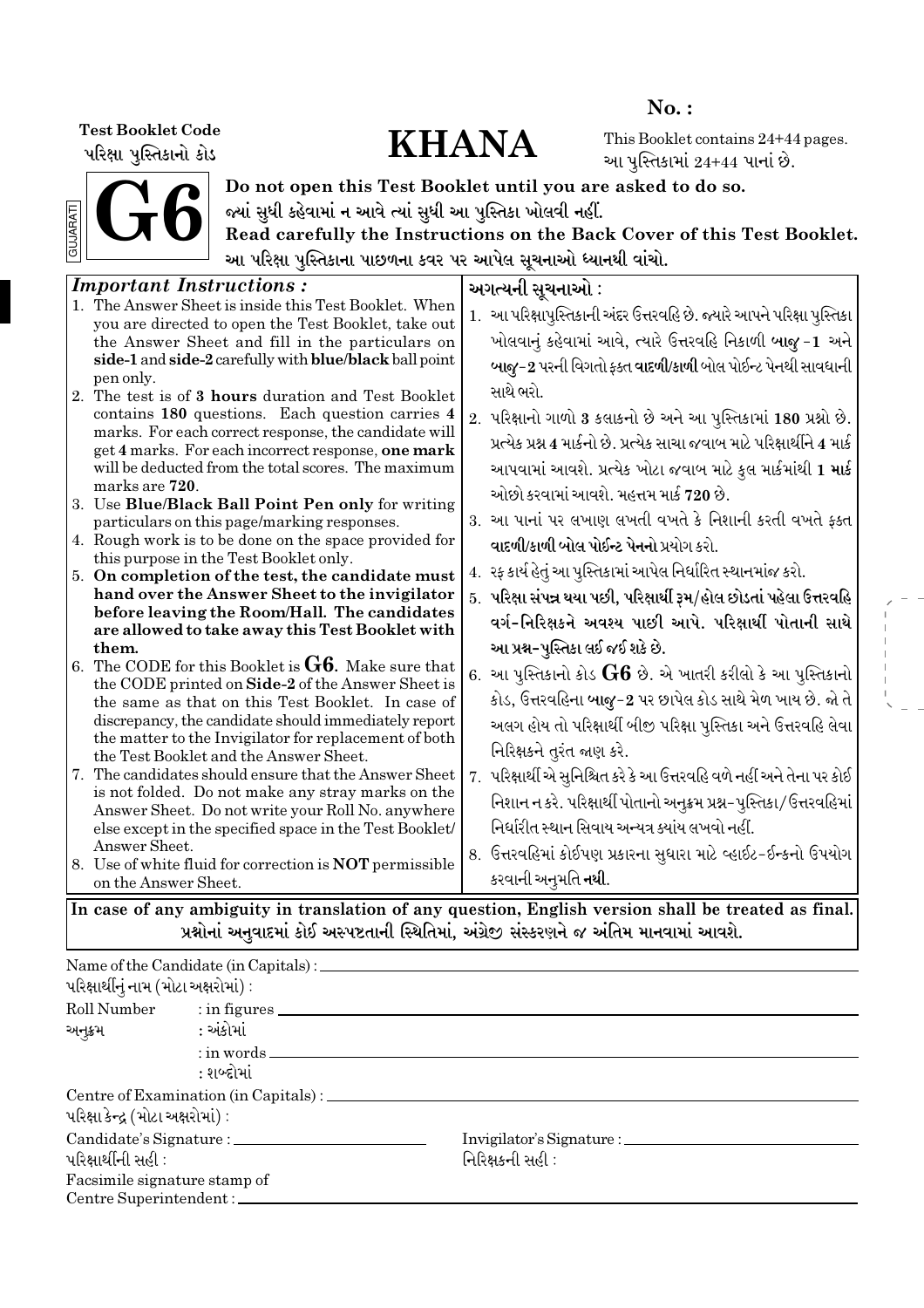પરિક્ષા પુસ્તિકાનો કોડ

# Test Booklet Code<br>
What Washington Code<br>
WHANA

No. :

This Booklet contains 24+44 pages. આ પુસ્તિકામાં  $24+44$  પાનાં છે.



Do not open this Test Booklet until you are asked to do so. જ્યાં સુધી કહેવામાં ન આવે ત્યાં સુધી આ પુસ્તિકા ખોલવી નહીં.

Read carefully the Instructions on the Back Cover of this Test Booklet. આ પરિક્ષા પુસ્તિકાના પાછળના કવર પર આપેલ સૂચનાઓ ધ્યાનથી વાંચો.

| <b>Important Instructions:</b>                                                                               | અગત્યની સૂચનાઓ :                                                            |
|--------------------------------------------------------------------------------------------------------------|-----------------------------------------------------------------------------|
| 1. The Answer Sheet is inside this Test Booklet. When<br>you are directed to open the Test Booklet, take out | 1.  આ પરિક્ષાપુસ્તિકાની અંદર ઉત્તરવહિ છે. જ્યારે આપને પરિક્ષા પુસ્તિકા      |
| the Answer Sheet and fill in the particulars on                                                              | ખોલવાનું કહેવામાં આવે, ત્યારે ઉત્તરવહિ નિકાળી બાજુ-1 અને                    |
| side-1 and side-2 carefully with blue/black ball point                                                       | બાજુ-2 પરની વિગતો ફક્ત વાદળી/કાળી બોલ પોઈન્ટ પેનથી સાવધાની                  |
| pen only.<br>2. The test is of 3 hours duration and Test Booklet                                             | સાથે ભરો.                                                                   |
| contains 180 questions. Each question carries 4                                                              | 2. પરિક્ષાનો ગાળો 3 કલાકનો છે અને આ પુસ્તિકામાં 180 પ્રશ્નો છે.             |
| marks. For each correct response, the candidate will                                                         |                                                                             |
| get 4 marks. For each incorrect response, one mark                                                           | પ્રત્યેક પ્રશ્ન 4 માર્કનો છે. પ્રત્યેક સાચા જવાબ માટે પરિક્ષાર્થીને 4 માર્ક |
| will be deducted from the total scores. The maximum                                                          | આપવામાં આવશે. પ્રત્યેક ખોટા જવાબ માટે કુલ માર્કમાંથી 1 માર્ક                |
| marks are 720.                                                                                               | ઓછો કરવામાં આવશે. મહત્તમ માર્ક 720 છે.                                      |
| 3. Use Blue/Black Ball Point Pen only for writing                                                            |                                                                             |
| particulars on this page/marking responses.                                                                  | 3. આ પાનાં પર લખાણ લખતી વખતે કે નિશાની કરતી વખતે ફક્ત                       |
| 4. Rough work is to be done on the space provided for<br>this purpose in the Test Booklet only.              | વાદળી/કાળી બોલ પોઈન્ટ પેનનો પ્રયોગ કરો.                                     |
| 5. On completion of the test, the candidate must                                                             | 4. રફ કાર્ય હેતું આ પુસ્તિકામાં આપેલ નિર્ધારિત સ્થાનમાંજ કરો.               |
| hand over the Answer Sheet to the invigilator                                                                | 5. પરિક્ષા સંપન્ન થયા પછી, પરિક્ષાર્થી રૂમ/હોલ છોડતાં પહેલા ઉત્તરવહિ        |
| before leaving the Room/Hall. The candidates                                                                 |                                                                             |
| are allowed to take away this Test Booklet with                                                              | વર્ગ-નિરિક્ષકને અવશ્ય પાછી આપે. પરિક્ષાર્થી પોતાની સાથે                     |
| them.                                                                                                        | આ પ્રશ્ન-પુસ્તિકા લઈ જઈ શકે છે.                                             |
| 6. The CODE for this Booklet is $G6$ . Make sure that                                                        | 6.  આ પુસ્તિકાનો કોડ ${\rm G6}$ છે. એ ખાતરી કરીલો કે આ પુસ્તિકાનો           |
| the CODE printed on Side-2 of the Answer Sheet is<br>the same as that on this Test Booklet. In case of       | કોડ, ઉત્તરવહિના બાજુ-2 પર છાપેલ કોડ સાથે મેળ ખાય છે. જો તે                  |
| discrepancy, the candidate should immediately report                                                         |                                                                             |
| the matter to the Invigilator for replacement of both                                                        | અલગ હોય તો પરિક્ષાર્થી બીજી પરિક્ષા પુસ્તિકા અને ઉત્તરવહિ લેવા              |
| the Test Booklet and the Answer Sheet.                                                                       | નિરિક્ષકને તુરંત જાણ કરે.                                                   |
| 7. The candidates should ensure that the Answer Sheet                                                        | 7. પરિક્ષાર્થી એ સુનિશ્ચિત કરે કે આ ઉત્તરવહિ વળે નહીં અને તેના પર કોઈ       |
| is not folded. Do not make any stray marks on the                                                            | નિશાન ન કરે. પરિક્ષાર્થી પોતાનો અનુક્રમ પ્રશ્ન-પુસ્તિકા/ઉત્તરવહિમાં         |
| Answer Sheet. Do not write your Roll No. anywhere                                                            | નિર્ધારીત સ્થાન સિવાય અન્યત્ર ક્યાંય લખવો નહીં.                             |
| else except in the specified space in the Test Booklet/<br>Answer Sheet.                                     |                                                                             |
| 8. Use of white fluid for correction is <b>NOT</b> permissible                                               | 8. ઉત્તરવહિમાં કોઈપણ પ્રકારના સુધારા માટે વ્હાઈટ-ઈન્કનો ઉપયોગ               |
| on the Answer Sheet.                                                                                         | કરવાની અનુમતિ <b>નથી</b> .                                                  |
| In case of any ambiguity in translation of any question, English version shall be treated as final.          |                                                                             |
| પ્રશ્નોનાં અનુવાદમાં કોઈ અસ્પષ્ટતાની સ્થિતિમાં, અંગ્રેજી સંસ્કરણને જ અંતિમ માનવામાં આવશે.                    |                                                                             |

Name of the Candidate (in Capitals) :  $\alpha$ રિક્ષાર્થીનું નામ (મોટા અક્ષરોમાં) : Roll Number : in figures અનુક્રમ : અંકોમાં : in words : શબ્દોમાં Centre of Examination (in Capitals) :  $u$ રિક્ષા $s$ ન્દ્ર (મોટા અક્ષરોમાં) : Candidate's Signature : Invigilator's Signature :  $\alpha$ ો મારી : મારી : જ્યારે : ratio is respectively in the contract of the contract of  $\alpha$ Facsimile signature stamp of Centre Superintendent :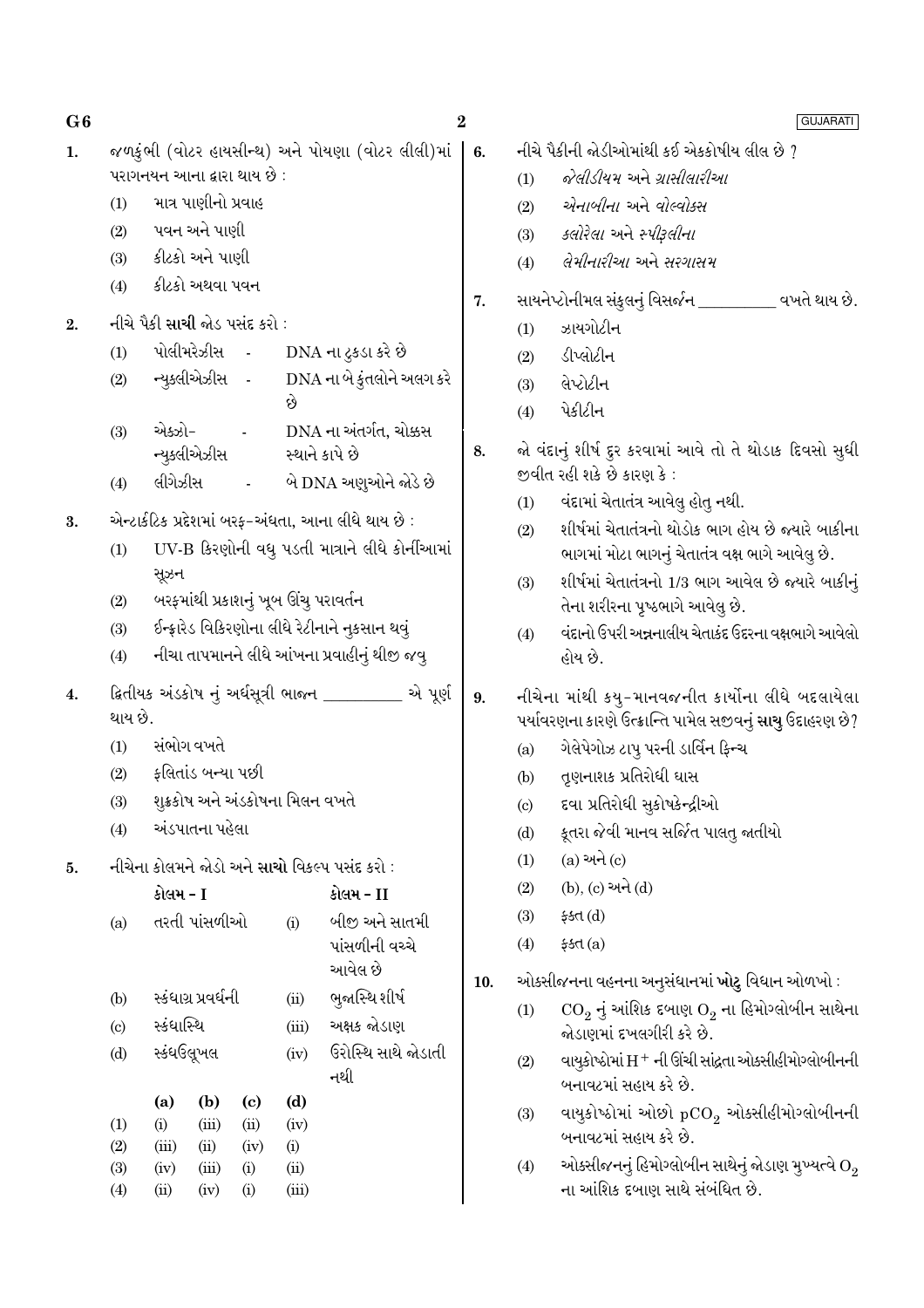જળકુંભી (વોટર હાયસીન્થ) અને પોયણા (વોટર લીલી)માં | પરાગનયન આના દ્વારા થાય છે : માત્ર પાણીનો પ્રવાહ  $(1)$ પવન અને પાણી  $(2)$ કીટકો અને પાણી  $(3)$ કીટકો અથવા પવન  $(4)$ 

- નીચે પૈકી સાચી જોડ પસંદ કરો :  $\overline{2}$ .
	- પોલીમરેઝીસ -DNA ના ટકડા કરે છે  $(1)$
	- DNA ના બે કુંતલોને અલગ કરે ન્યુક્લીએઝીસ - $(2)$
	- એક્ઝો-DNA ના અંતર્ગત, ચોક્કસ  $(3)$ ન્યુક્લીએઝીસ સ્થાને કાપે છે
	- લીગેઝીસ બે DNA અણુઓને જોડે છે  $(4)$
- એન્ટાર્કટિક પ્રદેશમાં બરફ-અંધતા, આના લીધે થાય છે :  $3.$ 
	- UV-B કિરણોની વધુ પડતી માત્રાને લીધે કોર્નીઆમાં  $(1)$ સૂઝન
	- બરફમાંથી પ્રકાશનું ખૂબ ઊંચુ પરાવર્તન  $(2)$
	- ઈન્ફ્રારેડ વિકિરણોના લીધે રેટીનાને નુકસાન થવું  $(3)$
	- નીચા તાપમાનને લીધે આંખના પ્રવાહીનું થીજી જવુ  $(4)$
- ક્રિતીયક અંડકોષ નું અર્ધસૂત્રી ભાજન \_\_\_\_\_\_\_\_ એ પૂર્ણ  $\overline{4}$ . થાય છે.
	- $(1)$ સંભોગ વખતે
	- ફલિતાંડ બન્યા પછી  $(2)$
	- શુક્રકોષ અને અંડકોષના મિલન વખતે  $(3)$
	- અંડપાતના પહેલા  $(4)$
- નીચેના કોલમને જોડો અને સાચો વિકલ્પ પસંદ કરો : 5.

|                            | કોલમ - I   |                     |                            |       | કોલમ - II           |  |  |  |  |
|----------------------------|------------|---------------------|----------------------------|-------|---------------------|--|--|--|--|
| (a)                        |            | તરતી પાંસળીઓ        |                            | (i)   | બીજી અને સાતમી      |  |  |  |  |
|                            |            |                     |                            |       | પાંસળીની વચ્ચે      |  |  |  |  |
|                            |            |                     |                            |       | આવેલ છે             |  |  |  |  |
| (b)                        |            | સ્કંધાગ્ર પ્રવર્ધની |                            | (ii)  | ભુજાસ્થિ શીર્ષ      |  |  |  |  |
| $\left( \mathrm{c}\right)$ | સ્કંધાસ્થિ |                     |                            | (iii) | અક્ષક જોડાણ         |  |  |  |  |
| (d)                        | સ્કંધઉલૂખલ |                     |                            | (iv)  | ઉરોસ્થિ સાથે જોડાતી |  |  |  |  |
|                            |            |                     |                            |       | નથી                 |  |  |  |  |
|                            | (a)        | (b)                 | $\left( \mathrm{e}\right)$ | (d)   |                     |  |  |  |  |
| (1)                        | (i)        | (iii)               | (ii)                       | (iv)  |                     |  |  |  |  |
| (2)                        | (iii)      | (ii)                | (iv)                       | (i)   |                     |  |  |  |  |
| (3)                        | (iv)       | (iii)               | (i)                        | (ii)  |                     |  |  |  |  |
| (4)                        | (ii)       | (iv)                | (i)                        | (iii) |                     |  |  |  |  |

નીચે પૈકીની જોડીઓમાંથી કઈ એકકોષીય લીલ છે ?

- જેલીડીયમ અને ગ્રાસીલારીઆ  $(1)$
- येनाजीना અને वोल्वोडस  $(2)$
- કલોરેલા અને સ્પીરલીના  $(3)$
- લેમીનારીઆ અને સરગાસમ  $(4)$
- સાયનેપ્ટોનીમલ સંકલનં વિસર્જન વખતે થાય છે.  $\overline{7}$ .
	- ઝાયગોટીન  $(1)$

 $\boldsymbol{2}$ 

 $6.$ 

- ડીપ્લોટીન  $(2)$
- લેપ્ટોટીન  $(3)$
- પેકીટીન  $(4)$
- જો વંદાનું શીર્ષ દુર કરવામાં આવે તો તે થોડાક દિવસો સુધી 8. જીવીત રહી શકે છે કારણ કે:
	- $(1)$ વંદામાં ચેતાતંત્ર આવેલ હોત નથી.
	- શીર્ષમાં ચેતાતંત્રનો થોડોક ભાગ હોય છે જ્યારે બાકીના  $(2)$ ભાગમાં મોટા ભાગનું ચેતાતંત્ર વક્ષ ભાગે આવેલુ છે.
	- શીર્ષમાં ચેતાતંત્રનો 1/3 ભાગ આવેલ છે જ્યારે બાકીનું  $(3)$ તેના શરીરના પુષ્ઠભાગે આવેલુ છે.
	- વંદાનો ઉપરી અન્નનાલીય ચેતાકંદ ઉદરના વક્ષભાગે આવેલો  $(4)$ હોય છે.
- નીચેના માંથી કયુ-માનવજનીત કાર્યોના લીધે બદલાયેલા 9. પર્યાવરણના કારણે ઉત્ક્રાન્તિ પામેલ સજીવનું સાચુ ઉદાહરણ છે?
	- ગેલેપેગોઝ ટાપૂ પરની ડાર્વિન ફિન્ચ  $(a)$
	- તુણનાશક પ્રતિરોધી ઘાસ  $(b)$
	- દવા પ્રતિરોધી સુકોષકેન્દ્રીઓ  $(c)$
	- કૂતરા જેવી માનવ સર્જિત પાલતુ જાતીયો  $(d)$
	- $(a)$  અને  $(c)$  $(1)$
	- (b), (c) અને (d)  $(2)$
	- $(3)$  $45d(d)$
	- $(4)$  $$5d(a)$

ઓક્સીજનના વહનના અનૂસંધાનમાં ખોટુ વિધાન ઓળખો :  $10.$ 

- $\text{CO}_2$  નું આંશિક દબાણ  $\text{O}_2$  ના હિમોગ્લોબીન સાથેના  $(1)$ જોડાણમાં દખલગીરી કરે છે.
- $(2)$ વાયુકોષ્ઠોમાં H + ની ઊંચી સાંદ્રતા ઓક્સીહીમોગ્લોબીનની બનાવટમાં સહાય કરે છે.
- વાયુકોષ્ઠોમાં ઓછો  $pCO_2$  ઓક્સીહીમોગ્લોબીનની  $(3)$ બનાવટમાં સહાય કરે છે.
- ઓક્સીજનનું હિમોગ્લોબીન સાથેનું જોડાણ મુખ્યત્વે  $\mathrm{O}_2$  $(4)$ ના આંશિક દબાણ સાથે સંબંધિત છે.

 $G6$  $\mathbf{1}$ .

### GUJARATI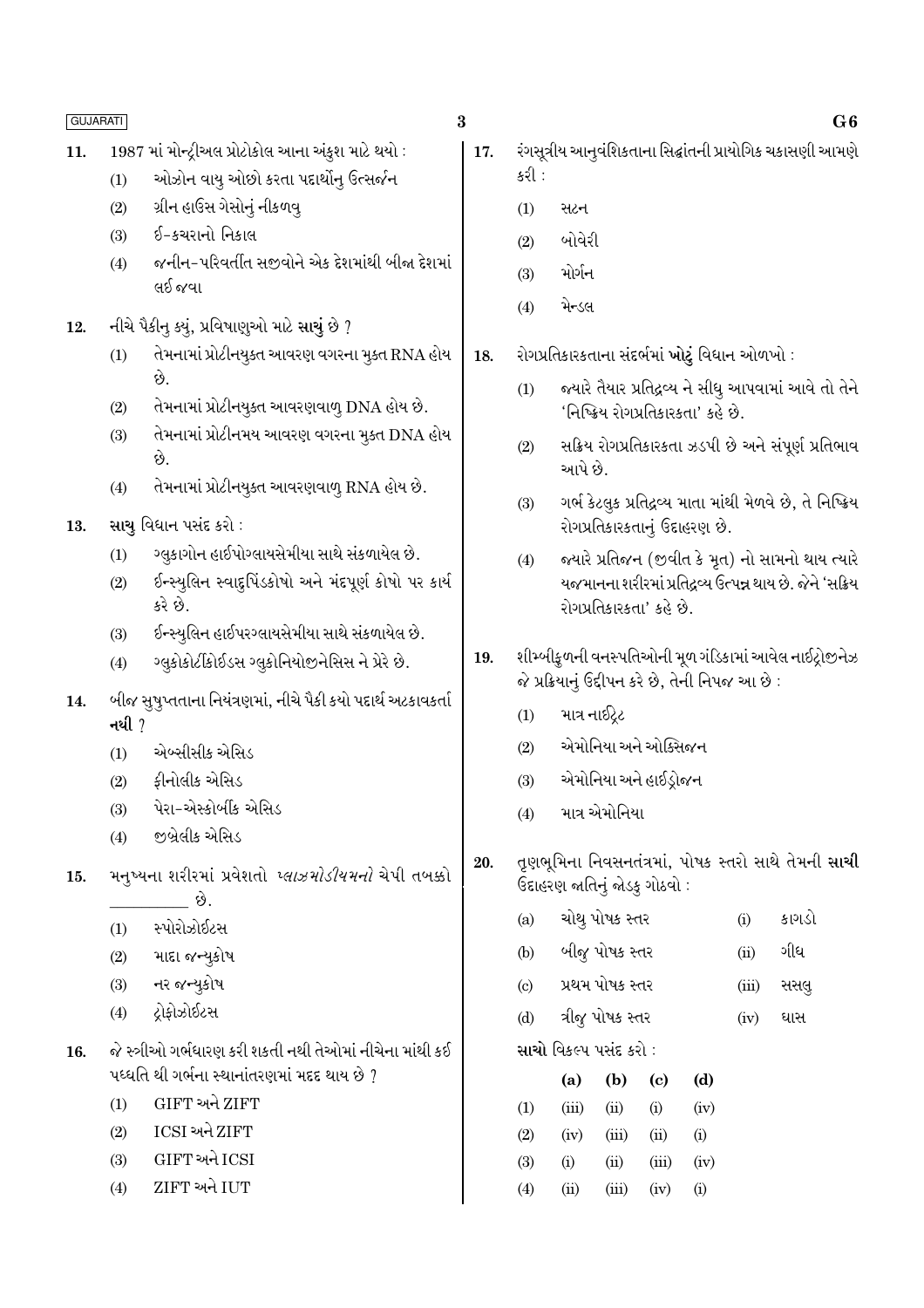| L. | L.<br>▵<br>a<br>× |
|----|-------------------|
|    |                   |
|    |                   |

- 1987 માં મોન્ટ્રીઅલ પ્રોટોકોલ આના અંકુશ માટે થયો : 11.
	- ઓઝોન વાયુ ઓછો કરતા પદાર્થોનુ ઉત્સર્જન  $(1)$
	- ગ્રીન હાઉસ ગેસોનું નીકળવ્  $(2)$
	- ઈ-કચરાનો નિકાલ  $(3)$
	- જનીન-પરિવર્તીત સજવોને એક દેશમાંથી બીજા દેશમાં  $(4)$ લઈ જવા
- નીચે પૈકીનુ કયું, પ્રવિષાણુઓ માટે સાચું છે ? 12.
	- તેમનામાં પ્રોટીનયૂક્ત આવરણ વગરના મૂક્ત RNA હોય  $(1)$ છે.
	- તેમનામાં પ્રોટીનયૂક્ત આવરણવાળ્ DNA હોય છે.  $(2)$
	- તેમનામાં પ્રોટીનમય આવરણ વગરના મૂક્ત DNA હોય  $(3)$ છે.
	- તેમનામાં પ્રોટીનયુક્ત આવરણવાળુ RNA હોય છે.  $(4)$
- સાચુ વિધાન પસંદ કરો : 13.
	- ગ્લુકાગોન હાઈપોગ્લાયસેમીયા સાથે સંકળાયેલ છે.  $(1)$
	- ઈન્સ્યુલિન સ્વાદુપિંડકોષો અને મંદપૂર્ણ કોષો પર કાર્ય  $(2)$ કરે છે.
	- ઈન્સ્યૃલિન હાઈપરગ્લાયસેમીયા સાથે સંકળાયેલ છે.  $(3)$
	- ગ્લુકોકોર્ટીકોઈડસ ગ્લુકોનિયોજીનેસિસ ને પ્રેરે છે.  $(4)$
- બીજ સુષુપ્તતાના નિયંત્રણમાં, નીચે પૈકી કયો પદાર્થ અટકાવકર્તા 14. નથી  $\gamma$ 
	- એબ્સીસીક એસિડ  $(1)$
	- કીનોલીક એસિડ  $(2)$
	- પેરા-એસ્કોર્બીક એસિડ  $(3)$
	- જીબ્રેલીક એસિડ  $(4)$
- મનુષ્યના શરીરમાં પ્રવેશતો *પ્લાઝમોડીયમનો* ચેપી તબક્કો 15. ં છે.
	- સ્પોરોઝોઈટસ  $(1)$
	- માદા જન્યુકોષ  $(2)$
	- નર જન્યુકોષ  $(3)$
	- ટોકોઝોઈટસ  $(4)$
- જે સ્ત્રીઓ ગર્ભધારણ કરી શકતી નથી તેઓમાં નીચેના માંથી કઈ 16. પધ્ધતિ થી ગર્ભના સ્થાનાંતરણમાં મદદ થાય છે ?
	- **GIFT અને ZIFT**  $(1)$
	- ICSI અને ZIFT  $(2)$
	- GIFT અને ICSI  $(3)$
	- ZIFT અને IUT  $(4)$
- $\bf{3}$ 
	- રંગસૂત્રીય આનૂવંશિકતાના સિદ્ધાંતની પ્રાયોગિક ચકાસણી આમણે 17. કરી :
		- $(1)$ સટન
		- બોવેરી  $(2)$
		- મોર્ગન  $(3)$
		- મેન્ડલ  $(4)$
	- 18. રોગપ્રતિકારકતાના સંદર્ભમાં ખોટું વિધાન ઓળખો :
		- જ્યારે તૈયાર પ્રતિદ્રવ્ય ને સીધુ આપવામાં આવે તો તેને  $(1)$ 'નિષ્ક્રિય રોગપ્રતિકારકતા' કહે છે.
		- સક્રિય રોગપ્રતિકારકતા ઝડપી છે અને સંપૂર્ણ પ્રતિભાવ  $(2)$ આપે છે.
		- ગર્ભ કેટલૂક પ્રતિદ્રુવ્ય માતા માંથી મેળવે છે, તે નિષ્ક્રિય  $(3)$ રોગપ્રતિકારકતાનું ઉદાહરણ છે.
		- જ્યારે પ્રતિજન (જીવીત કે મૃત) નો સામનો થાય ત્યારે  $(4)$ યજમાનના શરીરમાં પ્રતિદ્રવ્ય ઉત્પન્ન થાય છે. જેને 'સક્રિય રોગપ્રતિકારકતા' કહે છે.
	- શીમ્બીકુળની વનસ્પતિઓની મૂળ ગંડિકામાં આવેલ નાઈટ્રોજીનેઝ 19. જે પ્રક્રિયાનું ઉદ્દીપન કરે છે, તેની નિપજ આ છે :
		- માત્ર નાઈટેટ  $(1)$
		- એમોનિયા અને ઓક્સિજન  $(2)$
		- એમોનિયા અને હાઈડોજન  $(3)$
		- માત્ર એમોનિયા  $(4)$
	- તૃણભૂમિના નિવસનતંત્રમાં, પોષક સ્તરો સાથે તેમની સાચી 20. ઉદાહરણ જાતિનું જોડકુ ગોઠવો :
		- ચોથુ પોષક સ્તર કાગડો  $(a)$  $(i)$
		- બીજુ પોષક સ્તર ગીધ  $(b)$  $(ii)$
		- પ્રથમ પોષક સ્તર  $(c)$  $(iii)$ સસલ
		- ત્રીજુ પોષક સ્તર  $(d)$  $(iv)$ ઘાસ

સાચો વિકલ્પ પસંદ કરો :

|     | (a)      | (b)   | (c)   | (d)      |
|-----|----------|-------|-------|----------|
| (1) | (iii)    | (ii)  | (i)   | (iv)     |
| (2) | (iv)     | (iii) | (ii)  | (i)      |
| (3) | $\rm(i)$ | (ii)  | (iii) | (iv)     |
| (4) | (ii)     | (iii) | (iv)  | $\rm(i)$ |

 $G6$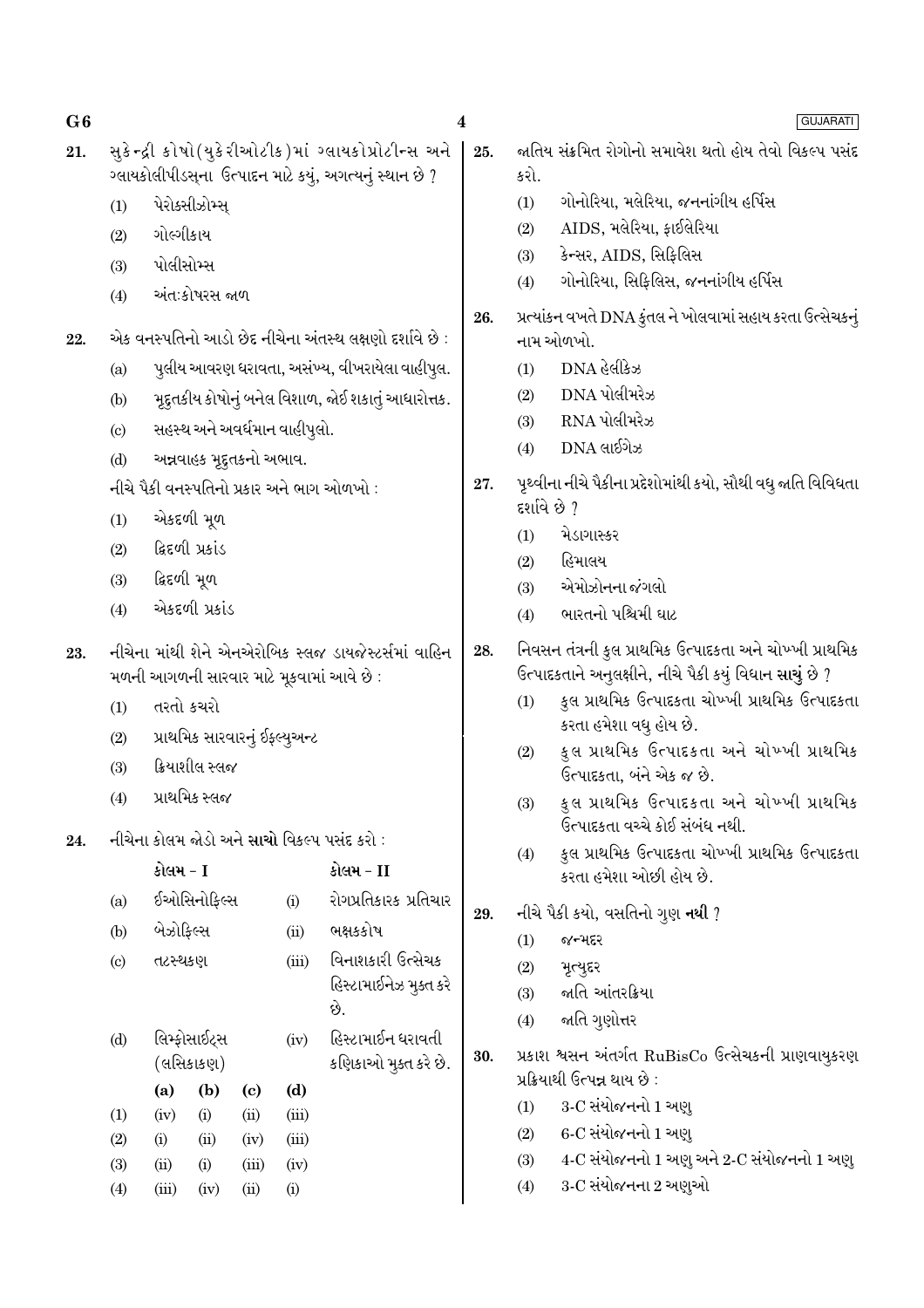| G6  |                                                                |                                                                                                                                                                  |                |                            |                              |                                                                                                                | $\boldsymbol{4}$ |              | <b>GUJARATI</b>                                                                                                                                                                                                                                 |
|-----|----------------------------------------------------------------|------------------------------------------------------------------------------------------------------------------------------------------------------------------|----------------|----------------------------|------------------------------|----------------------------------------------------------------------------------------------------------------|------------------|--------------|-------------------------------------------------------------------------------------------------------------------------------------------------------------------------------------------------------------------------------------------------|
| 21. |                                                                |                                                                                                                                                                  |                |                            |                              | સુકેન્દ્રી કોષો(યુકેરીઓટીક)માં ગ્લાયકોપ્રોટીન્સ અને<br>ગ્લાયકોલીપીડસ્ના ઉત્પાદન માટે કયું, અગત્યનું સ્થાન છે ? | 25.              | કરો.         | જાતિય સંક્રમિત રોગોનો સમાવેશ થતો હોય તેવો વિકલ્પ પસંદ                                                                                                                                                                                           |
|     | (1)                                                            |                                                                                                                                                                  | પેરોક્સીઝોમ્સ્ |                            |                              |                                                                                                                |                  | (1)          | ગોનોરિયા, મલેરિયા, જનનાંગીય હર્પિસ                                                                                                                                                                                                              |
|     | (2)                                                            | ગોલ્ગીકાય                                                                                                                                                        |                |                            |                              |                                                                                                                |                  | (2)          | AIDS, મલેરિયા, ફાઈલેરિયા                                                                                                                                                                                                                        |
|     | (3)                                                            | પોલીસોમ્સ                                                                                                                                                        |                |                            |                              |                                                                                                                |                  | (3)          | કેન્સર, AIDS, સિફિલિસ                                                                                                                                                                                                                           |
|     | (4)                                                            |                                                                                                                                                                  | અંતઃકોષરસ જાળ  |                            |                              |                                                                                                                |                  | (4)          | ગોનોરિયા, સિફિલિસ, જનનાંગીય હર્પિસ                                                                                                                                                                                                              |
| 22. |                                                                |                                                                                                                                                                  |                |                            |                              | એક વનસ્પતિનો આડો છેદ નીચેના અંતસ્થ લક્ષણો દર્શાવે છે:                                                          | 26.              |              | પ્રત્યાંકન વખતે DNA કુંતલ ને ખોલવામાં સહાય કરતા ઉત્સેચકનું<br>નામ ઓળખો.                                                                                                                                                                         |
|     | (a)                                                            |                                                                                                                                                                  |                |                            |                              | પુલીય આવરણ ધરાવતા, અસંખ્ય, વીખરાયેલા વાહીપુલ.                                                                  |                  | (1)          | $DNA$ હેલીકેઝ                                                                                                                                                                                                                                   |
|     | મૂદ્દતકીય કોષોનું બનેલ વિશાળ, જોઈ શકાતું આધારોત્તક.<br>(b)     |                                                                                                                                                                  |                |                            |                              |                                                                                                                |                  | (2)          | DNA પોલીમરેઝ                                                                                                                                                                                                                                    |
|     | $\left( \mathrm{c}\right)$                                     |                                                                                                                                                                  |                |                            | સહસ્થ અને અવર્ધમાન વાહીપુલો. |                                                                                                                |                  | (3)          | RNA પોલીમરેઝ                                                                                                                                                                                                                                    |
|     | (d)                                                            |                                                                                                                                                                  |                |                            |                              |                                                                                                                |                  | (4)          | $DNA$ લાઈગેઝ                                                                                                                                                                                                                                    |
|     |                                                                | અન્નવાહક મૃદુતકનો અભાવ.<br>નીચે પૈકી વનસ્પતિનો પ્રકાર અને ભાગ ઓળખો :                                                                                             |                |                            |                              |                                                                                                                | 27.              | દર્શાવે છે ? | પૃથ્વીના નીચે પૈકીના પ્રદેશોમાંથી કયો, સૌથી વધુ જાતિ વિવિધતા                                                                                                                                                                                    |
|     | એકદળી મૂળ<br>(1)<br>ફિદળી પ્રકાંડ<br>(2)<br>દ્વિદળી મૂળ<br>(3) |                                                                                                                                                                  |                |                            |                              |                                                                                                                | (1)              | મેડાગાસ્કર   |                                                                                                                                                                                                                                                 |
|     |                                                                |                                                                                                                                                                  |                |                            |                              |                                                                                                                | (2)              | હિમાલય       |                                                                                                                                                                                                                                                 |
|     |                                                                |                                                                                                                                                                  |                |                            |                              |                                                                                                                |                  | (3)          | એમોઝોનના જંગલો                                                                                                                                                                                                                                  |
|     | એકદળી પ્રકાંડ<br>(4)                                           |                                                                                                                                                                  |                |                            |                              |                                                                                                                |                  | (4)          | ભારતનો પશ્ચિમી ઘાટ                                                                                                                                                                                                                              |
| 23. | (1)<br>(2)<br>(3)                                              | નીચેના માંથી શેને એનએરોબિક સ્લજ ડાયજેસ્ટર્સમાં વાહિન<br>મળની આગળની સારવાર માટે મૂકવામાં આવે છે:<br>તરતો કચરો<br>પ્રાથમિક સારવારનું ઈફ્લ્યુઅન્ટ<br>ક્રિયાશીલ સ્લજ |                |                            |                              |                                                                                                                | 28.              | (1)<br>(2)   | નિવસન તંત્રની કુલ પ્રાથમિક ઉત્પાદકતા અને ચોખ્ખી પ્રાથમિક<br>ઉત્પાદકતાને અનુલક્ષીને, નીચે પૈકી કયું વિધાન સાચું છે ?<br>કુલ પ્રાથમિક ઉત્પાદકતા ચોખ્ખી પ્રાથમિક ઉત્પાદકતા<br>કરતા હમેશા વધુ હોય છે.<br>કુલ પ્રાથમિક ઉત્પાદકતા અને ચોખ્ખી પ્રાથમિક |
|     | (4)                                                            |                                                                                                                                                                  | પ્રાથમિક સ્લજ  |                            |                              |                                                                                                                |                  | (3)          | ઉત્પાદકતા, બંને એક જ છે.<br>કુલ પ્રાથમિક ઉત્પાદકતા અને ચોખ્ખી પ્રાથમિક                                                                                                                                                                          |
| 24. |                                                                |                                                                                                                                                                  |                |                            |                              | નીચેના કોલમ જોડો અને સાચો વિકલ્પ પસંદ કરો :                                                                    |                  |              | ઉત્પાદકતા વચ્ચે કોઈ સંબંધ નથી.                                                                                                                                                                                                                  |
|     |                                                                | કોલમ - I                                                                                                                                                         |                |                            |                              | કોલમ - II                                                                                                      |                  | (4)          | કુલ પ્રાથમિક ઉત્પાદકતા ચોખ્ખી પ્રાથમિક ઉત્પાદકતા                                                                                                                                                                                                |
|     | (a)                                                            |                                                                                                                                                                  | ઈઓસિનોફિલ્સ    |                            | (i)                          | રોગપ્રતિકારક પ્રતિચાર                                                                                          |                  |              | કરતા હમેશા ઓછી હોય છે.                                                                                                                                                                                                                          |
|     |                                                                | બેઝોફિલ્સ                                                                                                                                                        |                |                            |                              | ભક્ષકકોષ                                                                                                       | 29.              |              | નીચે પૈકી કયો, વસતિનો ગુણ <b>નથી</b> ?                                                                                                                                                                                                          |
|     | (b)                                                            |                                                                                                                                                                  |                |                            | (ii)                         | વિનાશકારી ઉત્સેચક                                                                                              |                  | (1)          | જન્મદર                                                                                                                                                                                                                                          |
|     | (c)                                                            | તટસ્થકણ                                                                                                                                                          |                |                            | (iii)                        | હિસ્ટામાઈનેઝ મુક્ત કરે                                                                                         |                  | (2)          | મૃત્યુદર                                                                                                                                                                                                                                        |
|     |                                                                |                                                                                                                                                                  |                |                            |                              | છે.                                                                                                            |                  | (3)          | જાતિ આંતરક્રિયા                                                                                                                                                                                                                                 |
|     | (d)                                                            |                                                                                                                                                                  | લિમ્ફોસાઈટ્સ   |                            | (iv)                         | હિસ્ટામાઈન ધરાવતી                                                                                              |                  | (4)          | જાતિ ગુણોત્તર                                                                                                                                                                                                                                   |
|     |                                                                |                                                                                                                                                                  | (લસિકાકણ)      |                            |                              | કણિકાઓ મુક્ત કરે છે.                                                                                           | 30.              |              | પ્રકાશ શ્વસન અંતર્ગત RuBisCo ઉત્સેચકની પ્રાણવાયુકરણ<br>પ્રક્રિયાથી ઉત્પન્ન થાય છે :                                                                                                                                                             |
|     |                                                                | (a)                                                                                                                                                              | (b)            | $\left( \mathrm{c}\right)$ | (d)                          |                                                                                                                |                  | (1)          | 3-C સંયોજનનો 1 અણ્                                                                                                                                                                                                                              |
|     | (1)<br>(2)                                                     | (iv)<br>(i)                                                                                                                                                      | (i)<br>(ii)    | (ii)<br>(iv)               | (iii)<br>(iii)               |                                                                                                                |                  | (2)          | 6-C સંયોજનનો 1 અણુ                                                                                                                                                                                                                              |
|     | (3)                                                            | (ii)                                                                                                                                                             | (i)            | (iii)                      | (iv)                         |                                                                                                                |                  | (3)          | 4-C સંયોજનનો 1 અણુ અને 2-C સંયોજનનો 1 અણુ                                                                                                                                                                                                       |
|     | (4)                                                            | (iii)                                                                                                                                                            | (iv)           | (ii)                       | (i)                          |                                                                                                                |                  | (4)          | 3-C સંયોજનના 2 અણુઓ                                                                                                                                                                                                                             |
|     |                                                                |                                                                                                                                                                  |                |                            |                              |                                                                                                                |                  |              |                                                                                                                                                                                                                                                 |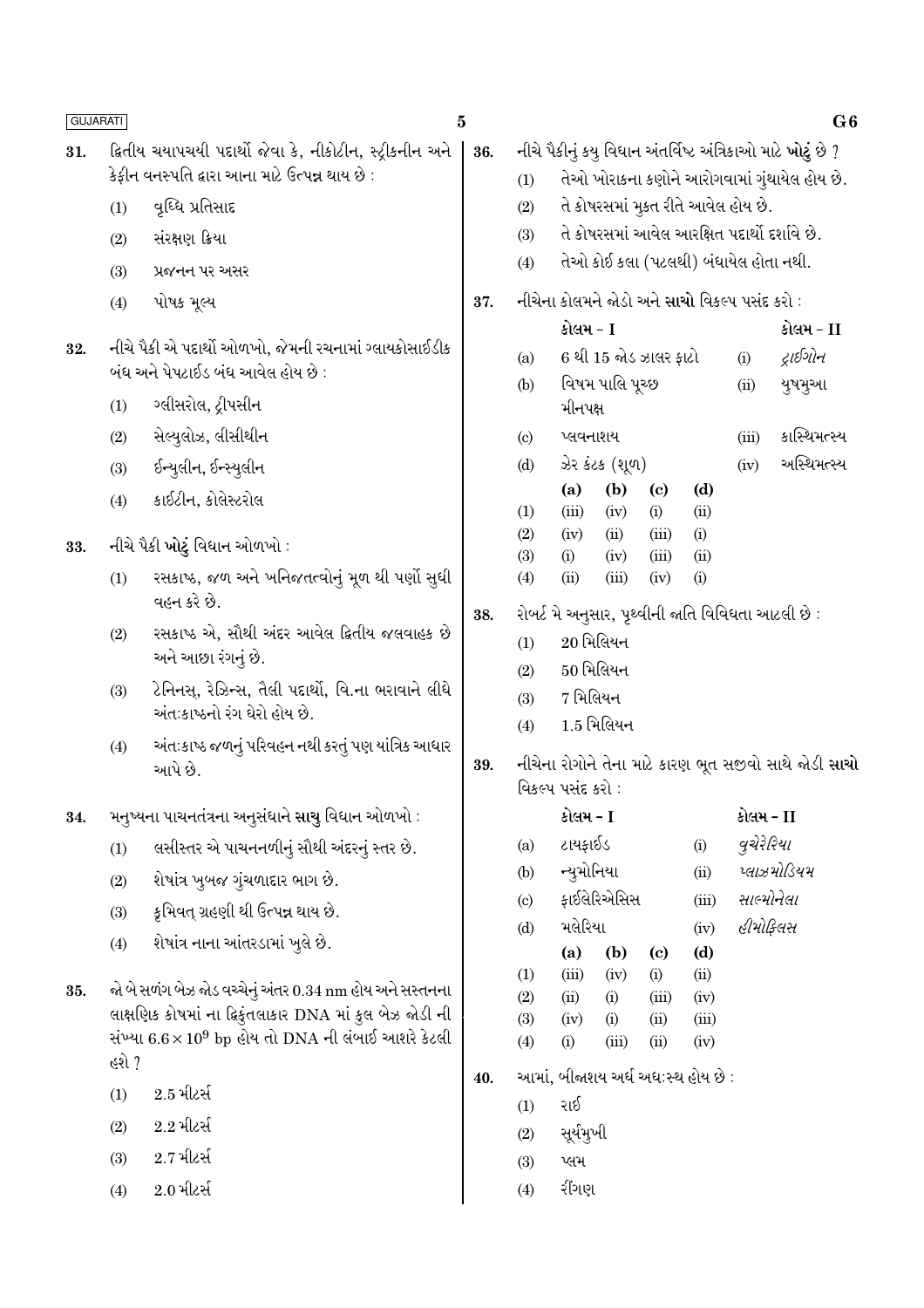| <b>GUJARATI</b> |       |                                                                                            | 5   |                            |                                                                                   |                                   |                                   |             |                                               | G <sub>6</sub>                                              |
|-----------------|-------|--------------------------------------------------------------------------------------------|-----|----------------------------|-----------------------------------------------------------------------------------|-----------------------------------|-----------------------------------|-------------|-----------------------------------------------|-------------------------------------------------------------|
| 31.             |       | ક્રિતીય ચયાપચયી પદાર્થો જેવા કે, નીકોટીન, સ્ટ્રીકનીન અને                                   | 36. |                            |                                                                                   |                                   |                                   |             |                                               | નીચે પૈકીનું કયુ વિધાન અંતર્વિષ્ટ અંત્રિકાઓ માટે ખોટું છે ? |
|                 |       | કેફીન વનસ્પતિ દ્વારા આના માટે ઉત્પન્ન થાય છે :                                             |     | (1)                        |                                                                                   |                                   |                                   |             |                                               | તેઓ ખોરાકના કણોને આરોગવામાં ગુંથાયેલ હોય છે.                |
|                 | (1)   | વૃધ્ધિ પ્રતિસાદ                                                                            |     | (2)                        |                                                                                   |                                   |                                   |             | તે કોષરસમાં મુકત રીતે આવેલ હોય છે.            |                                                             |
|                 | (2)   | સંરક્ષણ ક્રિયા                                                                             |     | (3)                        |                                                                                   |                                   |                                   |             | તે કોષરસમાં આવેલ આરક્ષિત પદાર્થો દર્શાવે છે.  |                                                             |
|                 | (3)   | પ્રજનન પર અસર                                                                              |     | (4)                        |                                                                                   |                                   |                                   |             | તેઓ કોઈ કલા (પટલથી) બંધાયેલ હોતા નથી.         |                                                             |
|                 | (4)   | પોષક મૂલ્ય                                                                                 | 37. |                            |                                                                                   |                                   |                                   |             | નીચેના કોલમને જોડો અને સાચો વિકલ્પ પસંદ કરો : |                                                             |
|                 |       |                                                                                            |     |                            | કોલમ - I                                                                          |                                   |                                   |             |                                               | કોલમ - II                                                   |
| 32.             |       | નીચે પૈકી એ પદાર્થો ઓળખો, જેમની રચનામાં ગ્લાયકોસાઈડીક<br>બંધ અને પેપટાઈડ બંધ આવેલ હોય છે : |     | (a)                        |                                                                                   | 6 થી 15 જોડ ઝાલર ફાટો             |                                   |             | (i)                                           | દ્રાઈગોન                                                    |
|                 |       |                                                                                            |     | (b)                        |                                                                                   | વિષમ પાલિ પૂચ્છ                   |                                   |             | (ii)                                          | યુષમુઆ                                                      |
|                 | (1)   | ગ્લીસરોલ, ટ્રીપસીન                                                                         |     |                            | મીનપક્ષ                                                                           |                                   |                                   |             |                                               |                                                             |
|                 | (2)   | સેલ્યુલોઝ, લીસીથીન                                                                         |     | $\left( \circ \right)$     | પ્લવનાશય                                                                          |                                   |                                   |             | (iii)                                         | કાસ્થિમત્સ્ય                                                |
|                 | (3)   | ઈન્યુલીન, ઈન્સ્યુલીન                                                                       |     | (d)                        |                                                                                   | ઝેર કંટક (શૂળ)                    |                                   |             | (iv)                                          | અસ્થિમત્સ્ય                                                 |
|                 | (4)   | કાઈટીન, કોલેસ્ટરોલ                                                                         |     | (1)                        | (a)<br>(iii)                                                                      | (b)<br>(iv)                       | $\left( \mathrm{c}\right)$<br>(i) | (d)<br>(ii) |                                               |                                                             |
|                 |       |                                                                                            |     | (2)                        | (iv)                                                                              | (ii)                              | (iii)                             | (i)         |                                               |                                                             |
| 33.             |       | નીચે પૈકી <b>ખોટું</b> વિધાન ઓળખો :                                                        |     | (3)                        | (i)                                                                               | (iv)                              | (iii)                             | (ii)        |                                               |                                                             |
|                 | (1)   | રસકાષ્ઠ, જળ અને ખનિજતત્વોનું મૂળ થી પર્ણો સુધી<br>વહન કરે છે.                              | 38. | (4)                        | (ii)                                                                              | (iii)                             | (iv)                              | (i)         |                                               | રોબર્ટ મે અનુસાર, પૃથ્વીની જાતિ વિવિધતા આટલી છે :           |
|                 | (2)   | રસકાષ્ઠ એ, સૌથી અંદર આવેલ દ્વિતીય જલવાહક છે                                                |     | (1)                        |                                                                                   | $20$ મિલિયન                       |                                   |             |                                               |                                                             |
|                 |       | અને આછા રંગનું છે.                                                                         |     | (2)                        |                                                                                   | $50$ મિલિયન                       |                                   |             |                                               |                                                             |
|                 | (3)   | ટેનિનસ્, રેઝિન્સ, તૈલી પદાર્થો, વિ.ના ભરાવાને લીધે<br>અંત:કાષ્ઠનો રંગ ઘેરો હોય છે.         |     | (3)<br>(4)                 | 7 મિલિયન                                                                          | $1.5$ મિલિયન                      |                                   |             |                                               |                                                             |
|                 | (4)   | અંતઃકાષ્ઠ જળનું પરિવહન નથી કરતું પણ યાંત્રિક આધાર<br>આપે છે.                               | 39. |                            | નીચેના રોગોને તેના માટે કારણ ભૂત સજીવો સાથે જોડી <b>સાચો</b><br>વિકલ્પ પસંદ કરો : |                                   |                                   |             |                                               |                                                             |
| 34.             |       | મનુષ્યના પાચનતંત્રના અનુસંધાને સાચુ વિધાન ઓળખો :                                           |     |                            | કોલમ - I                                                                          |                                   |                                   |             | કોલમ - II                                     |                                                             |
|                 | (1)   | લસીસ્તર એ પાચનનળીનું સૌથી અંદરનું સ્તર છે.                                                 |     | (a)                        | ટાયફાઈડ                                                                           |                                   |                                   | (i)         | વુચેરેરિયા                                    |                                                             |
|                 | (2)   | શેષાંત્ર ખુબજ ગુંચળાદાર ભાગ છે.                                                            |     | (b)                        | ન્યુમોનિયા                                                                        |                                   |                                   | (ii)        |                                               | પ્લાઝમોડિયમ                                                 |
|                 | (3)   | કૃમિવત્ ગ્રહણી થી ઉત્પન્ન થાય છે.                                                          |     | $\left( \mathrm{c}\right)$ |                                                                                   | ફાઈલેરિએસિસ                       |                                   | (iii)       | સાલ્મોનેલા                                    |                                                             |
|                 | (4)   | શેષાંત્ર નાના આંતરડામાં ખુલે છે.                                                           |     | (d)                        | મલેરિયા                                                                           |                                   |                                   | (iv)        | હીમોફિલસ                                      |                                                             |
|                 |       |                                                                                            |     | (1)                        | (a)<br>(iii)                                                                      | (b)<br>(iv)                       | $\left( \mathrm{c}\right)$        | (d)<br>(ii) |                                               |                                                             |
| 35.             |       | જો બે સળંગ બેઝ જોડ વચ્ચેનું અંતર 0.34 nm હોય અને સસ્તનના                                   |     | (2)                        | (ii)                                                                              | (i)                               | (i)<br>(iii)                      | (iv)        |                                               |                                                             |
|                 |       | લાક્ષણિક કોષમાં ના દ્વિકુંતલાકાર DNA માં કુલ બેઝ જોડી ની                                   |     | (3)                        | (iv)                                                                              | (i)                               | (ii)                              | (iii)       |                                               |                                                             |
|                 | હશે ? | સંખ્યા $6.6 \times 10^9$ bp હોય તો DNA ની લંબાઈ આશરે કેટલી                                 |     | (4)                        | (i)                                                                               | (iii)                             | (ii)                              | (iv)        |                                               |                                                             |
|                 | (1)   | $2.5$ મીટર્સ                                                                               | 40. |                            |                                                                                   | આમાં, બીજાશય અર્ધ અધ:સ્થ હોય છે : |                                   |             |                                               |                                                             |
|                 | (2)   | $2.2$ મીટર્સ                                                                               |     | (1)                        | રાઈ<br>સૂર્યમુખી                                                                  |                                   |                                   |             |                                               |                                                             |
|                 | (3)   | $2.7\,$ મીટર્સ                                                                             |     | (2)<br>(3)                 | પ્લમ                                                                              |                                   |                                   |             |                                               |                                                             |
|                 | (4)   | $2.0$ મીટર્સ                                                                               |     | (4)                        | રીંગણ                                                                             |                                   |                                   |             |                                               |                                                             |
|                 |       |                                                                                            |     |                            |                                                                                   |                                   |                                   |             |                                               |                                                             |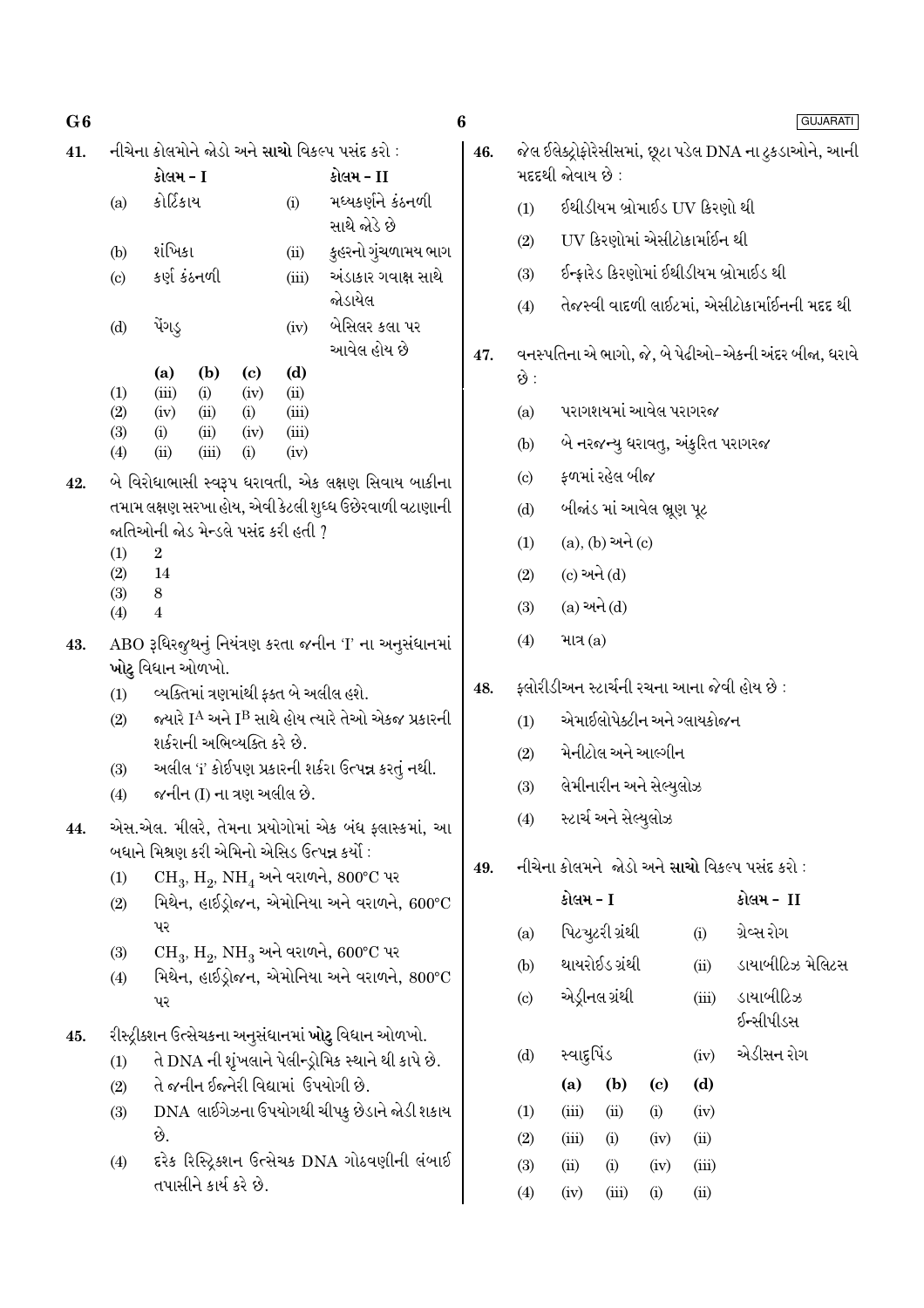| 41. |                                                                                                                   |                  |     |                             |                           | નીચેના કોલમોને જોડો અને <mark>સાચો</mark> વિકલ્પ પસંદ કરો :                                                         | 46.                |                  |             |                           |                              |                              | જેલ ઈલેક્ટ્રોફોરેસીસમાં, છૂટા પડેલ DNA ના ટુકડાઓને, આની |
|-----|-------------------------------------------------------------------------------------------------------------------|------------------|-----|-----------------------------|---------------------------|---------------------------------------------------------------------------------------------------------------------|--------------------|------------------|-------------|---------------------------|------------------------------|------------------------------|---------------------------------------------------------|
|     |                                                                                                                   | કોલમ - I         |     |                             |                           | કોલમ - II                                                                                                           |                    | મદદથી જોવાય છે : |             |                           |                              |                              |                                                         |
|     | (a)                                                                                                               | કોર્ટિકાય        |     |                             | (i)                       | મધ્યકર્ણને કંઠનળી<br>સાથે જોડે છે                                                                                   |                    | (1)              |             |                           |                              | ઈથીડીયમ બ્રોમાઈડ UV કિરણો થી |                                                         |
|     | (b)                                                                                                               | શંખિકા           |     |                             | (ii)                      | કુહરનો ગુંચળામય ભાગ                                                                                                 | (2)                |                  |             |                           | UV કિરણોમાં એસીટોકાર્માઈન થી |                              |                                                         |
|     | (c)                                                                                                               | કર્ણ કંઠનળી      |     |                             | (iii)                     | અંડાકાર ગવાક્ષ સાથે                                                                                                 | (3)                |                  |             |                           |                              |                              | ઈન્ફ્રારેડ કિરણોમાં ઈથીડીયમ બ્રોમાઈડ થી                 |
|     |                                                                                                                   |                  |     | જોડાયેલ                     |                           |                                                                                                                     |                    | (4)              |             |                           |                              |                              | તેજસ્વી વાદળી લાઈટમાં, એસીટોકાર્માઈનની મદદ થી           |
|     | (d)                                                                                                               | પેંગડુ           |     |                             | (iv)                      | બેસિલર કલા પર                                                                                                       |                    |                  |             |                           |                              |                              |                                                         |
|     | (d)<br>(b)<br>(a)<br>$\left( \mathbf{c} \right)$                                                                  |                  |     |                             |                           |                                                                                                                     | આવેલ હોય છે<br>47. |                  |             |                           |                              |                              | વનસ્પતિના એ ભાગો, જે, બે પેઢીઓ-એકની અંદર બીજા, ધરાવે    |
|     | (1)                                                                                                               | (iii)            | (i) | (iv)                        | (ii)                      |                                                                                                                     |                    | છે :             |             |                           |                              |                              |                                                         |
|     | (2)<br>(iv)<br>(i)<br>(ii)<br>(iii)<br>(3)<br>(i)<br>(ii)<br>(iv)<br>(iii)<br>(ii)<br>(iii)<br>(4)<br>(i)<br>(iv) |                  |     |                             |                           |                                                                                                                     |                    | (a)              |             | પરાગશયમાં આવેલ પરાગરજ     |                              |                              |                                                         |
|     |                                                                                                                   |                  |     |                             |                           |                                                                                                                     |                    | (b)              |             |                           |                              |                              | બે નરજન્યુ ધરાવતુ, અંકુરિત પરાગરજ                       |
| 42. | બે વિરોધાભાસી સ્વરૂપ ધરાવતી, એક લક્ષણ સિવાય બાકીના                                                                |                  |     |                             |                           |                                                                                                                     |                    | (c)              |             | ફળમાં રહેલ બીજ            |                              |                              |                                                         |
|     | તમામ લક્ષણ સરખા હોય, એવી કેટલી શુધ્ધ ઉછેરવાળી વટાણાની<br>જાતિઓની જોડ મેન્ડલે પસંદ કરી હતી ?                       |                  |     |                             |                           |                                                                                                                     |                    | (d)              |             | બીજાંડ માં આવેલ ભ્રૂણ પૂટ |                              |                              |                                                         |
|     | $\boldsymbol{2}$<br>(1)                                                                                           |                  |     |                             |                           |                                                                                                                     |                    | (1)              |             | $(a), (b)$ અને $(c)$      |                              |                              |                                                         |
|     | 14<br>(2)<br>$\,8\,$<br>(3)<br>$\boldsymbol{4}$<br>(4)                                                            |                  |     |                             |                           | (2)                                                                                                                 | (c) અને (d)        |                  |             |                           |                              |                              |                                                         |
|     |                                                                                                                   |                  |     |                             |                           | (3)                                                                                                                 | $(a)$ અને $(d)$    |                  |             |                           |                              |                              |                                                         |
| 43. |                                                                                                                   |                  |     |                             |                           | ABO રૂધિરજુથનું નિયંત્રણ કરતા જનીન 'I' ના અનુસંધાનમાં                                                               |                    | (4)              | માત્ર $(a)$ |                           |                              |                              |                                                         |
|     |                                                                                                                   | ખોટુ વિધાન ઓળખો. |     |                             |                           |                                                                                                                     |                    |                  |             |                           |                              |                              | ફ્લોરીડીઅન સ્ટાર્ચની રચના આના જેવી હોય છે :             |
|     | (1)                                                                                                               |                  |     |                             |                           | વ્યક્તિમાં ત્રણમાંથી ફક્ત બે અલીલ હશે.<br>જ્યારે I <sup>A</sup> અને I <sup>B</sup> સાથે હોય ત્યારે તેઓ એકજ પ્રકારની | 48.                |                  |             |                           |                              | એમાઈલોપેક્ટીન અને ગ્લાયકોજન  |                                                         |
|     | (2)                                                                                                               |                  |     | શર્કરાની અભિવ્યક્તિ કરે છે. |                           |                                                                                                                     |                    | (1)              |             |                           |                              |                              |                                                         |
|     | (3)                                                                                                               |                  |     |                             |                           | અલીલ 'i' કોઈપણ પ્રકારની શર્કરા ઉત્પન્ન કરતું નથી.                                                                   |                    | (2)              |             | મેનીટોલ અને આલ્ગીન        |                              |                              |                                                         |
|     | (4)                                                                                                               |                  |     |                             | જનીન (I) ના ત્રણ અલીલ છે. |                                                                                                                     |                    | (3)              |             | લેમીનારીન અને સેલ્યુલોઝ   |                              |                              |                                                         |
| 44. |                                                                                                                   |                  |     |                             |                           | એસ.એલ. મીલરે, તેમના પ્રયોગોમાં એક બંધ ફ્લાસ્કમાં,<br>આ                                                              |                    | (4)              |             | સ્ટાર્ચ અને સેલ્યુલોઝ     |                              |                              |                                                         |
|     |                                                                                                                   |                  |     |                             |                           | બધાને મિશ્રણ કરી એમિનો એસિડ ઉત્પન્ન કર્યો :                                                                         | 49.                |                  |             |                           |                              |                              | નીચેના કોલમને જોડો અને સાચો વિકલ્પ પસંદ કરો:            |
|     | (1)<br>(2)                                                                                                        |                  |     |                             |                           | $CH_3$ , $H_2$ , $NH_4$ અને વરાળને, $800^{\circ}$ C પર<br>મિથેન, હાઈડ્રોજન, એમોનિયા અને વરાળને, 600°C               |                    |                  | કોલમ - I    |                           |                              |                              | કોલમ - II                                               |
|     |                                                                                                                   | પર               |     |                             |                           |                                                                                                                     |                    | (a)              |             | પિટચુટરી ગ્રંથી           |                              | (i)                          | ગ્રેવ્સ રોગ                                             |
|     | (3)                                                                                                               |                  |     |                             |                           | $CH_3$ , $H_2$ , $NH_3$ અને વરાળને, 600°C પર                                                                        |                    | (b)              |             | થાયરોઈડ ગ્રંથી            |                              | (ii)                         | ડાયાબીટિઝ મેલિટસ                                        |
|     | (4)                                                                                                               |                  |     |                             |                           | મિથેન, હાઈડ્રોજન, એમોનિયા અને વરાળને, 800°C                                                                         |                    |                  |             | એડ્રીનલ ગ્રંથી            |                              | (iii)                        | ડાયાબીટિઝ                                               |
|     |                                                                                                                   | પર               |     |                             |                           |                                                                                                                     |                    | (c)              |             |                           |                              |                              | ઈન્સીપીડસ                                               |
| 45. |                                                                                                                   |                  |     |                             |                           | રીસ્ટ્રીક્શન ઉત્સેચકના અનુસંધાનમાં <b>ખોટુ</b> વિધાન ઓળખો.<br>તે DNA ની શૃંખલાને પેલીન્ડ્રોમિક સ્થાને થી કાપે છે.   |                    | (d)              | સ્વાદુર્પિડ |                           |                              | (iv)                         | એડીસન રોગ                                               |
|     | (1)<br>(2)                                                                                                        |                  |     |                             |                           | તે જનીન ઈજ્નેરી વિદ્યામાં ઉપયોગી છે.                                                                                |                    |                  | (a)         | (b)                       | $\left( \mathbf{c} \right)$  | (d)                          |                                                         |
|     | (3)                                                                                                               |                  |     |                             |                           | DNA લાઈગેઝના ઉપયોગથી ચીપકુ છેડાને જોડી શકાય                                                                         |                    | (1)              | (iii)       | (ii)                      | (i)                          | (iv)                         |                                                         |

છે. ઁ.<br>દરેક રિસ્ટ્રિક્શન ઉત્સેચક DNA ગોઠવણીની લંબાઈ<br>તપાસીને કાર્ય કરે છે.  $(4)$ 

 $\left(\mathrm{iv}\right)$ 

 $(iii)$  $\rm(ii)$  $(i)$  $(iv)$  $(ii)$  $(i)$  $(iv)$  $(iii)$  $(iv)$  $(iii)$  $\rm (i)$  $(ii)$ 

 $(2)$ 

 $(3)$ 

 $(4)$ 

- .<br>ખીટિઝ મેલિટસ ાબીટિઝ
- .<br>નીપીડસ
- .<br>ોસન રોગ

 $\boldsymbol{6}$ 

## **GUJARATI**

 $G6$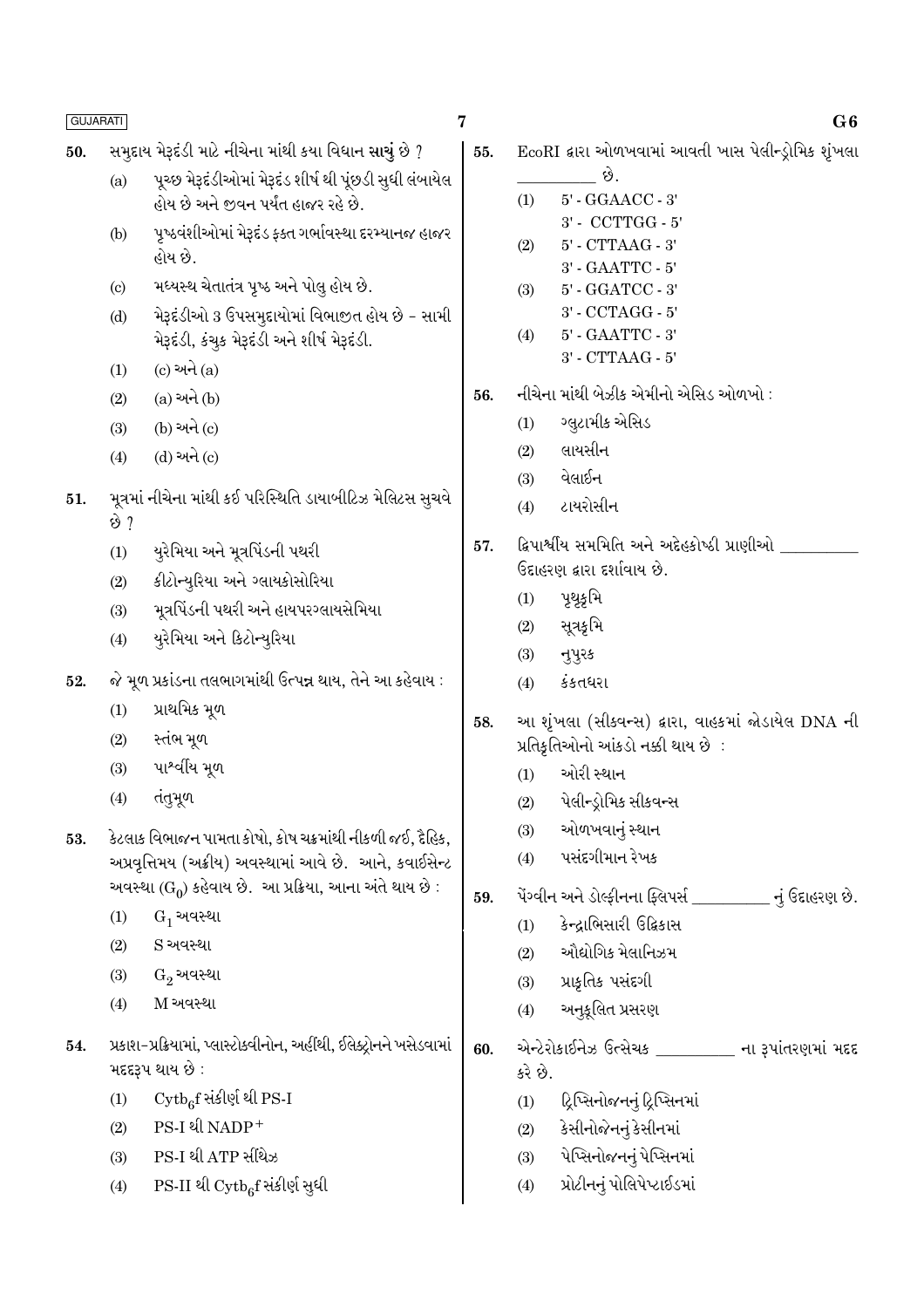- $\overline{7}$
- સમૃદાય મેરૂદંડી માટે નીચેના માંથી કયા વિધાન સાચું છે ? 50.
	- પુચ્છ મેરૂદંડીઓમાં મેરૂદંડ શીર્ષ થી પુંછડી સુધી લંબાયેલ  $(a)$ હોય છે અને જીવન પર્યંત હાજર રહે છે.
	- પુષ્ઠવંશીઓમાં મેરૂદંડ ફક્ત ગર્ભાવસ્થા દરમ્યાનજ હાજર  $(b)$ હોય છે.
	- મધ્યસ્થ ચેતાતંત્ર પુષ્ઠ અને પોલુ હોય છે.  $\left( \text{c} \right)$
	- મેરૂદંડીઓ 3 ઉપસમુદાયોમાં વિભાજીત હોય છે સામી  $(d)$ મેરૂદંડી, કંચુક મેરૂદંડી અને શીર્ષ મેરૂદંડી.
	- $(c)$  અને  $(a)$  $(1)$
	- $(a)$  અને  $(b)$  $(2)$
	- (b) અને (c)  $(3)$
	- $(d)$  અને  $(c)$  $(4)$
- મૂત્રમાં નીચેના માંથી કઈ પરિસ્થિતિ ડાયાબીટિઝ મેલિટસ સુચવે 51. છે ?
	- યુરેમિયા અને મૂત્રપિંડની પથરી  $(1)$
	- કીટોન્યુરિયા અને ગ્લાયકોસોરિયા  $(2)$
	- મૂત્રપિંડની પથરી અને હાયપરગ્લાયસેમિયા  $(3)$
	- યૂરેમિયા અને કિટોન્યૂરિયા  $(4)$
- જે મૂળ પ્રકાંડના તલભાગમાંથી ઉત્પન્ન થાય, તેને આ કહેવાય : 52.
	- પ્રાથમિક મુળ  $(1)$
	- $(2)$ સ્તંભ મૂળ
	- પાશ્વીય મૂળ  $(3)$
	- $(4)$ તંતુમૂળ
- કેટલાક વિભાજન પામતા કોષો, કોષ ચક્રમાંથી નીકળી જઈ, દૈહિક, 53. અપ્રવૃત્તિમય (અક્રીય) અવસ્થામાં આવે છે. આને, કવાઈસેન્ટ અવસ્થા (G<sub>0</sub>) કહેવાય છે. આ પ્રક્રિયા, આના અંતે થાય છે :
	- $G_1$  અવસ્થા  $(1)$
	- S અવસ્થા  $(2)$
	- $G_2$  અવસ્થા  $(3)$
	- M અવસ્થા  $(4)$
- પ્રકાશ-પ્રક્રિયામાં, પ્લાસ્ટોક્વીનોન, અહીંથી, ઈલેક્ટ્રોનને ખસેડવામાં 54. મદદરૂપ થાય છે:
	- $\mathrm{Cytb}_c$ f સંકીર્ણ થી PS-I  $(1)$
	- PS-I थी NADP+  $(2)$
	- PS-I થી ATP સીથેઝ  $(3)$
	- PS-II થી Cytb<sub>6</sub>f સંકીર્ણ સુધી  $(4)$
- EcoRI દ્વારા ઓળખવામાં આવતી ખાસ પેલીન્ડ્રોમિક શૃંખલા 55.
	- છે. 5' - GGAACC - 3'  $(1)$ 3' - CCTTGG - 5'
	- $(2)$ 5' - CTTAAG - 3'
	- 3' GAATTC 5'  $(3)$ 5' - GGATCC - 3'
	- 3' CCTAGG 5'
	- 5' GAATTC 3'  $(4)$ 
		- 3' CTTAAG 5'
- નીચેના માંથી બેઝીક એમીનો એસિડ ઓળખો : 56.
	- ગ્લુટામીક એસિડ  $(1)$
	- લાયસીન  $(2)$
	- વેલાઈન  $(3)$
	- ટાયરોસીન  $(4)$
- ફ્રિપાર્શ્વીય સમમિતિ અને અદ્દેહકોષ્ઠી પ્રાણીઓ \_ 57. ઉદાહરણ દ્વારા દર્શાવાય છે.
	- પૃથૃકૃમિ  $(1)$
	- સૂત્રકૃમિ  $(2)$
	- નુપુરક  $(3)$
	- કંકતધરા  $(4)$
- આ શૃંખલા (સીકવન્સ) દ્વારા, વાહકમાં જોડાયેલ DNA ની 58. પ્રતિકૃતિઓનો આંકડો નક્કી થાય છે :
	- ઓરી સ્થાન  $(1)$
	- પેલીન્ડ્રોમિક સીકવન્સ  $(2)$
	- ઓળખવાનું સ્થાન  $(3)$
	- પસંદગીમાન રેખક  $(4)$
- .<br>પેંગ્વીન અને ડોલ્ફીનના ફ્લિપર્સ નું ઉદાહરણ છે. 59.
	- કેન્દાભિસારી ઉદ્વિકાસ  $(1)$
	- ઔદ્યોગિક મેલાનિઝમ  $(2)$
	- પ્રાકૃતિક પસંદગી  $(3)$
	- અનુકૂલિત પ્રસરણ  $(4)$
- એન્ટેરોકાઈનેઝ ઉત્સેચક ના રૂપાંતરણમાં મદદ 60. કરે છે.
	- ટ્રિપ્સિનોજનનું ટ્રિપ્સિનમાં  $(1)$
	- $(2)$ કેસીનોજેનનું કેસીનમાં
	- પેપ્સિનોજનનું પેપ્સિનમાં  $(3)$
	- પ્રોટીનનું પોલિપેપ્ટાઈડમાં  $(4)$

### $G6$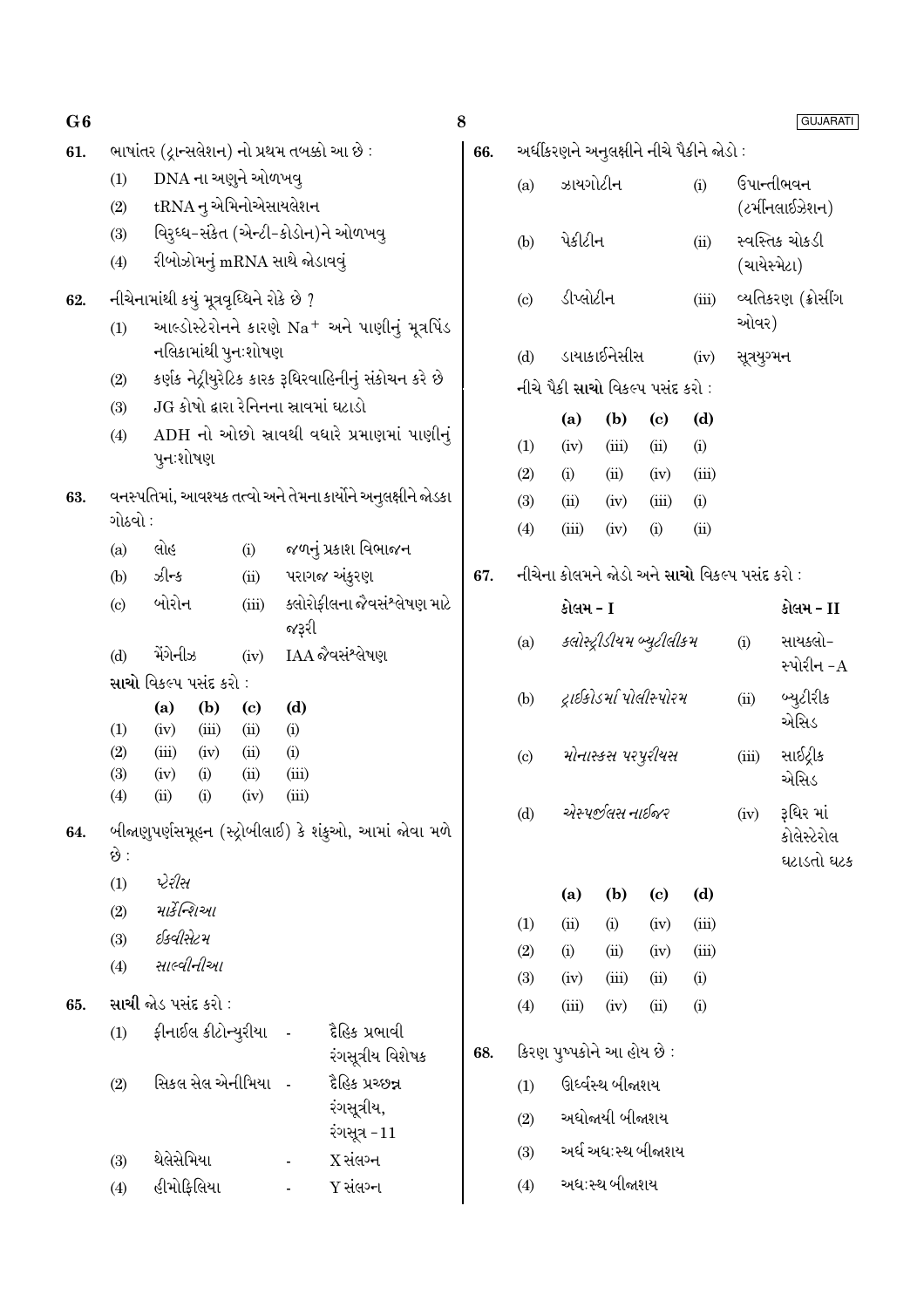| G6  |                                                                |                                              |                                                            |                          |                                                              | 8   |              |                                               |                           |                            |       |       | <b>GUJARATI</b>          |
|-----|----------------------------------------------------------------|----------------------------------------------|------------------------------------------------------------|--------------------------|--------------------------------------------------------------|-----|--------------|-----------------------------------------------|---------------------------|----------------------------|-------|-------|--------------------------|
| 61. |                                                                | ભાષાંતર (દ્રાન્સલેશન) નો પ્રથમ તબક્કો આ છે : |                                                            |                          |                                                              | 66. |              | અર્ધીકરણને અનુલક્ષીને નીચે પૈકીને જોડો :      |                           |                            |       |       |                          |
|     | (1)                                                            | DNA ના અણુને ઓળખવુ                           |                                                            |                          |                                                              |     | (a)          | ઝાયગોટીન                                      |                           |                            | (i)   |       | ઉપાન્તીભવન               |
|     | (2)                                                            | tRNA નુ એમિનોએસાયલેશન                        |                                                            |                          |                                                              |     |              |                                               |                           |                            |       |       | (ટર્મીનલાઈઝેશન)          |
|     | (3)                                                            | વિરુઘ્ધ-સંકેત (એન્ટી-કોડોન)ને ઓળખવુ          |                                                            |                          |                                                              |     | (b)          | પેકીટીન                                       |                           |                            | (ii)  |       | સ્વસ્તિક ચોકડી           |
|     | (4)                                                            | રીબોઝોમનું mRNA સાથે જોડાવવું                |                                                            |                          |                                                              |     |              |                                               |                           |                            |       |       | (ચાયેસ્મેટા)             |
| 62. |                                                                | નીચેનામાંથી કયું મૂત્રવૃધ્ધિને રોકે છે ?     |                                                            |                          |                                                              |     | (c)          | ડીપ્લોટીન                                     |                           |                            | (iii) |       | વ્યતિકરણ (ક્રોસીંગ       |
|     | (1)                                                            |                                              | આલ્ડોસ્ટેરોનને કારણે Na <sup>+</sup> અને પાણીનું મૂત્રપિંડ |                          |                                                              |     |              |                                               |                           | ઓવર)                       |       |       |                          |
|     |                                                                | નલિકામાંથી પુન∶શોષણ                          |                                                            |                          | (d)                                                          |     | ડાયાકાઈનેસીસ |                                               | (iv)                      | સૂત્રયુગ્મન                |       |       |                          |
|     | (2)                                                            |                                              |                                                            |                          | કર્ણક નેટ્રીયુરેટિક કારક રૂધિરવાહિનીનું સંકોચન કરે છે        |     |              | નીચે પૈકી સાચો વિકલ્પ પસંદ કરો :              |                           |                            |       |       |                          |
|     | (3)                                                            | JG કોષો દ્વારા રેનિનના સ્રાવમાં ઘટાડો        |                                                            |                          |                                                              |     |              | (a)                                           | (b)                       | $\left( \mathrm{e}\right)$ | (d)   |       |                          |
|     | (4)                                                            |                                              |                                                            |                          | ADH નો ઓછો સ્રાવથી વધારે પ્રમાણમાં પાણીનું                   |     | (1)          | (iv)                                          | (iii)                     | (ii)                       | (i)   |       |                          |
|     |                                                                | પુનઃશોષણ                                     |                                                            |                          |                                                              |     | (2)          | (i)                                           | (ii)                      | (iv)                       | (iii) |       |                          |
| 63. |                                                                |                                              |                                                            |                          | વનસ્પતિમાં, આવશ્યક તત્વો અને તેમના કાર્યોને અનુલક્ષીને જોડકા |     | (3)          | (ii)                                          | (iv)                      | (iii)                      | (i)   |       |                          |
|     | ગોઠવો :                                                        |                                              |                                                            |                          |                                                              |     | (4)          | (iii)                                         | (iv)                      | (i)                        | (ii)  |       |                          |
|     | (a)                                                            | લોહ                                          | (i)                                                        |                          | જળનું પ્રકાશ વિભાજન                                          |     |              |                                               |                           |                            |       |       |                          |
|     | (b)                                                            | ઝીન્ક                                        | (ii)                                                       |                          | પરાગજ અંકુરણ                                                 | 67. |              | નીચેના કોલમને જોડો અને સાચો વિકલ્પ પસંદ કરો : |                           |                            |       |       |                          |
|     | બોરોન<br>ક્લોરોફીલના જેવસંશ્લેષણ માટે<br>(iii)<br>(c)<br>જરૂરી |                                              |                                                            |                          |                                                              |     |              | કોલમ - I                                      |                           |                            |       |       | કોલમ - II                |
|     | (d)                                                            | મેંગેનીઝ                                     | (iv)                                                       |                          | IAA જૈવસંશ્લેષણ                                              |     | (a)          |                                               | ક્લોસ્ટ્રીડીયમ બ્યુટીલીકમ |                            |       | (i)   | સાયક્લો-                 |
|     |                                                                | સાચો વિકલ્પ પસંદ કરો :                       |                                                            |                          |                                                              |     |              |                                               |                           |                            |       |       | સ્પોરીન $-A$             |
|     |                                                                | (b)<br>(a)                                   | $\left( \mathbf{c} \right)$                                | (d)                      |                                                              |     | (b)          |                                               | દ્રાઈકોડર્મા પોલીસ્પોરમ   |                            |       | (ii)  | બ્યુટીરીક                |
|     | (1)                                                            | (iii)<br>(iv)                                | (ii)                                                       | (i)                      |                                                              |     |              |                                               |                           |                            |       |       | એસિડ                     |
|     | (2)<br>(3)                                                     | (iii)<br>(iv)<br>(i)<br>(iv)                 | (ii)<br>(ii)                                               | (i)<br>(iii)             |                                                              |     | (c)          |                                               | મોનાસ્કસ પરપુરીયસ         |                            |       | (iii) | સાઈટ્રીક                 |
|     | (4)                                                            | (ii)<br>(i)                                  | (iv)                                                       | (iii)                    |                                                              |     |              |                                               |                           |                            |       |       | એસિડ                     |
| 64. |                                                                |                                              |                                                            |                          | બીજાણુપર્ણસમૂહન (સ્ટ્રોબીલાઈ) કે શંકુઓ, આમાં જોવા મળે        |     | (d)          |                                               | એસ્પર્જીલસ નાઈજર          |                            |       | (iv)  | રૂધિર માં<br>કોલેસ્ટેરોલ |
|     | છે :                                                           |                                              |                                                            |                          |                                                              |     |              |                                               |                           |                            |       |       | ઘટાડતો ઘટક               |
|     | (1)                                                            | પેરીસ                                        |                                                            |                          |                                                              |     |              | (a)                                           | (b)                       | (c)                        | (d)   |       |                          |
|     | (2)                                                            | માર્કેન્શિઓ                                  |                                                            |                          |                                                              |     | (1)          | (ii)                                          | (i)                       | (iv)                       | (iii) |       |                          |
|     | (3)                                                            | ઈક્વીસેટમ                                    |                                                            |                          |                                                              |     | (2)          | (i)                                           | (ii)                      | (iv)                       | (iii) |       |                          |
|     | (4)                                                            | સાલ્વીનીઆ                                    |                                                            |                          |                                                              |     | (3)          | (iv)                                          | (iii)                     | (ii)                       | (i)   |       |                          |
| 65. |                                                                | <b>સાચી</b> જોડ પસંદ કરો :                   |                                                            |                          |                                                              |     | (4)          | (iii)                                         | (iv)                      | (ii)                       | (i)   |       |                          |
|     | (1)                                                            | ફીનાઈલ કીટોન્યુરીયા                          |                                                            | $\overline{\phantom{a}}$ | દૈહિક પ્રભાવી                                                |     |              |                                               |                           |                            |       |       |                          |
|     |                                                                |                                              |                                                            |                          | રંગસૂત્રીય વિશેષક                                            | 68. |              | કિરણ પુષ્પકોને આ હોય છે :                     |                           |                            |       |       |                          |
|     | (2)                                                            | સિકલ સેલ એનીમિયા -                           |                                                            |                          | દૈહિક પ્રચ્છન્ન                                              |     | (1)          |                                               | ઊર્ધ્વસ્થ બીજાશય          |                            |       |       |                          |
|     |                                                                |                                              |                                                            |                          | રંગસૂત્રીય,                                                  |     | (2)          |                                               | અધોજાયી બીજાશય            |                            |       |       |                          |
|     |                                                                |                                              |                                                            |                          | રંગસૂત્ર -11                                                 |     | (3)          |                                               | અર્ધ અધ:સ્થ બીજાશય        |                            |       |       |                          |
|     | (3)                                                            | થેલેસેમિયા                                   |                                                            | $\blacksquare$           | $X$ સંલગ્ન                                                   |     |              |                                               | અધ:સ્થ બીજાશય             |                            |       |       |                          |
|     | (4)                                                            | હીમોફિલિયા                                   |                                                            |                          | Y સંલગ્ન                                                     |     | (4)          |                                               |                           |                            |       |       |                          |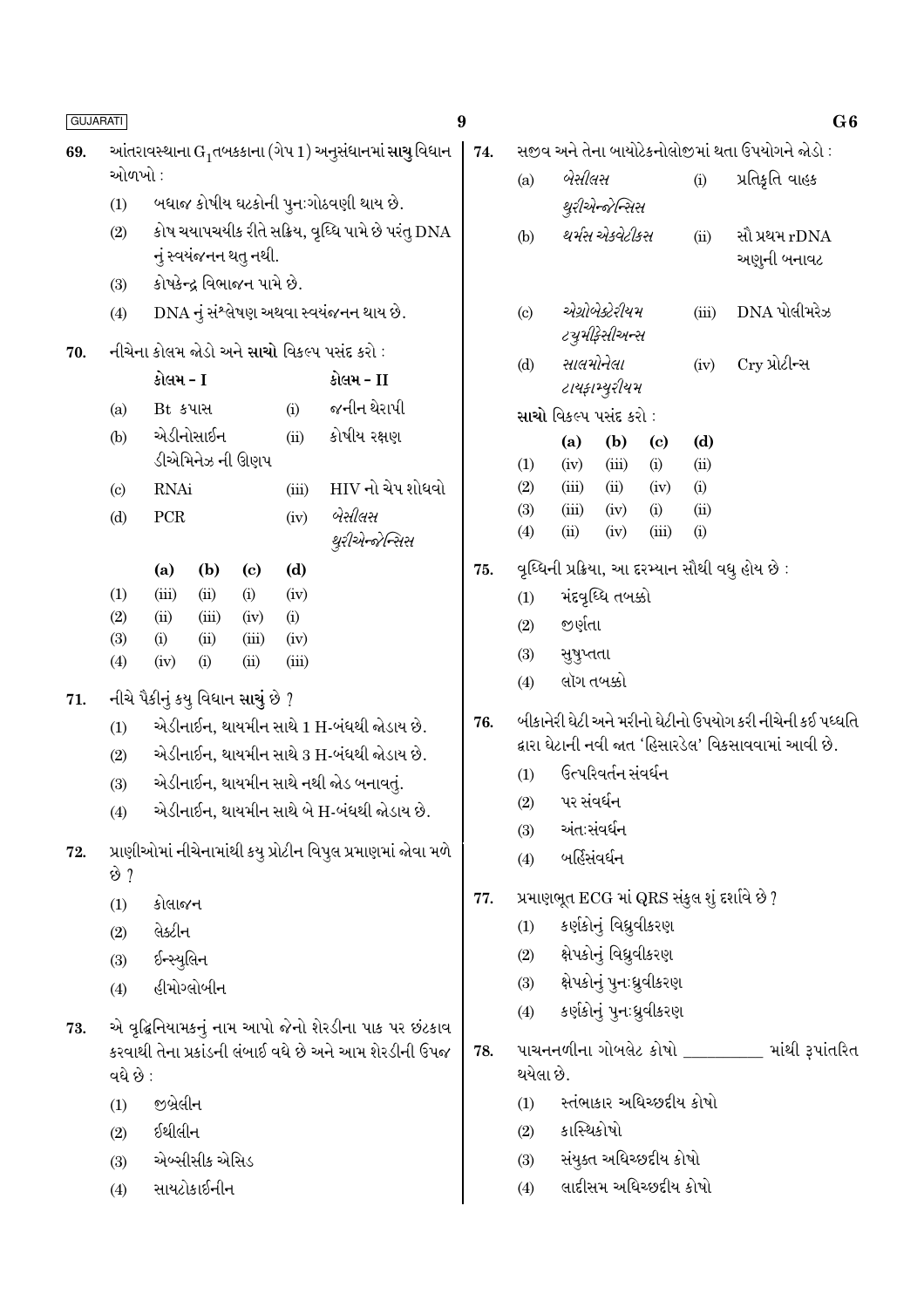| <b>GUJARATI</b> |                                             |             |               |                                   |               |                                                                    | 9   |           |                               |                        |                                   |             | G6                                                        |
|-----------------|---------------------------------------------|-------------|---------------|-----------------------------------|---------------|--------------------------------------------------------------------|-----|-----------|-------------------------------|------------------------|-----------------------------------|-------------|-----------------------------------------------------------|
| 69.             |                                             |             |               |                                   |               | આંતરાવસ્થાના $\mathrm{G}_1$ તબકકાના (ગેપ 1) અનુસંધાનમાં સાચુ વિધાન | 74. |           |                               |                        |                                   |             | સજીવ અને તેના બાયોટેકનોલોજીમાં થતા ઉપયોગને જોડો :         |
|                 | ઓળખો :                                      |             |               |                                   |               |                                                                    |     | (a)       | બેસીલસ                        |                        |                                   | (i)         | પ્રતિકૃતિ વાહક                                            |
|                 | (1)                                         |             |               |                                   |               | બધાજ કોષીય ઘટકોની પુનઃગોઠવણી થાય છે.                               |     |           |                               | થુરીએન્જેન્સિસ         |                                   |             |                                                           |
|                 | (2)                                         |             |               | નું સ્વયંજનન થતુ નથી.             |               | કોષ ચયાપચયીક રીતે સક્રિય, વૃધ્ધિ પામે છે પરંતુ DNA                 |     | (b)       |                               | થર્મસ એકવેટીકસ         |                                   | (ii)        | સૌ પ્રથમ rDNA<br>અણુની બનાવટ                              |
|                 | (3)                                         |             |               | કોષકેન્દ્ર વિભાજન પામે છે.        |               |                                                                    |     |           |                               |                        |                                   |             |                                                           |
|                 | (4)                                         |             |               |                                   |               | DNA નું સંશ્લેષણ અથવા સ્વયંજનન થાય છે.                             |     | (c)       |                               | એગ્રોબેક્ટેરીયમ        |                                   | (iii)       | $DNA$ પોલીમરેઝ                                            |
| 70.             | નીચેના કોલમ જોડો અને સાચો વિકલ્પ પસંદ કરો : |             |               |                                   |               |                                                                    |     |           |                               | <i>ટચુમીફેસીઅન્સ</i>   |                                   |             |                                                           |
|                 | કોલમ - I<br>કોલમ - II                       |             |               |                                   |               |                                                                    |     | (d)       |                               | સાલમોનેલા              |                                   | (iv)        | Cry પ્રોટીન્સ                                             |
|                 | (a)                                         | Bt કપાસ     |               |                                   | (i)           | જનીન થેરાપી                                                        |     |           |                               | ટાયફામ્યુરીયમ          |                                   |             |                                                           |
|                 | (b)                                         |             | એડીનોસાઈન     |                                   | (ii)          | કોષીય રક્ષણ                                                        |     |           | <b>સાચો</b> વિકલ્પ પસંદ કરો : |                        |                                   |             |                                                           |
|                 |                                             |             |               | ડીએમિનેઝ ની ઊણપ                   |               |                                                                    |     | (1)       | (a)<br>(iv)                   | (b)<br>(iii)           | $\left( \mathrm{c}\right)$<br>(i) | (d)<br>(ii) |                                                           |
|                 | $\left( \mathrm{c} \right)$                 | <b>RNAi</b> |               |                                   | (iii)         | HIV નો ચેપ શોધવો                                                   |     | (2)       | (iii)                         | (ii)                   | (iv)                              | (i)         |                                                           |
|                 | (d)                                         | PCR         |               |                                   | (iv)          | બેસીલસ                                                             |     | (3)       | (iii)                         | (iv)                   | (i)                               | (ii)        |                                                           |
|                 |                                             |             |               |                                   |               | થુરીએન્જેન્સિસ                                                     |     | (4)       | (ii)                          | (iv)                   | (iii)                             | (i)         |                                                           |
|                 |                                             | (a)         | (b)           | $\left( \mathrm{c}\right)$        | (d)           |                                                                    | 75. |           |                               |                        |                                   |             | વૃધ્ધિની પ્રક્રિયા, આ દરમ્યાન સૌથી વધુ હોય છે :           |
|                 | (1)                                         | (iii)       | (ii)          | (i)                               | (iv)          |                                                                    |     | (1)       |                               | મંદવૃધ્ધિ તબક્કો       |                                   |             |                                                           |
|                 | (2)                                         | (ii)        | (iii)         | (iv)                              | (i)           |                                                                    |     | (2)       | જીર્ણતા                       |                        |                                   |             |                                                           |
|                 | (3)<br>(4)                                  | (i)<br>(iv) | (ii)<br>(i)   | (iii)<br>(ii)                     | (iv)<br>(iii) |                                                                    |     | (3)       | સુષુપ્તતા                     |                        |                                   |             |                                                           |
|                 |                                             |             |               |                                   |               |                                                                    |     | (4)       |                               | લૉગ તબક્કો             |                                   |             |                                                           |
| 71.             |                                             |             |               | નીચે પૈકીનું કયુ વિધાન સાચું છે ? |               |                                                                    | 76. |           |                               |                        |                                   |             | બીકાનેરી ઘેટી અને મરીનો ઘેટીનો ઉપયોગ કરી નીચેની કઈ પધ્ધતિ |
|                 | (1)                                         |             |               |                                   |               | એડીનાઈન, થાયમીન સાથે 1 H-બંધથી જોડાય છે.                           |     |           |                               |                        |                                   |             | દ્વારા ઘેટાની નવી જાત 'હિસારડેલ' વિકસાવવામાં આવી છે.      |
|                 | (2)                                         |             |               |                                   |               | એડીનાઈન, થાયમીન સાથે 3 H-બંધથી જોડાય છે.                           |     | (1)       |                               | ઉત્પરિવર્તન સંવર્ધન    |                                   |             |                                                           |
|                 | (3)                                         |             |               |                                   |               | એડીનાઈન, થાયમીન સાથે નથી જોડ બનાવતું.                              |     | (2)       | પર સંવર્ધન                    |                        |                                   |             |                                                           |
|                 | (4)                                         |             |               |                                   |               | એડીનાઈન, થાયમીન સાથે બે H-બંધથી જોડાય છે.                          |     | (3)       |                               | અંત:સંવર્ધન            |                                   |             |                                                           |
| 72.             |                                             |             |               |                                   |               | પ્રાણીઓમાં નીચેનામાંથી કયુ પ્રોટીન વિપુલ પ્રમાણમાં જોવા મળે        |     | (4)       |                               | બર્હિસંવર્ધન           |                                   |             |                                                           |
|                 | છે ?                                        |             |               |                                   |               |                                                                    |     |           |                               |                        |                                   |             |                                                           |
|                 | (1)                                         | કોલાજન      |               |                                   |               |                                                                    | 77. |           |                               |                        |                                   |             | પ્રમાણભૂત ECG માં QRS સંકુલ શું દર્શાવે છે ?              |
|                 | (2)                                         | લેક્ટીન     |               |                                   |               |                                                                    |     | (1)       |                               | કર્ણકોનું વિધ્રુવીકરણ  |                                   |             |                                                           |
|                 | (3)                                         | ઈન્સ્યુલિન  |               |                                   |               |                                                                    |     | (2)       |                               | ક્ષેપકોનું વિઘ્રુવીકરણ |                                   |             |                                                           |
|                 | (4)                                         |             | હીમોગ્લોબીન   |                                   |               |                                                                    |     | (3)       |                               |                        | ક્ષેપકોનું પુન∶ધ્રુવીકરણ          |             |                                                           |
| 73.             |                                             |             |               |                                   |               | એ વૃદ્ધિનિયામકનું નામ આપો જેનો શેરડીના પાક પર છંટકાવ               |     | (4)       |                               |                        | કર્ણકોનું પુનઃધ્રુવીકરણ           |             |                                                           |
|                 |                                             |             |               |                                   |               | કરવાથી તેના પ્રકાંડની લંબાઈ વધે છે અને આમ શેરડીની ઉપજ              | 78. |           |                               |                        |                                   |             | પાચનનળીના ગોબલેટ કોષો ________ માંથી રૂપાંતરિત            |
|                 | વધે છે :                                    |             |               |                                   |               |                                                                    |     | થયેલા છે. |                               |                        |                                   |             |                                                           |
|                 | (1)                                         | જીબ્રેલીન   |               |                                   |               |                                                                    |     | (1)       |                               |                        | સ્તંભાકાર અધિચ્છદીય કોષો          |             |                                                           |
|                 | (2)                                         | ઈથીલીન      |               |                                   |               |                                                                    |     | (2)       | કાસ્થિકોષો                    |                        |                                   |             |                                                           |
|                 | (3)                                         |             | એબ્સીસીક એસિડ |                                   |               |                                                                    |     | (3)       |                               |                        | સંયુક્ત અધિચ્છદીય કોષો            |             |                                                           |
|                 | (4)                                         |             | સાયટોકાઈનીન   |                                   |               |                                                                    |     | (4)       |                               |                        | લાદીસમ અધિચ્છદીય કોષો             |             |                                                           |
|                 |                                             |             |               |                                   |               |                                                                    |     |           |                               |                        |                                   |             |                                                           |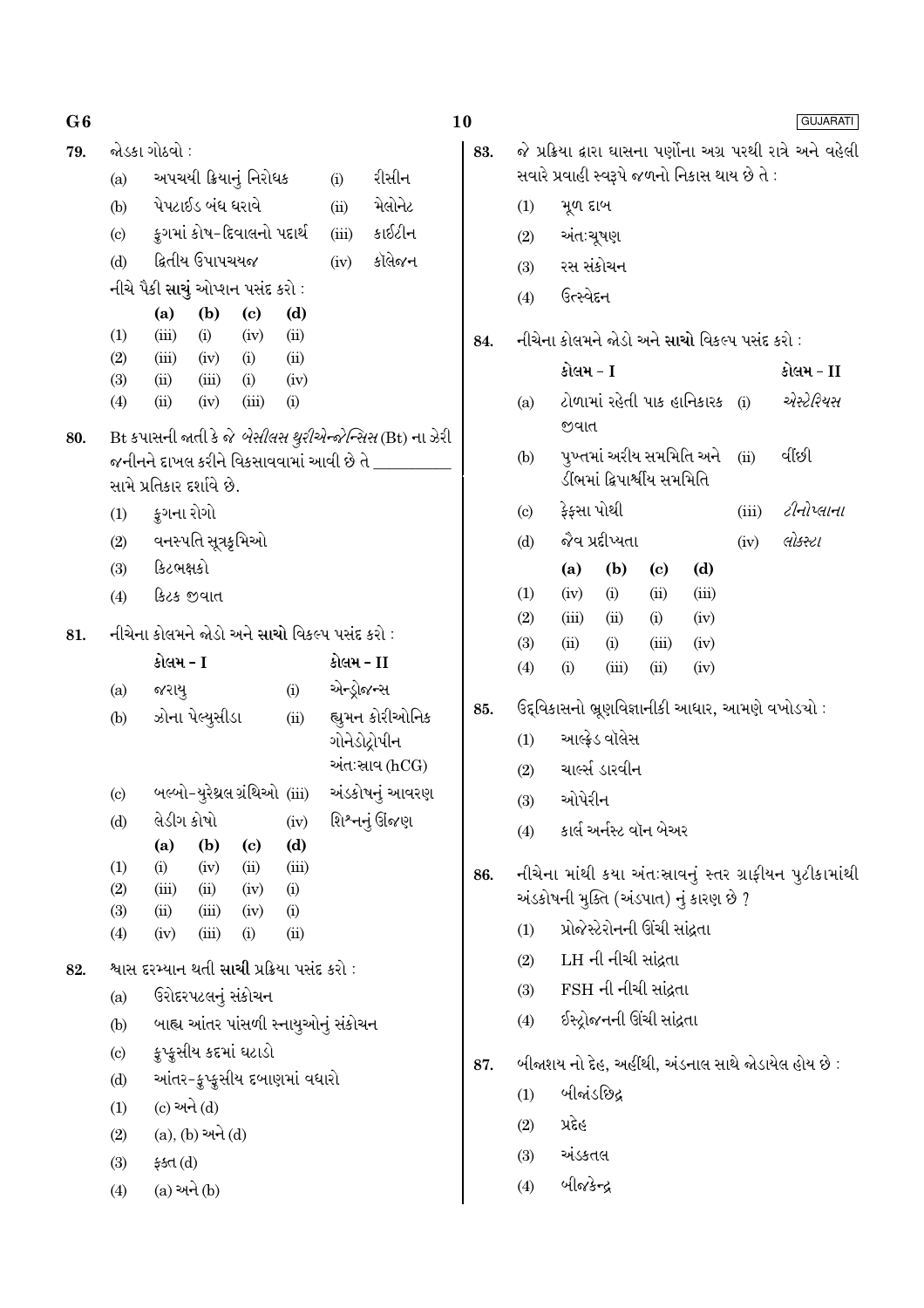80.

82.

79.  $\delta$ 

|                           | જોડકા ગોઠવો ∶                    |                 |                             |                                         |       |                                                                |  |  |  |  |
|---------------------------|----------------------------------|-----------------|-----------------------------|-----------------------------------------|-------|----------------------------------------------------------------|--|--|--|--|
| (a)                       | અપચયી ક્રિયાનું નિરોધક           |                 |                             | (i)                                     | રીસીન |                                                                |  |  |  |  |
| (b)                       | પેપટાઈડ બંધ ધરાવે                |                 |                             |                                         | (ii)  | મેલોનેટ                                                        |  |  |  |  |
| (c)                       |                                  |                 | કૂગમાં કોષ-દિવાલનો પદાર્થ   |                                         | (iii) | કાઈટીન                                                         |  |  |  |  |
| (d)                       |                                  | ક્રિતીય ઉપાપચયજ |                             |                                         | (iv)  | કૉલેજન                                                         |  |  |  |  |
|                           | નીચે પૈકી સાચું ઓપ્શન પસંદ કરો : |                 |                             |                                         |       |                                                                |  |  |  |  |
|                           | $(a)$ $(b)$                      |                 | $\bf(c)$                    | (d)                                     |       |                                                                |  |  |  |  |
| (1)                       |                                  |                 | $(iii)$ $(i)$ $(iv)$ $(ii)$ |                                         |       |                                                                |  |  |  |  |
| (2)                       |                                  |                 | $(iii)$ $(iv)$ $(i)$ $(ii)$ |                                         |       |                                                                |  |  |  |  |
|                           | (3) (ii) (iii) (i) (iv)          |                 |                             |                                         |       |                                                                |  |  |  |  |
| $\left( 4\right)$         | (ii)                             | (iv)            | (iii)                       | (i)                                     |       |                                                                |  |  |  |  |
|                           |                                  |                 |                             |                                         |       | Bt કપાસની જાતી કે જે <i>બેસીલસ થુરીએન્જેન્સિસ</i> (Bt) ના ઝેરી |  |  |  |  |
|                           |                                  |                 |                             | જનીનને દાખલ કરીને વિકસાવવામાં આવી છે તે |       |                                                                |  |  |  |  |
|                           | સામે પ્રતિકાર દર્શાવે છે.        |                 |                             |                                         |       |                                                                |  |  |  |  |
| કુગના રોગો<br>(1)         |                                  |                 |                             |                                         |       |                                                                |  |  |  |  |
| વનસ્પતિ સૂત્રકૃમિઓ<br>(2) |                                  |                 |                             |                                         |       |                                                                |  |  |  |  |
| (3)                       | કિટભક્ષકો                        |                 |                             |                                         |       |                                                                |  |  |  |  |
| (4)                       | કિટક જીવાત                       |                 |                             |                                         |       |                                                                |  |  |  |  |

નીચેના કોલમને જોડો અને સાચો વિકલ્પ પસંદ કરો : 81.

|                             | કોલમ - I        |                                                          |     |       | કોલમ - II                           |
|-----------------------------|-----------------|----------------------------------------------------------|-----|-------|-------------------------------------|
| (a)                         | જરાયુ           |                                                          |     | (i)   | એન્ડ્રોજન્સ                         |
| (b)                         |                 | ઝોના પેલ્યુસીડા                                          |     | (ii)  | હ્યુમન કોરીઓનિક<br>ગોનેડોદ્રોપીન    |
|                             |                 |                                                          |     |       | અંતઃસ્રાવ (hCG)                     |
| $\left( \circ \right)$      |                 | બલ્બો-યુરેથ્રલ ગ્રંથિઓ (iii)                             |     |       | અંડકોષનું આવરણ                      |
| (d)                         | લેડીગ કોષો      |                                                          |     | (iv)  | શિશ્નનું ઊંજણ                       |
|                             | (a)             | $(b)$ $(c)$                                              |     | (d)   |                                     |
| (1)                         | (i)             | $(iv)$ $(ii)$                                            |     | (iii) |                                     |
| (2)                         |                 | $(iii)$ $(ii)$ $(iv)$ $(i)$                              |     |       |                                     |
| (3)                         |                 | $(ii)$ $(iii)$ $(iv)$                                    |     | (i)   |                                     |
| (4)                         | $(iv)$ $(iii)$  |                                                          | (i) | (ii)  |                                     |
|                             |                 | શ્વાસ દરમ્યાન થતી <mark>સાચી</mark> પ્રક્રિયા પસંદ કરો : |     |       |                                     |
| (a)                         |                 | ઉરોદરપટલનું સંકોચન                                       |     |       |                                     |
| (b)                         |                 |                                                          |     |       | બાહ્ય આંતર પાંસળી સ્નાયુઓનું સંકોચન |
| $\left( \mathrm{c} \right)$ |                 | ક્રુપ્ક્રસીય કદમાં ઘટાડો                                 |     |       |                                     |
| (d)                         |                 | આંતર-ફુપ્ફુસીય દબાણમાં વધારો                             |     |       |                                     |
| (1)                         | $(c)$ અને $(d)$ |                                                          |     |       |                                     |
| (2)                         |                 | (a), (b) અને (d)                                         |     |       |                                     |
| (3)                         | ફક્ત $(d)$      |                                                          |     |       |                                     |
| (4)                         | (a) અને (b)     |                                                          |     |       |                                     |

|                            | સવારે પ્રવાહી સ્વરૂપે જળનો નિકાસ થાય છે તે :  |                     |                               |                                |      | જે પ્રક્રિયા દ્વારા ઘાસના પર્ણોના અગ્ર પરથી રાત્રે અને વહેલી |  |
|----------------------------|-----------------------------------------------|---------------------|-------------------------------|--------------------------------|------|--------------------------------------------------------------|--|
| (1)                        | મૂળ દાબ                                       |                     |                               |                                |      |                                                              |  |
|                            | (2) અંત:ચૂષણ                                  |                     |                               |                                |      |                                                              |  |
|                            | (3) રસ સંકોચન                                 |                     |                               |                                |      |                                                              |  |
| (4)                        | ઉત્સ્વેદન                                     |                     |                               |                                |      |                                                              |  |
|                            | નીચેના કોલમને જોડો અને સાચો વિકલ્પ પસંદ કરો : |                     |                               |                                |      |                                                              |  |
|                            | કોલમ - I                                      |                     |                               |                                |      | કોલમ - II                                                    |  |
| (a)                        | જવાત                                          |                     |                               | ટોળામાં રહેતી પાક હાનિકારક (i) |      | એસ્ટેરિયસ                                                    |  |
| (b)                        |                                               |                     | ડીંભમાં દ્વિપાર્શ્વીય સમમિતિ  | પુખ્તમાં અરીય સમમિતિ અને       | (ii) | ર્વાછી                                                       |  |
| $\left( \mathrm{c}\right)$ | ફેફસા પોથી                                    |                     |                               |                                |      | $(iii)$ $\partial \mathcal{H}$ <i>del-dl</i>                 |  |
| (d)                        | જેવ પ્રદીપ્યતા                                |                     |                               |                                |      | $(iv)$ $d$ <i>stel</i>                                       |  |
|                            |                                               |                     | (a) (b) (c) (d)               |                                |      |                                                              |  |
| (1)                        |                                               |                     | $(iv)$ (i) (ii) (iii)         |                                |      |                                                              |  |
| (2)                        |                                               |                     | $(iii)$ $(ii)$ $(i)$ $(iv)$   |                                |      |                                                              |  |
| (3)                        |                                               |                     | $(ii)$ $(ii)$ $(iii)$ $(iv)$  |                                |      |                                                              |  |
| (4)                        | (i)                                           |                     | $(iii)$ $(ii)$ $(iv)$         |                                |      |                                                              |  |
|                            |                                               |                     |                               |                                |      | ઉદ્દવિકાસનો ભ્રૂણવિજ્ઞાનીકી આધાર, આમણે વખોડચો :              |  |
| (1)                        |                                               | આલ્ફ્રેડ વૉલેસ      |                               |                                |      |                                                              |  |
| (2)                        | ચાર્લ્સ ડારવીન                                |                     |                               |                                |      |                                                              |  |
| (3)                        | ઓપેરીન                                        |                     |                               |                                |      |                                                              |  |
| (4)                        |                                               |                     | કાર્લ અર્નસ્ટ વૉન બેઅર        |                                |      |                                                              |  |
|                            |                                               |                     |                               |                                |      | નીચેના માંથી કયા અંતઃસ્રાવનું સ્તર ગ્રાફીયન પુટીકામાંથી      |  |
|                            | અંડકોષની મુક્તિ (અંડપાત) નું કારણ છે ?        |                     | પ્રોજેસ્ટેરોનની ઊંચી સાંદ્રતા |                                |      |                                                              |  |
| (1)                        |                                               |                     |                               |                                |      |                                                              |  |
| (2)                        |                                               | LH ની નીચી સાંદ્રતા |                               |                                |      |                                                              |  |
| (3)                        |                                               |                     | FSH ની નીચી સાંદ્રતા          |                                |      |                                                              |  |
| (4)                        |                                               |                     | ઈસ્ટ્રોજનની ઊંચી સાંદ્રતા     |                                |      |                                                              |  |
|                            |                                               |                     |                               |                                |      | બીજાશય નો દેહ, અહીંથી, અંડનાલ સાથે જોડાયેલ હોય છે :          |  |
| (1)                        | બીજાંડછિદ્ર                                   |                     |                               |                                |      |                                                              |  |
| (2)                        | ઝર્કેહ                                        |                     |                               |                                |      |                                                              |  |
| (3)                        | અંડકતલ                                        |                     |                               |                                |      |                                                              |  |
| (4)                        | બીજકેન્દ્ર                                    |                     |                               |                                |      |                                                              |  |

**GUJARATI** 

83.

84.

85.

86.

87.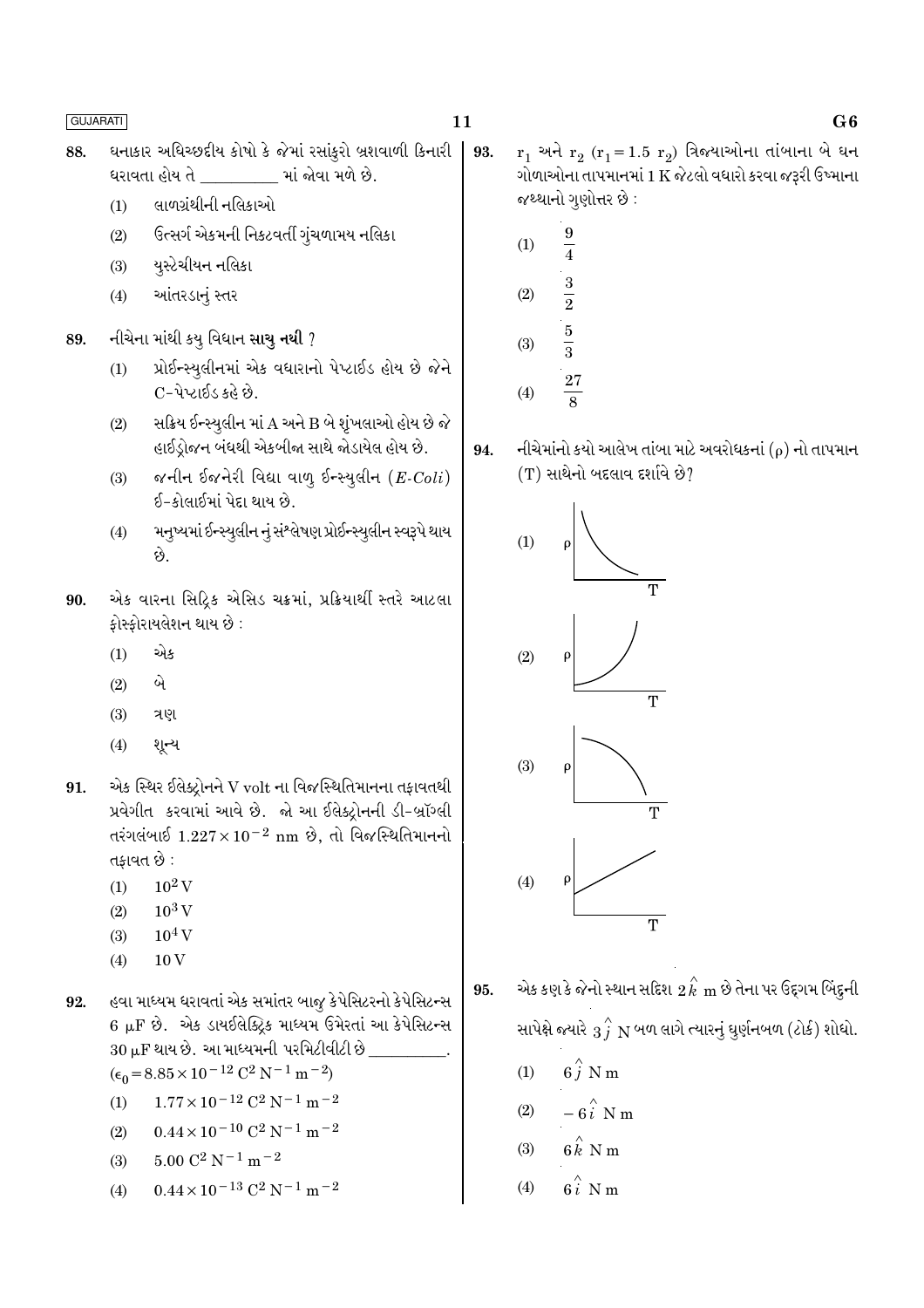- ઘનાકાર અધિચ્છદીય કોષો કે જેમાં રસાંકુરો બ્રશવાળી કિનારી 88. 93. ધરાવતા હોય તે \_\_\_\_\_\_\_\_\_ માં જોવા મળે છે.
	- લાળગ્રંથીની નલિકાઓ  $(1)$
	- ઉત્સર્ગ એકમની નિકટવર્તી ગુંચળામય નલિકા  $(2)$
	- યુસ્ટેચીયન નલિકા  $(3)$
	- આંતરડાનું સ્તર  $(4)$
- નીચેના માંથી કયુ વિધાન સાચુ નથી ? 89.
	- પ્રોઈન્સ્યુલીનમાં એક વધારાનો પેપ્ટાઈડ હોય છે જેને  $(1)$ C-પેપ્ટાઈડ કહે છે.
	- સક્રિય ઈન્સ્યુલીન માં A અને B બે શૃંખલાઓ હોય છે જે  $(2)$ હાઈડ્રોજન બંધથી એકબીજા સાથે જોડાયેલ હોય છે.
	- જનીન ઈજનેરી વિદ્યા વાળુ ઈન્સ્યુલીન  $(E\text{-}Coli)$  $(3)$ ઈ-કોલાઈમાં પેદા થાય છે.
	- મનુષ્યમાં ઈન્સ્યુલીન નું સંશ્લેષણ પ્રોઈન્સ્યુલીન સ્વરૂપે થાય  $(4)$ છે.
- એક વારના સિદ્રિક એસિડ ચક્રમાં, પ્રક્રિયાર્થી સ્તરે આટલા 90. કોસ્કોરાયલેશન થાય છે :
	- $(1)$ એક
	- બે  $(2)$
	- ત્રણ  $(3)$
	- $(4)$ શૂન્ય
- એક સ્થિર ઈલેક્ટ્રોનને V volt ના વિજસ્થિતિમાનના તફાવતથી 91. પ્રવેગીત કરવામાં આવે છે. જો આ ઈલેક્ટોનની ડી-બ્રૉગ્લી તરંગલંબાઈ  $1.227 \times 10^{-2}$  nm છે, તો વિજસ્થિતિમાનનો તકાવત છે :
	- $10^2$  V  $(1)$
	- $10^3$  V  $(2)$
	- $10<sup>4</sup>$  V  $(3)$
	- $10\,\mathrm{V}$  $(4)$

હવા માધ્યમ ધરાવતાં એક સમાંતર બાજૂ કેપેસિટરનો કેપેસિટન્સ 92. 6 µF છે. એક ડાયઈલેક્ટ્રિક માધ્યમ ઉમેરતાં આ કેપેસિટન્સ 30 uF થાય છે. આ માધ્યમની પરમિટીવીટી છે  $(\epsilon_0 = 8.85 \times 10^{-12} \text{ C}^2 \text{ N}^{-1} \text{ m}^{-2})$ 

- $1.77 \times 10^{-12}$  C<sup>2</sup> N<sup>-1</sup> m<sup>-2</sup>  $(1)$
- $0.44 \times 10^{-10}$  C<sup>2</sup> N<sup>-1</sup> m<sup>-2</sup>  $(2)$
- $5.00 \text{ C}^2 \text{ N}^{-1} \text{ m}^{-2}$  $(3)$
- $0.44 \times 10^{-13}$  C<sup>2</sup> N<sup>-1</sup> m<sup>-2</sup>  $(4)$

 $r_1$  અને  $r_2$  ( $r_1$ =1.5  $r_2$ ) ત્રિજ્યાઓના તાંબાના બે ઘન ગોળાઓના તાપમાનમાં 1 K જેટલો વધારો કરવા જરૂરી ઉષ્માના જથ્થાનો ગુણોત્તર છે :

- $\frac{9}{4}$  $(1)$  $\frac{3}{2}$  $(2)$  $\frac{5}{3}$  $(3)$  $\frac{27}{8}$  $(4)$
- નીચેમાંનો કયો આલેખ તાંબા માટે અવરોધકનાં ( $\rho$ ) નો તાપમાન 94.  $(T)$  સાથેનો બદલાવ દર્શાવે છે?



- એક કણ કે જેનો સ્થાન સદિશ  $\stackrel{\sim}{2}{\stackrel{\sim}{k}}$  m છે તેના પર ઉદ્દગમ બિંદુની 95. સાપેક્ષે જ્યારે  $\stackrel{\rightarrow}{3}$   $\stackrel{\rightarrow}{N}$  બળ લાગે ત્યારનું ઘુર્ણનબળ (ટોર્ક) શોધો.
	- $6\stackrel{\wedge}{i}$  N m  $(1)$
	- $-6\hat{i}$  N m  $(2)$
	- $6 \stackrel{\wedge}{k}$  N m  $(3)$
	- $6\hat{i}$  N m  $(4)$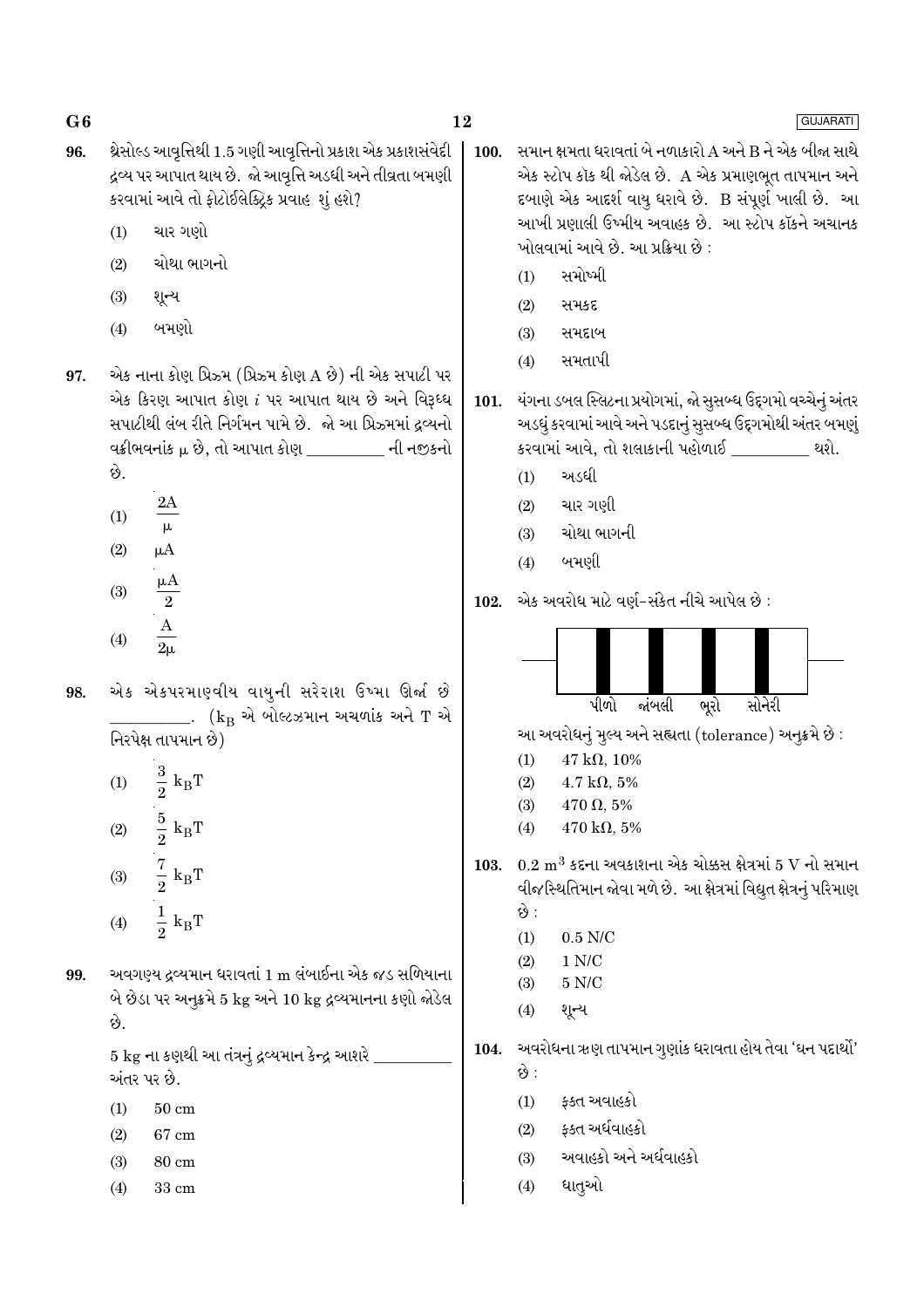- 12
- થ્રેસોલ્ડ આવૃત્તિથી 1.5 ગણી આવૃત્તિનો પ્રકાશ એક પ્રકાશસંવેદી 96. દ્રવ્ય પર આપાત થાય છે. જો આવૃત્તિ અડધી અને તીવ્રતા બમણી કરવામાં આવે તો ફોટોઈલેક્ટ્રિક પ્રવાહ શું હશે?
	- ચાર ગણો  $(1)$
	- ચોથા ભાગનો  $(2)$
	- $(3)$ શૂન્ય
	- બમણો  $(4)$
- એક નાના કોણ પ્રિઝ્મ (પ્રિઝ્મ કોણ A છે) ની એક સપાટી પર 97. એક કિરણ આપાત કોણ  $i$  પર આપાત થાય છે અને વિરૂધ્ધ સપાટીથી લંબ રીતે નિર્ગમન પામે છે. જો આ પ્રિઝ્મમાં દ્રવ્યનો વક્રીભવનાંક μ છે, તો આપાત કોણ \_\_\_\_\_\_\_\_\_ ની નજીકનો છે.
	- $2A$  $(1)$  $\mu$
	- $(2)$  $\mu A$  $(3)$  $\overline{2}$
	- $(4)$  $2<sub>\mu</sub>$
- એક એકપરમાણ્વીય વાયુની સરેરાશ ઉષ્મા ઊર્જા છે 98. \_\_\_\_\_. ( $\rm{k_{B}}$  એ બોલ્ટઝમાન અચળાંક અને  $\rm{T}$  એ નિરપેક્ષ તાપમાન છે)
	- $\frac{3}{2}$   ${\rm k_BT}$  $(1)$  $\frac{5}{2}~{\rm k_BT}$  $(2)$  $\frac{7}{2}$  k<sub>B</sub>T  $(3)$  $\frac{1}{2}$  k<sub>B</sub>T  $(4)$
- અવગણ્ય દ્રવ્યમાન ધરાવતાં 1 m લંબાઈના એક જડ સળિયાના 99. બે છેડા પર અનુક્રમે 5 kg અને 10 kg દ્રવ્યમાનના કણો જોડેલ છે.

5 kg ના કણથી આ તંત્રનું દ્રવ્યમાન કેન્દ્ર આશરે અંતર પર છે.

- $50 \text{ cm}$  $(1)$
- $(2)$ 67 cm
- $(3)$ 80 cm
- 33 cm  $(4)$
- સમાન ક્ષમતા ધરાવતાં બે નળાકારો A અને B ને એક બીજા સાથે 100. એક સ્ટોપ કૉક થી જોડેલ છે. A એક પ્રમાણભૂત તાપમાન અને દબાણે એક આદર્શ વાયુ ધરાવે છે. B સંપૂર્ણ ખાલી છે. આ આખી પ્રણાલી ઉષ્મીય અવાહક છે. આ સ્ટોપ કૉકને અચાનક ખોલવામાં આવે છે. આ પ્રક્રિયા છે:
	- સમોષ્મી  $(1)$
	- $(2)$ સમકદ
	- સમદાબ  $(3)$
	- સમતાપી  $(4)$
- યંગના ડબલ સ્લિટના પ્રયોગમાં, જો સૂસબ્ધ ઉદ્દગમો વચ્ચેનું અંતર 101. અડધું કરવામાં આવે અને પડદાનું સૂસબ્ધ ઉદ્દગમોથી અંતર બમણું કરવામાં આવે, તો શલાકાની પહોળાઈ \_\_\_\_\_\_\_\_ થશે.
	- અડધી  $(1)$
	- ચાર ગણી  $(2)$
	- ચોથા ભાગની  $(3)$
	- બમણી  $(4)$
- એક અવરોધ માટે વર્ણ-સંકેત નીચે આપેલ છે :  $102.$



આ અવરોધનું મુલ્ય અને સહ્યતા (tolerance) અનુક્રમે છે :

- 47 kO 10%  $(1)$
- $(2)$  $4.7 \text{ k}\Omega$ , 5%
- $(3)$  $470 \Omega, 5\%$
- $(4)$  $470 \text{ k}\Omega, 5\%$
- 103.  $0.2 \text{ m}^3$  કદના અવકાશના એક ચોક્કસ ક્ષેત્રમાં 5 V નો સમાન વીજસ્થિતિમાન જોવા મળે છે. આ ક્ષેત્રમાં વિદ્યુત ક્ષેત્રનું પરિમાણ છે :
	- $(1)$  $0.5$  N/C
	- $(2)$  $1 N/C$
	- $5 N/C$  $(3)$
	- $(4)$ શૂન્ય

104. અવરોધના ઋણ તાપમાન ગુણાંક ધરાવતા હોય તેવા 'ઘન પદાર્થો'

- છે :
- ફ્ક્ત અવાહકો  $(1)$
- ફક્ત અર્ધવાહકો  $(2)$
- અવાહકો અને અર્ધવાહકો  $(3)$
- ધાતૃઓ  $(4)$

### GUJARATI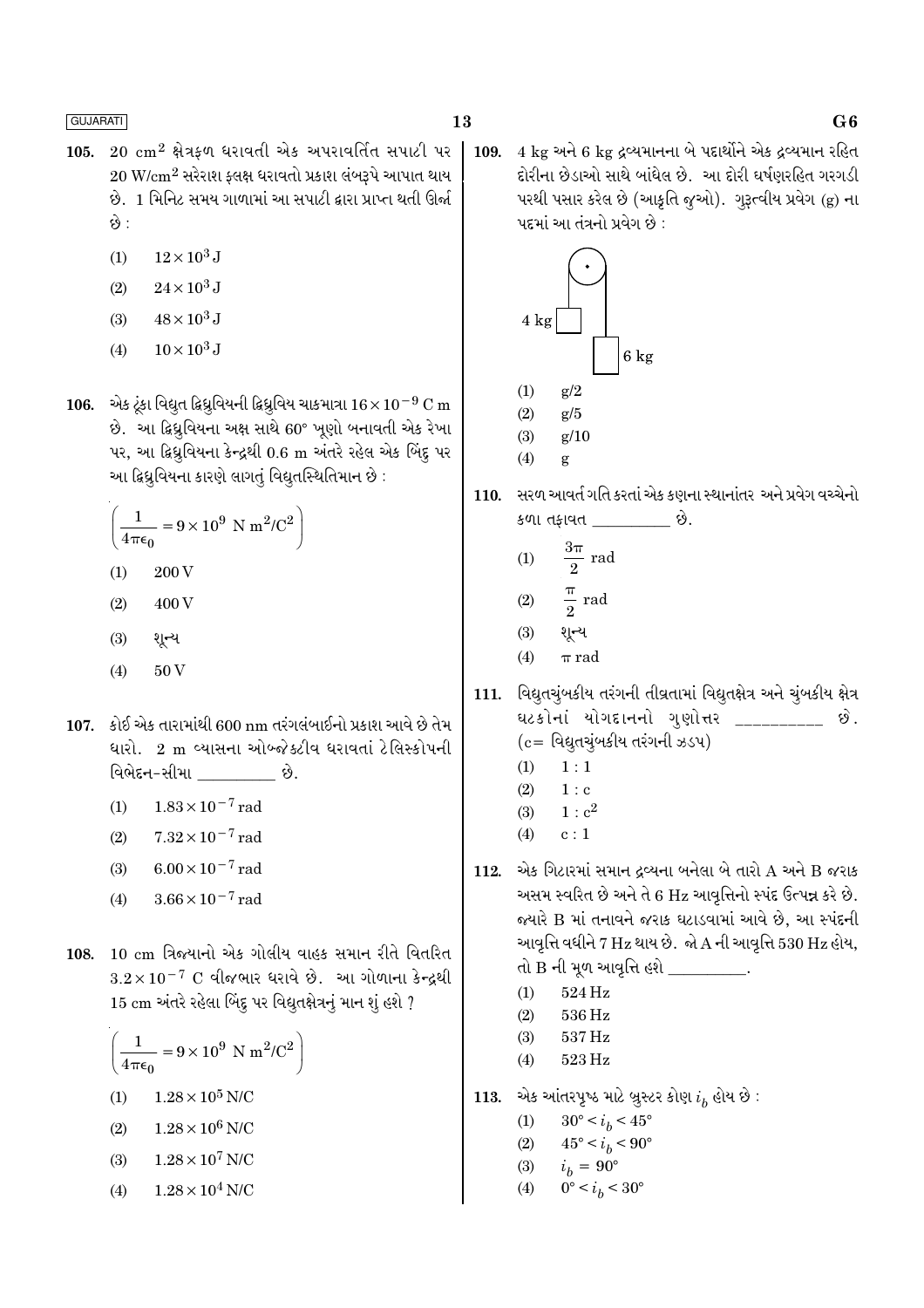- $20\,$  cm<sup>2</sup> ક્ષેત્રફળ ધરાવતી એક અપરાવર્તિત સપાટી પર 105.  $20 \text{ W/cm}^2$  સરેરાશ ફ્લક્ષ ધરાવતો પ્રકાશ લંબરૂપે આપાત થાય છે. 1 મિનિટ સમય ગાળામાં આ સપાટી દ્વારા પ્રાપ્ત થતી ઊર્જા કે :
	- $12\times10^3$  J  $(1)$
	- $24 \times 10^3$  J  $(2)$
	- $48 \times 10^3$  J  $(3)$
	- $10 \times 10^3$  J  $(4)$

106. એક ટૂંકા વિદ્યુત દ્વિધ્રુવિયની દ્વિધ્રુવિય ચાકમાત્રા  $16 \times 10^{-9}$  C m છે. આ ફિધુવિયના અક્ષ સાથે 60° ખૂણો બનાવતી એક રેખા પર, આ ફિધ્રુવિયના કેન્દ્રથી 0.6 m અંતરે રહેલ એક બિંદુ પર આ દ્વિધ્રુવિયના કારણે લાગતું વિદ્યુતસ્થિતિમાન છે :

$$
\left(\frac{1}{4\pi\epsilon_0} = 9 \times 10^9 \text{ N m}^2/\text{C}^2\right)
$$

- $(1)$ 200 V
- 400 V  $(2)$
- $(3)$ શૂન્ય
- 50V  $(4)$
- 107. કોઈ એક તારામાંથી 600 nm તરંગલંબાઈનો પ્રકાશ આવે છે તેમ ધારો. 2 m વ્યાસના ઓબ્જેક્ટીવ ધરાવતાં ટેલિસ્કોપની વિભેદન-સીમા છે.
	- $1.83 \times 10^{-7}$  rad  $(1)$
	- $7.32 \times 10^{-7}$  rad  $(2)$
	- $6.00 \times 10^{-7}$  rad  $(3)$
	- $3.66 \times 10^{-7}$  rad  $(4)$
- 108. 10 cm ત્રિજ્યાનો એક ગોલીય વાહક સમાન રીતે વિતરિત  $3.2 \times 10^{-7}$  C વીજભાર ધરાવે છે. આ ગોળાના કેન્દ્રથી 15 cm અંતરે રહેલા બિંદુ પર વિદ્યુતક્ષેત્રનું માન શું હશે ?

$$
\left(\frac{1}{4\pi\epsilon_0} = 9 \times 10^9 \text{ N m}^2/\text{C}^2\right)
$$

- $1.28 \times 10^5$  N/C  $(1)$
- $1.28\times10^6$  N/C  $(2)$
- $1.28 \times 10^7$  N/C  $(3)$
- $1.28 \times 10^4$  N/C  $(4)$

4 kg અને 6 kg દ્રવ્યમાનના બે પદાર્થોને એક દ્રવ્યમાન રહિત 109. દોરીના છેડાઓ સાથે બાંધેલ છે. આ દોરી ઘર્ષણરહિત ગરગડી પરથી પસાર કરેલ છે (આકુતિ જુઓ). ગુરૂત્વીય પ્રવેગ (g) ના પદમાં આ તંત્રનો પ્રવેગ છે :



110. સરળ આવર્ત ગતિ કરતાં એક કણના સ્થાનાંતર અને પ્રવેગ વચ્ચેનો કળા તફાવત \_\_\_\_\_\_\_\_\_ છે.

$$
(1) \qquad \frac{3\pi}{2} \text{ rad}
$$

$$
(2) \qquad \frac{\pi}{2} \text{ rad}
$$

- $(3)$ શૂન્ય
- $(4)$  $\pi$  rad
- 111. વિદ્યુતચુંબકીય તરંગની તીવ્રતામાં વિદ્યુતક્ષેત્ર અને ચુંબકીય ક્ષેત્ર ઘટકોનાં યોગદાનનો ગુણોત્તર \_\_\_\_\_\_\_\_\_\_ છે.  $(c = 0.02)$ વિદ્યુતચુંબકીય તરંગની ઝડપ)
	- $1:1$  $(1)$
	- $(2)$  $1:$  c
	- $(3)$  $1: c^2$
	- $(4)$  $c:1$
- એક ગિટારમાં સમાન દ્રવ્યના બનેલા બે તારો A અને B જરાક 112. અસમ સ્વરિત છે અને તે 6 Hz આવૃત્તિનો સ્પંદ ઉત્પન્ન કરે છે. જ્યારે B માં તનાવને જરાક ઘટાડવામાં આવે છે, આ સ્પંદની આવૃત્તિ વધીને  $7 \text{ Hz}$  થાય છે. જો $\text{A}$  ની આવૃત્તિ 530  $\text{Hz}$  હોય,
	- તો B ની મૂળ આવૃત્તિ હશે \_\_\_\_\_\_\_\_\_\_.
	- 524 Hz  $(1)$
	- 536 Hz  $(2)$
	- $(3)$ 537 Hz
	- $(4)$ 523 Hz
- 113. એક આંતરપૂષ્ઠ માટે બ્રુસ્ટર કોણ  $i_h$  હોય છે :
	- $30^{\circ} < i_b < 45^{\circ}$  $(1)$
	- $(2)$  $45^{\circ} < i_h < 90^{\circ}$
	- $i_b = 90^{\circ}$  $(3)$
	- $0^{\circ} < i_h < 30^{\circ}$  $(4)$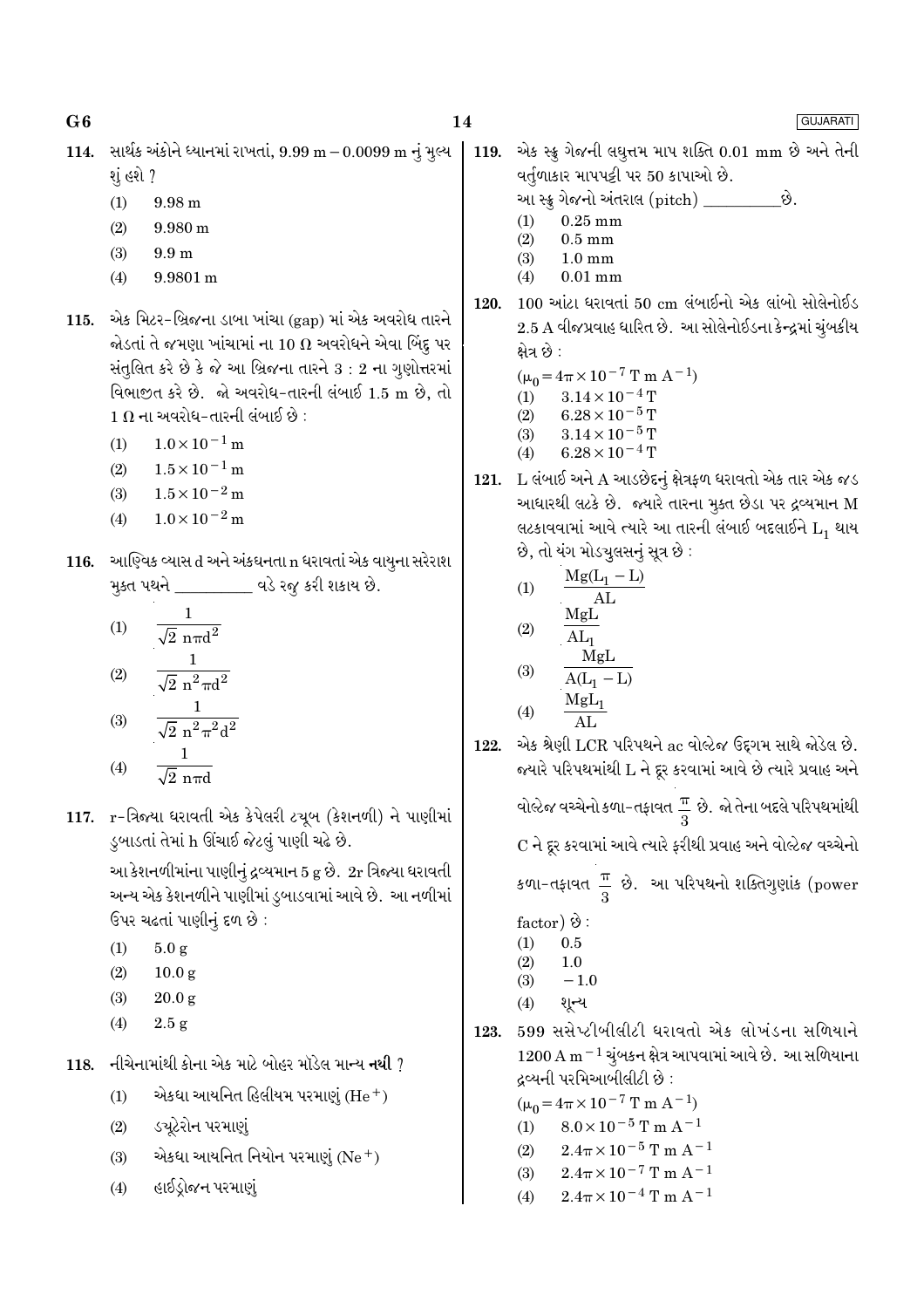GUJARATI

- 114. સાર્થક અંકોને ધ્યાનમાં રાખતાં, 9.99 m – 0.0099 m નું મુલ્ય શું હશે ?
	- 9.98 m  $(1)$
	- $(2)$ 9.980 m
	- $(3)$  $9.9<sub>m</sub>$
	- $9.9801 m$  $(4)$
- 115. એક મિટર-બ્રિજના ડાબા ખાંચા (gap) માં એક અવરોધ તારને જોડતાં તે જમણા ખાંચામાં ના 10  $\Omega$  અવરોધને એવા બિંદુ પર સંતુલિત કરે છે કે જે આ બ્રિજના તારને  $3:2$  ના ગુણોત્તરમાં વિભાજીત કરે છે. જો અવરોધ-તારની લંબાઈ 1.5 m છે, તો  $1\ \Omega$  ના અવરોધ-તારની લંબાઈ છે :
	- $1.0 \times 10^{-1}$  m  $(1)$
	- $1.5 \times 10^{-1}$  m  $(2)$
	- $1.5 \times 10^{-2}$  m  $(3)$
	- $1.0 \times 10^{-2}$  m  $(4)$
- 116. આણ્વિક વ્યાસ d અને અંકઘનતા n ધરાવતાં એક વાયુના સરેરાશ મૂક્ત પથને \_\_\_\_\_\_\_\_\_ વડે રજૂ કરી શકાય છે.

(1) 
$$
\frac{1}{\sqrt{2} \text{ n} \pi d^2}
$$
  
(2) 
$$
\frac{1}{\sqrt{2} \text{ n}^2 \pi d^2}
$$
  
(3) 
$$
\frac{1}{\sqrt{2} \text{ n}^2 \pi^2 d^2}
$$
  
(4) 
$$
\frac{1}{\sqrt{2} \text{ n} \pi d}
$$

117. r-ત્રિજ્યા ધરાવતી એક કેપેલરી ટચૂબ (કેશનળી) ને પાણીમાં ડુબાડતાં તેમાં h ઊંચાઈ જેટલું પાણી ચઢે છે.

> આ કેશનળીમાંના પાણીનું દ્રવ્યમાન 5 g છે. 2r ત્રિજ્યા ધરાવતી અન્ય એક કેશનળીને પાણીમાં ડુબાડવામાં આવે છે. આ નળીમાં ઉપર ચઢતાં પાણીનું દળ છે:

- $(1)$  $5.0 g$
- $(2)$  $10.0<sub>g</sub>$
- $(3)$  $20.0 \text{ g}$
- $(4)$  $2.5 g$
- 118. નીચેનામાંથી કોના એક માટે બોહર મૉડેલ માન્ય નથી ?
	- $(1)$ એકધા આયનિત હિલીયમ પરમાણું (He<sup>+</sup>)
	- ડચૂટેરોન પરમાણું  $(2)$
	- એકધા આયનિત નિયોન પરમાણું  $(Ne<sup>+</sup>)$  $(3)$
	- હાઈડ્રોજન પરમાણું  $(4)$

એક સ્ક્રુ ગેજની લઘુત્તમ માપ શક્તિ 0.01 mm છે અને તેની 119. વર્તુળાકાર માપપટ્ટી પર 50 કાપાઓ છે.

- આ સ્ક્ર્ ગેજનો અંતરાલ (pitch) \_\_\_\_\_\_\_\_\_\_છે.
- $(1)$  $0.25$  mm
- $(2)$  $0.5$  mm  $(3)$  $1.0 \text{ mm}$
- $(4)$  $0.01$  mm
- 120. 100 આંટા ધરાવતાં 50 cm લંબાઈનો એક લાંબો સોલેનોઈડ 2.5 A વીજપ્રવાહ ધારિત છે. આ સોલેનોઈડના કેન્દ્રમાં ચુંબકીય ક્ષેત્ર છે :
	- $(\mu_0 = 4\pi \times 10^{-7} \text{ T m A}^{-1})$  $3.14\times10^{-4}\,\mathrm{T}$  $(1)$
	- $(2)$  $6.28 \times 10^{-5}$  T
	- $3.14 \times 10^{-5}$  T  $(3)$
	- $6.28 \times 10^{-4}$  T  $(4)$
- 121. L લંબાઈ અને A આડછેદનું ક્ષેત્રફળ ધરાવતો એક તાર એક જડ આધારથી લટકે છે. જ્યારે તારના મુક્ત છેડા પર દ્રવ્યમાન M લટકાવવામાં આવે ત્યારે આ તારની લંબાઈ બદલાઈને  $L_1$  થાય છે, તો યંગ મોડચૂલસનું સૂત્ર છે :

(1)  
\n
$$
\frac{Mg(L_1 - L)}{AL}
$$
\n(2)  
\n
$$
\frac{MgL}{AL_1}
$$
\n(3)  
\n
$$
\frac{MgL}{A(L_1 - L)}
$$
\n(4)  
\n
$$
\frac{MgL_1}{AL}
$$

122. એક શ્રેણી LCR પરિપથને ac વોલ્ટેજ ઉદ્દગમ સાથે જોડેલ છે. જયારે પરિપથમાંથી L ને દૂર કરવામાં આવે છે ત્યારે પ્રવાહ અને

> વોલ્ટેજ વચ્ચેનો કળા-તફાવત $\frac{\pi}{3}$  છે. જો તેના બદલે પરિપથમાંથી C ને દર કરવામાં આવે ત્યારે કરીથી પ્રવાહ અને વોલ્ટેજ વચ્ચેનો

કળા-તફાવત  $\frac{\pi}{2}$  છે. આ પરિપથનો શક્તિગુણાંક (power

- factor)  $\Theta$ :  $(1)$  $0.5$
- $(2)$  $1.0$
- $-1.0$  $(3)$
- શૂન્ય  $(4)$
- 599 સસેપ્ટીબીલીટી ધરાવતો એક લોખંડના સળિયાને 123.  $1200 \text{ A m}^{-1}$ ચૂંબકન ક્ષેત્ર આપવામાં આવે છે. આ સળિયાના દ્રવ્યની પરમિઆબીલીટી છે :

 $(\mu_0 = 4\pi \times 10^{-7} \text{ T m A}^{-1})$ 

- $8.0 \times 10^{-5}$  T m A<sup>-1</sup>  $(1)$
- $2.4\pi \times 10^{-5}$  T m A<sup>-1</sup>  $(2)$
- $2.4\pi \times 10^{-7}$  T m A<sup>-1</sup>  $(3)$
- $2.4\pi \times 10^{-4}$  T m A<sup>-1</sup>  $(4)$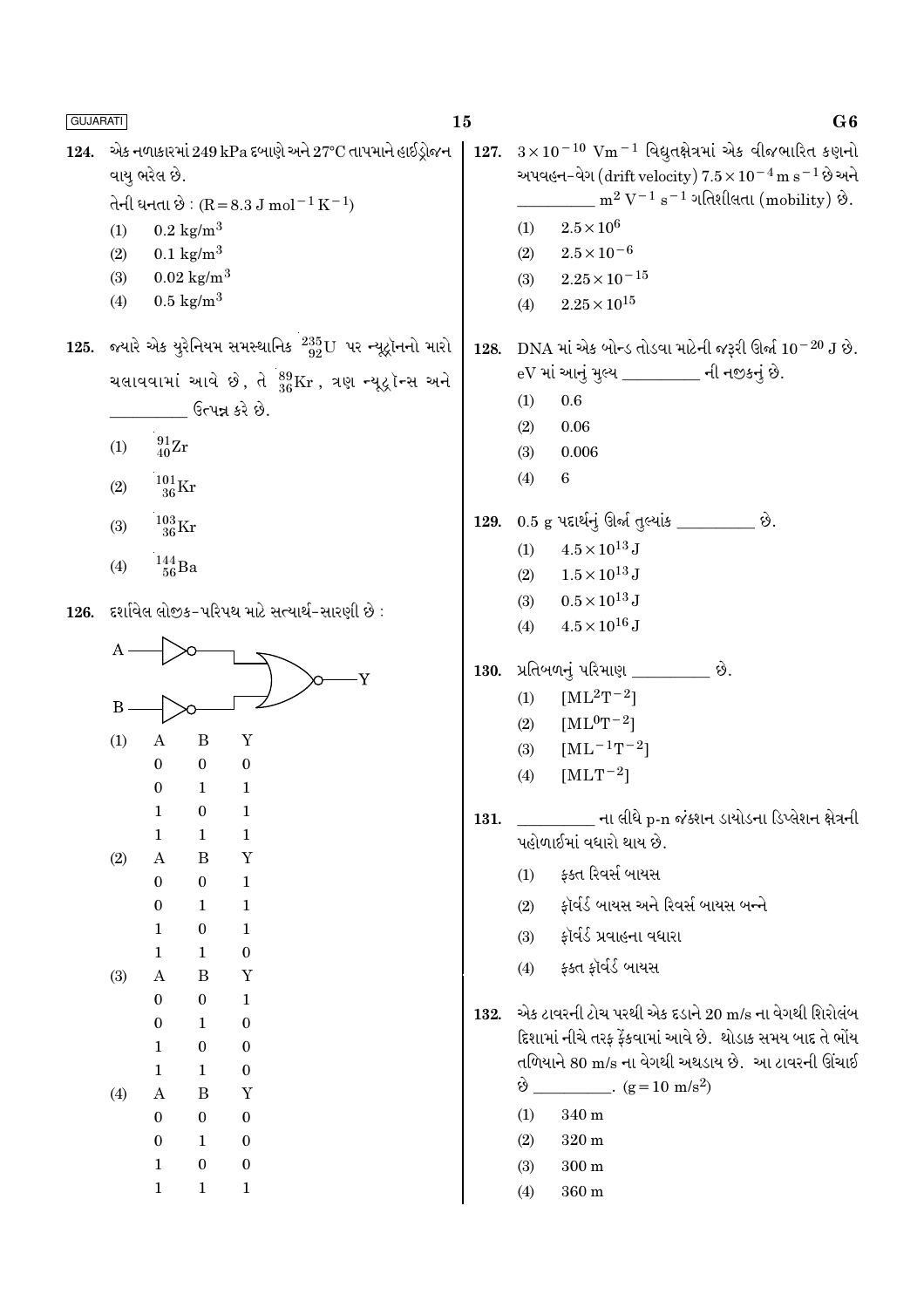| <b>GUJARATI</b> |                             |                                                                                                                                         |                                                                                                                                                              |                                                                                                                                                                     | 15           | G6                                                                                                                                                                                                                                                                                                                             |
|-----------------|-----------------------------|-----------------------------------------------------------------------------------------------------------------------------------------|--------------------------------------------------------------------------------------------------------------------------------------------------------------|---------------------------------------------------------------------------------------------------------------------------------------------------------------------|--------------|--------------------------------------------------------------------------------------------------------------------------------------------------------------------------------------------------------------------------------------------------------------------------------------------------------------------------------|
| 124.            | (1)<br>(2)<br>(3)<br>(4)    | વાયુ ભરેલ છે.                                                                                                                           | $0.2 \text{ kg/m}^3$<br>$0.1 \text{ kg/m}^3$<br>$0.02 \text{ kg/m}^3$<br>$0.5 \text{ kg/m}^3$                                                                | એક નળાકારમાં 249 kPa દબાણે અને 27°C તાપમાને હાઈડ્રોજન<br>તેની ઘનતા છે : $(R = 8.3 J \text{ mol}^{-1} \text{ K}^{-1})$                                               | 127.         | $3\times10^{-10}$ Vm <sup>-1</sup> વિદ્યુતક્ષેત્રમાં એક વીજભારિત કણનો<br>અપવહન–વેગ (drift velocity) $7.5 \times 10^{-4}$ m s <sup>-1</sup> છે અને<br>$m^2 V^{-1} s^{-1}$ ગતિશીલતા (mobility) છે.<br>$2.5 \times 10^{6}$<br>(1)<br>$2.5 \times 10^{-6}$<br>(2)<br>$2.25 \times 10^{-15}$<br>(3)<br>$2.25 \times 10^{15}$<br>(4) |
|                 | (1)<br>(2)<br>(3)           | $^{91}_{40}\text{Zr}$<br>$^{101}_{\phantom{1}36}\mathrm{Kr}$<br>$^{103}_{\phantom{1}36}\rm{Kr}$                                         |                                                                                                                                                              | 125. જ્યારે એક યુરેનિયમ સમસ્થાનિક $^{235}_{92}$ U પર ન્યૂટ્રૉનનો મારો<br>ચલાવવામાં આવે છે, તે $^{89}_{36}\text{Kr}$ , ત્રણ ન્યૂદ્રોન્સ અને<br>ઉત્પન્ન કરે છે.       | 128.<br>129. | $\,$ DNA માં એક બોન્ડ તોડવા માટેની જરૂરી ઊર્જા $10^{-20}\,{\rm J}$ છે.<br>eV માં આનું મુલ્ય _________ ની નજીકનું છે.<br>(1)<br>0.6<br>0.06<br>(2)<br>0.006<br>(3)<br>$\,6\,$<br>(4)<br>$0.5$ g પદાર્થનું ઊર્જા તુલ્યાંક _________ છે.                                                                                          |
| 126.            | (4)<br>A<br>$\bf{B}$<br>(1) | $^{144}_{\ 56}$ Ba<br>A                                                                                                                 | B                                                                                                                                                            | દર્શાવેલ લોજીક-પરિપથ માટે સત્યાર્થ-સારણી છે :<br>Y<br>$\mathbf Y$                                                                                                   | 130.         | $4.5 \times 10^{13}$ J<br>(1)<br>$1.5 \times 10^{13}$ J<br>(2)<br>$0.5 \times 10^{13}$ J<br>(3)<br>$4.5 \times 10^{16}$ J<br>(4)<br>પ્રતિબળનું પરિમાણ _________ છે.<br>$[ML^2T^{-2}]$<br>(1)<br>$[ML^{0}T^{-2}]$<br>(2)<br>$[ML^{-1}T^{-2}]$<br>(3)                                                                            |
|                 | (2)<br>(3)                  | $\mathbf{0}$<br>$\boldsymbol{0}$<br>1<br>1<br>$\boldsymbol{A}$<br>$\bf{0}$<br>$\boldsymbol{0}$<br>1<br>$\mathbf{1}$<br>$\boldsymbol{A}$ | $\mathbf{0}$<br>$\mathbf{1}$<br>$\boldsymbol{0}$<br>$\mathbf{1}$<br>$\bf{B}$<br>$\boldsymbol{0}$<br>$\mathbf{1}$<br>$\bf{0}$<br>$\mathbf{1}$<br>$\, {\bf B}$ | $\bf{0}$<br>1<br>1<br>$\mathbf 1$<br>Y<br>$\mathbf{1}$<br>$\mathbf{1}$<br>$\mathbf{1}$<br>$\boldsymbol{0}$<br>Y                                                     | 131.         | $[MLT^{-2}]$<br>(4)<br>_______ ના લીધે p-n જંક્શન ડાયોડના ડિપ્લેશન ક્ષેત્રની<br>પહોળાઈમાં વધારો થાય છે.<br>ફક્ત રિવર્સ બાયસ<br>(1)<br>ફૉર્વર્ડ બાયસ અને રિવર્સ બાયસ બન્ને<br>(2)<br>ફૉર્વર્ડ પ્રવાહના વધારા<br>(3)<br>ફક્ત ફૉર્વર્ડ બાયસ<br>(4)                                                                                |
|                 | (4)                         | $\bf{0}$<br>$\mathbf{0}$<br>1<br>$\mathbf{1}$<br>$\boldsymbol{A}$<br>$\bf{0}$<br>$\bf{0}$<br>$\mathbf 1$<br>$\mathbf{1}$                | $\boldsymbol{0}$<br>$\mathbf{1}$<br>$\boldsymbol{0}$<br>$\mathbf{1}$<br>$\bf{B}$<br>$\boldsymbol{0}$<br>$\mathbf{1}$<br>$\bf{0}$<br>$\mathbf{1}$             | $\mathbf{1}$<br>$\boldsymbol{0}$<br>$\boldsymbol{0}$<br>$\boldsymbol{0}$<br>$\mathbf Y$<br>$\boldsymbol{0}$<br>$\boldsymbol{0}$<br>$\boldsymbol{0}$<br>$\mathbf{1}$ | 132.         | એક ટાવરની ટોચ પરથી એક દડાને 20 m/s ના વેગથી શિરોલંબ<br>દિશામાં નીચે તરફ ફેંકવામાં આવે છે. થોડાક સમય બાદ તે ભોંય<br>તળિયાને 80 m/s ના વેગથી અથડાય છે.  આ ટાવરની ઊંચાઈ<br>$\dot{\vartheta}$ __________. (g = 10 m/s <sup>2</sup> )<br>(1)<br>340 m<br>320 m<br>(2)<br>$300\,\mathrm{m}$<br>(3)<br>$360\,\mathrm{m}$<br>(4)       |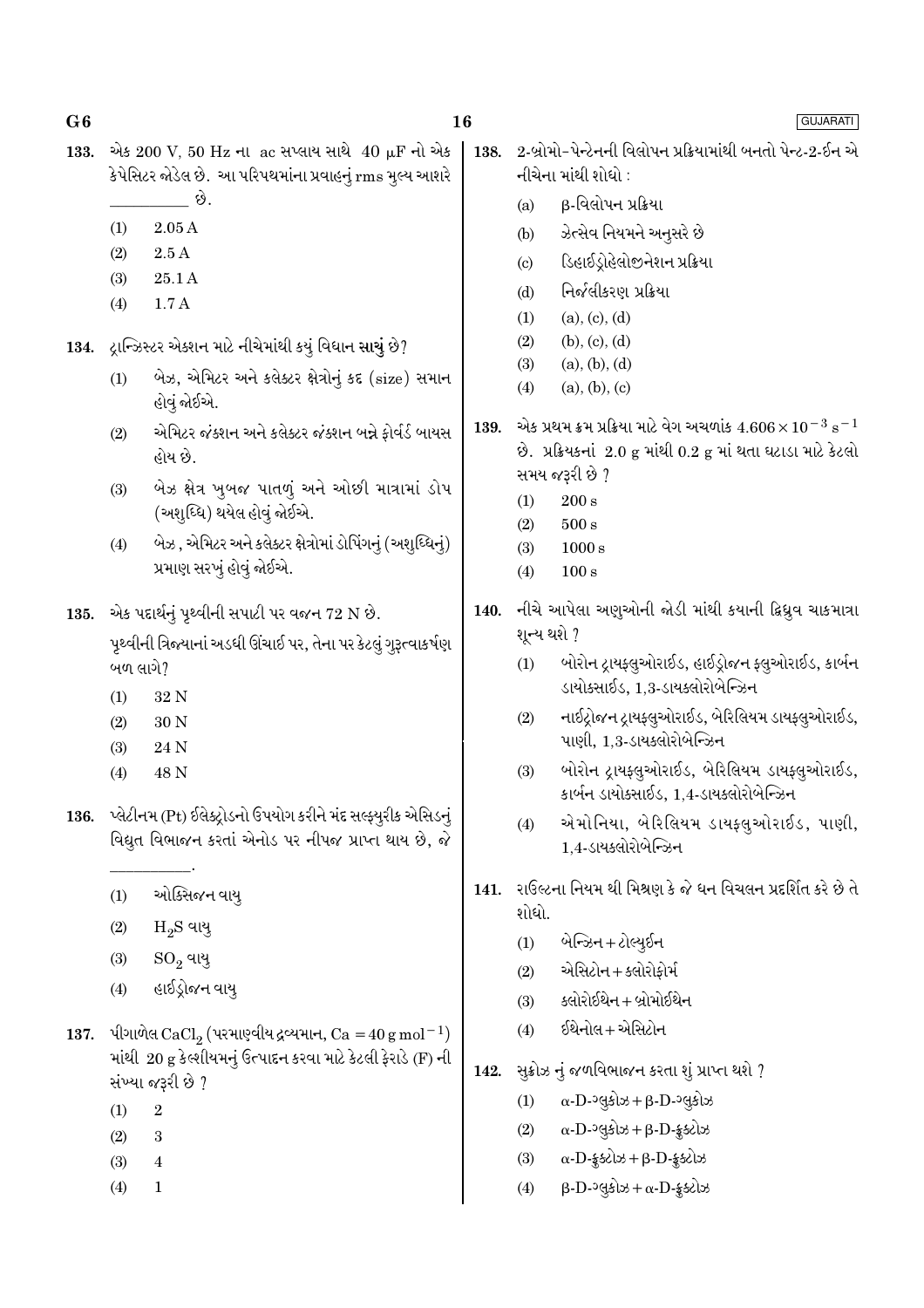- એક 200 V, 50 Hz ના ac સપ્લાય સાથે 40 µF નો એક 133. કેપેસિટર જોડેલ છે. આ પરિપથમાંના પ્રવાહનું rms મુલ્ય આશરે \_ છે.
	- $(1)$  $2.05A$
	- $2.5A$  $(2)$
	- $(3)$ 25.1A
	- $1.7A$  $(4)$
- 134. દ્રાન્ઝિસ્ટર એક્શન માટે નીચેમાંથી કયું વિધાન સાચું છે?
	- બેઝ, એમિટર અને કલેક્ટર ક્ષેત્રોનું કદ (size) સમાન  $(1)$ હોવં જોઈએ.
	- એમિટર જંક્શન અને કલેક્ટર જંક્શન બન્ને ફોર્વર્ડ બાયસ  $(2)$ હોય છે.
	- બેઝ ક્ષેત્ર ખુબજ પાતળું અને ઓછી માત્રામાં ડોપ  $(3)$ (અશુધ્ધિ) થયેલ હોવું જોઈએ.
	- બેઝ, એમિટર અને કલેક્ટર ક્ષેત્રોમાં ડોપિંગનું (અશુધ્ધિનું)  $(4)$ પ્રમાણ સરખું હોવું જોઈએ.
- 135. એક પદાર્થનું પૃથ્વીની સપાટી પર વજન 72 N છે. પૃથ્વીની ત્રિજ્યાનાં અડધી ઊંચાઈ પર, તેના પર કેટલું ગુરૂત્વાકર્ષણ બળ લાગે?
	- $(1)$ 32 N
	- $30<sub>N</sub>$  $(2)$
	- $(3)$ 24 N
	- $(4)$ 48 N
- 136. પ્લેટીનમ (Pt) ઈલેક્ટ્રોડનો ઉપયોગ કરીને મંદ સલ્ફ્યુરીક એસિડનું વિદ્યુત વિભાજન કરતાં એનોડ પર નીપજ પ્રાપ્ત થાય છે, જે
	- ઓક્સિજન વાય  $(1)$
	- $H_2S$  વાય્  $(2)$
	- $(3)$  $SO_2$  વાયુ
	- હાઈડ્રોજન વાય્  $(4)$
- 137. પીગાળેલ CaCl<sub>2</sub> (પરમાણ્વીય દ્રવ્યમાન, Ca =  $40 \text{ g mol}^{-1}$ ) માંથી 20 g કેલ્શીયમનું ઉત્પાદન કરવા માટે કેટલી ફેરાડે (F) ની સંખ્યા જરૂરી છે ?
	- $\overline{2}$  $(1)$
	- $(2)$  $\overline{3}$
	- $(3)$  $\overline{4}$
	- $(4)$  $\mathbf{1}$

2-બ્રોમો-પેન્ટેનની વિલોપન પ્રક્રિયામાંથી બનતો પેન્ટ-2-ઈન એ 138. નીચેના માંથી શોધો :

- β-વિલોપન પ્રક્રિયા  $(a)$
- ઝેત્સેવ નિયમને અનુસરે છે  $(b)$
- ડિહાઈડ્રોહેલોજીનેશન પ્રક્રિયા  $(c)$
- નિર્જલીકરણ પ્રક્રિયા  $(d)$
- $(a)$ ,  $(c)$ ,  $(d)$  $(1)$
- $(2)$  $(b), (c), (d)$
- $(3)$  $(a), (b), (d)$
- $(4)$  $(a), (b), (c)$
- એક પ્રથમ ક્રમ પ્રક્રિયા માટે વેગ અચળાંક  $4.606\times10^{-3}$   ${\rm s}^{-1}$ 139. છે. પ્રક્રિયકનાં 2.0 g માંથી 0.2 g માં થતા ઘટાડા માટે કેટલો સમય જરૂરી છે ?
	- $(1)$  $200 s$
	- $(2)$  $500 s$
	- $(3)$  $1000 s$
	- $(4)$  $100 s$
- નીચે આપેલા અણુઓની જોડી માંથી કયાની ક્રિધ્રુવ ચાકમાત્રા 140. શૂન્ય થશે ?
	- બોરોન ટ્રાયફ્લૂઓરાઈડ, હાઈડ્રોજન ફ્લૂઓરાઈડ, કાર્બન  $(1)$ ડાયોક્સાઈડ, 1,3-ડાયક્લોરોબેન્ઝિન
	- નાઈટ્રોજન ટ્રાયફ્લુઓરાઈડ, બેરિલિયમ ડાયફ્લુઓરાઈડ,  $(2)$ પાણી, 1,3-ડાયક્લોરોબેન્ઝિન
	- બોરોન દ્રાયફ્લૂઓરાઈડ, બેરિલિયમ ડાયફ્લૂઓરાઈડ,  $(3)$ કાર્બન ડાયોક્સાઈડ. 1.4-ડાયક્લોરોબેન્ઝિન
	- એમોનિયા, બેરિલિયમ ડાયફ્લુઓરાઈડ, પાણી,  $(4)$ 1.4-ડાયક્લોરોબેન્ઝિન
- 141. રાઉલ્ટના નિયમ થી મિશ્રણ કે જે ધન વિચલન પ્રદર્શિત કરે છે તે શોધો.
	- $(1)$ બેન્ઝિન + ટોલ્યૂઈન
	- એસિટોન + ક્લોરોકોર્મ  $(2)$
	- ક્લોરોઈથેન + બોમોઈથેન  $(3)$
	- ઈથેનોલ+એસિટોન  $(4)$
- સૂક્રોઝ નું જળવિભાજન કરતા શું પ્રાપ્ત થશે ? 142.
	- $\alpha$ -D- $\log$ કોઝ +  $\beta$ -D- $\log$ કોઝ  $(1)$
	- $(2)$  $\alpha$ -D- $\log 3$ b +  $\beta$ -D- $\frac{2}{3}$ selb
	- $\alpha$ -D-  $\frac{1}{2}$  selection +  $\beta$ -D- $\frac{1}{2}$ selection  $(3)$
	- $\beta$ -D- $\log 3$ b +  $\alpha$ -D- $\frac{1}{2}$ slb  $(4)$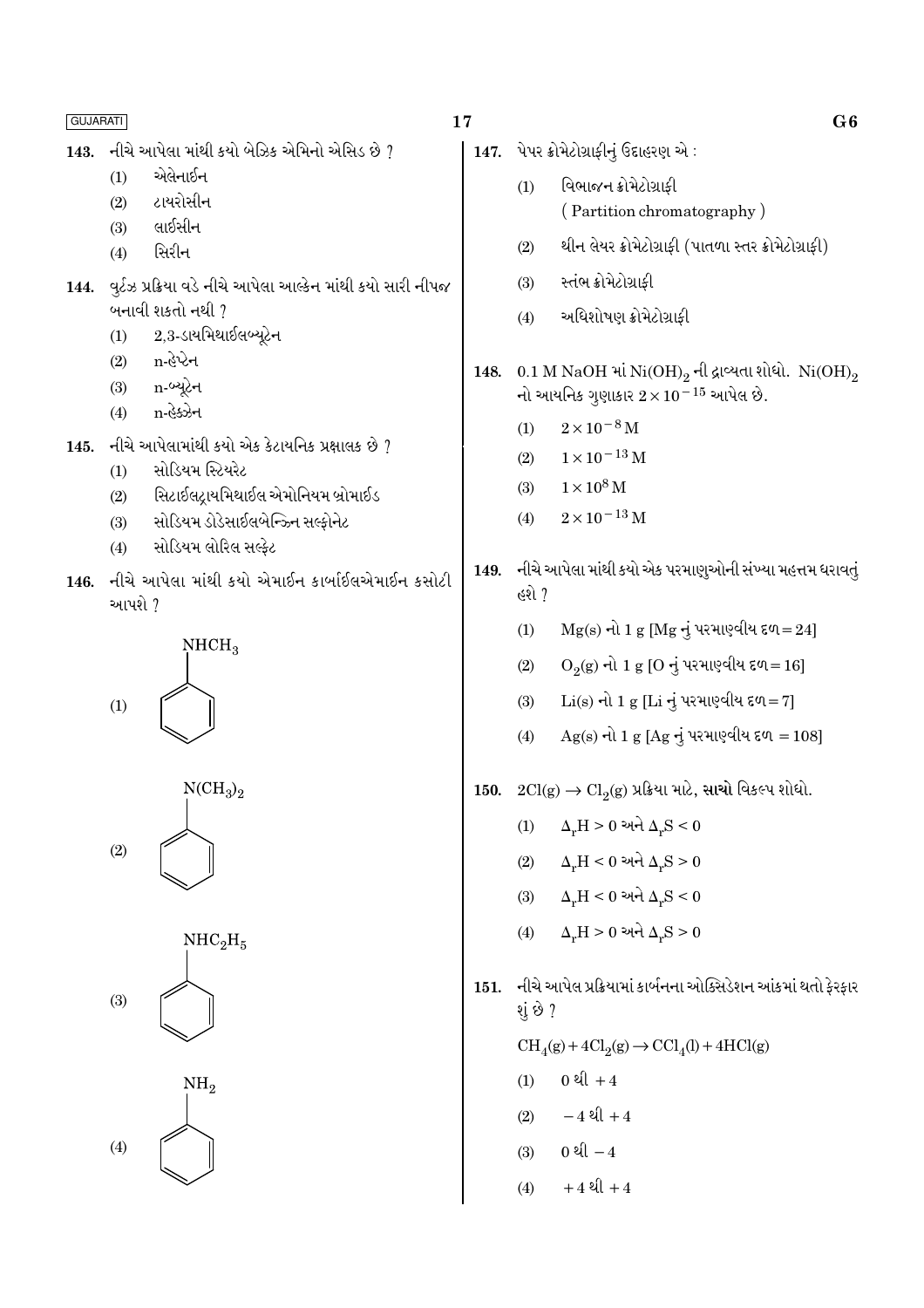- નીચે આપેલા માંથી કયો બેઝિક એમિનો એસિડ છે  $\it 7$ 143.
	- એલેનાઈન  $(1)$
	- ટાયરોસીન  $(2)$
	- લાઈસીન  $(3)$
	- સિરીન  $(4)$
- 144. વર્ટઝ પ્રક્રિયા વડે નીચે આપેલા આલ્કેન માંથી કયો સારી નીપજ બનાવી શકતો નથી ?
	- $2.3$ -ડાયમિથાઈલબ્યટેન  $(1)$
	- n-હેપ્ટેન  $(2)$
	- n-બ્યુટેન  $(3)$
	- n-હેક્ઝેન  $(4)$
- નીચે આપેલામાંથી કયો એક કેટાયનિક પ્રક્ષાલક છે ?  $145.$ 
	- મોડિયમ સ્ટિયરેટ  $(1)$
	- સિટાઈલટાયમિથાઈલ એમોનિયમ બ્રોમાઈડ  $(2)$
	- સોડિયમ ડોડેસાઈલબેન્ઝ્નિ સલ્ફોનેટ  $(3)$
	- સોડિયમ લોરિલ સલ્કેટ  $(4)$
- 146. નીચે આપેલા માંથી કયો એમાઈન કાર્બાઈલએમાઈન કસોટી આપશે ?



 $NCH<sub>3</sub>$ <sub>2</sub>  $(2)$ 





# 17

- 147. પેપર ક્રોમેટોગ્રાફીનું ઉદાહરણ એ: વિભાજન ક્રોમેટોગ્રાકી  $(1)$ 
	- (Partition chromatography)
	- થીન લેયર ક્રોમેટોગ્રાફી (પાતળા સ્તર ક્રોમેટોગ્રાફી)  $(2)$
	- સ્તંભ ક્રોમેટોગ્રાકી  $(3)$
	- અધિશોષણ ક્રોમેટોગ્રાકી  $(4)$
- 148. 0.1 M NaOH માં Ni $(OH)_2$  ની દ્રાવ્યતા શોધો. Ni $(OH)_2$ નો આયનિક ગૃણાકાર  $2 \times 10^{-15}$  આપેલ છે.
	- $2 \times 10^{-8}$  M  $(1)$
	- $1 \times 10^{-13}$  M  $(2)$
	- $1 \times 10^8$  M  $(3)$
	- $2 \times 10^{-13}$  M  $(4)$
- નીચે આપેલા માંથી કયો એક પરમાણુઓની સંખ્યા મહત્તમ ધરાવતું 149. હશે ?
	- $Mg(s)$  નો 1 g  $[Mg \rightarrow$  પરમાણ્વીય દળ=24]  $(1)$
	- $O_2(g)$  નો 1 g [O નું પરમાણ્વીય દળ=16]  $(2)$
	- $Li(s)$  નો 1 g [Li નું પરમાણ્વીય દળ=7]  $(3)$
	- $Ag(s)$  નો 1 g [Ag નું પરમાણ્વીય દળ = 108]  $(4)$
- $2\mathrm{Cl(g)} \rightarrow \mathrm{Cl}_{2}(\mathrm{g})$  પ્રક્રિયા માટે, સાચો વિકલ્પ શોધો. 150.
	- $\Delta_r H > 0$  અને  $\Delta_r S < 0$  $(1)$
	- $\Delta_r H < 0$  અને  $\Delta_r S > 0$  $(2)$
	- $\Delta_r H < 0$  અને  $\Delta_r S < 0$  $(3)$
	- $\Delta_{\nu}H > 0$  અને  $\Delta_{\nu}S > 0$  $(4)$
- નીચે આપેલ પ્રક્રિયામાં કાર્બનના ઓક્સિડેશન આંકમાં થતો ફેરફાર 151. શું છે ?  $\mathrm{CH}_4(g) + 4\mathrm{Cl}_2(g) \rightarrow \mathrm{CCl}_4(l) + 4\mathrm{HCl}(g)$ 
	- 0  $l + 4$  $(1)$
	- $-4$  थी +4  $(2)$
	- 0 थी  $-4$  $(3)$
	- $+4$   $20 + 4$  $(4)$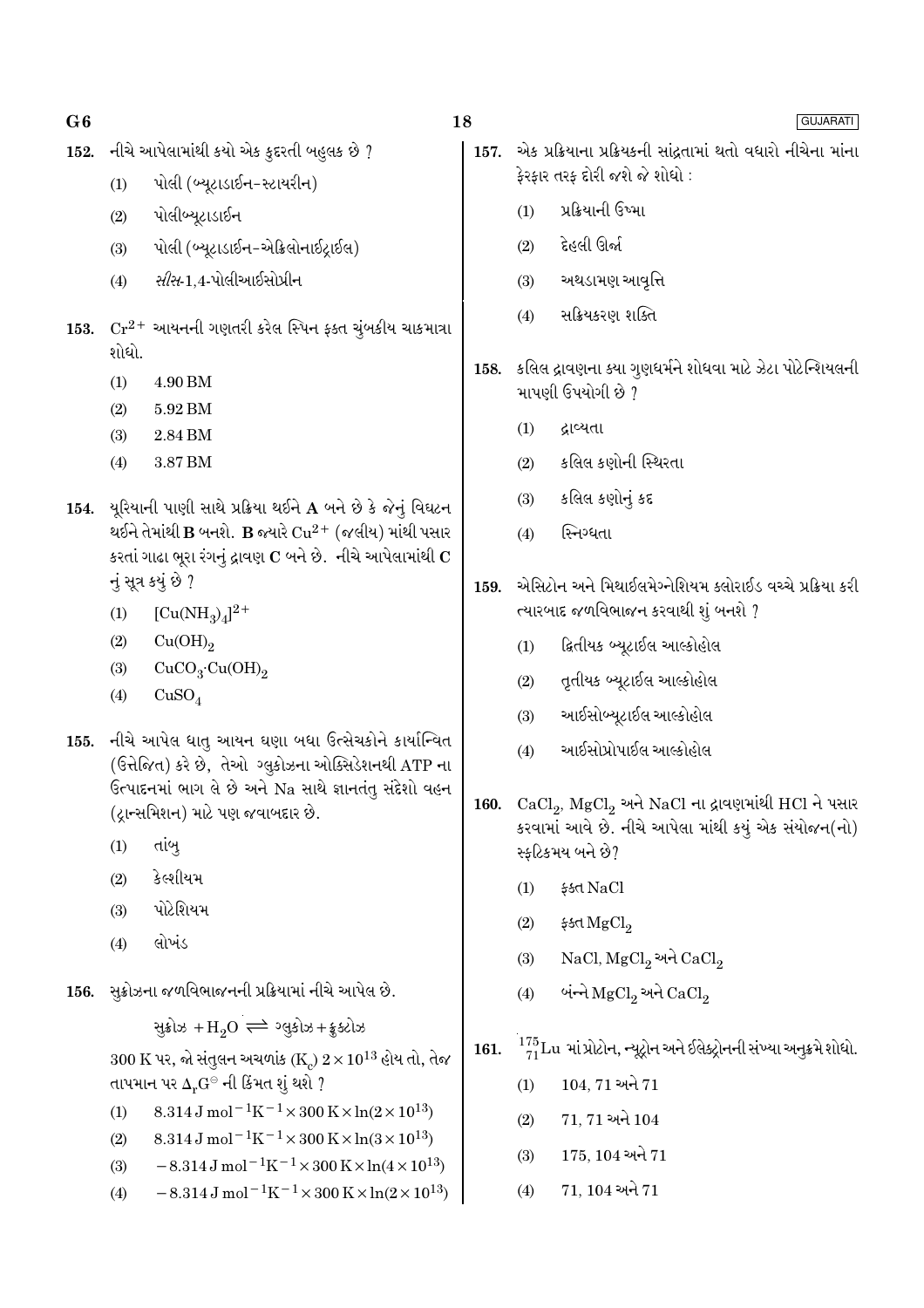#### નીચે આપેલામાંથી કયો એક કૂદરતી બહુલક છે ? 152.

- પોલી (બ્યુટાડાઈન-સ્ટાયરીન)  $(1)$
- $(2)$ પોલીબ્યુટાડાઈન
- પોલી (બ્યુટાડાઈન-એક્રિલોનાઈટાઈલ)  $(3)$
- *સીસ*-1.4-પોલીઆઈસોપ્રીન  $(4)$
- 153.  $Cr^{2+}$  આયનની ગણતરી કરેલ સ્પિન ફક્ત ચુંબકીય ચાકમાત્રા શોધો.
	- $(1)$ 4.90 BM
	- $(2)$ 5.92 BM
	- $(3)$ 2.84 BM
	- 3.87 BM  $(4)$
- 154. યુરિયાની પાણી સાથે પ્રક્રિયા થઈને  $A$  બને છે કે જેનું વિઘટન થઈને તેમાંથી  $\bf{B}$  બનશે.  $\bf{B}$  જ્યારે  $\rm Cu^{2+}$  (જલીય) માંથી પસાર કરતાં ગાઢા ભૂરા રંગનું દ્રાવણ  $\mathbf C$  બને છે. નીચે આપેલામાંથી  $\mathbf C$ નું સૂત્ર કયું છે ?
	- $[Cu(NH_3)_4]^{2+}$  $(1)$
	- $(2)$  $Cu(OH)_{2}$
	- $CuCO<sub>3</sub>·Cu(OH)<sub>2</sub>$  $(3)$
	- $CuSO<sub>4</sub>$  $(4)$
- 155. નીચે આપેલ ધાતુ આયન ઘણા બધા ઉત્સેચકોને કાર્યાન્વિત (ઉત્તેજિત) કરે છે, તેઓ ગ્લુકોઝના ઓક્સિડેશનથી ATP ના ઉત્પાદનમાં ભાગ લે છે અને Na સાથે જ્ઞાનતંતુ સંદેશો વહન (ટાન્સમિશન) માટે પણ જવાબદાર છે.
	- $(1)$ તાંબ
	- કેલ્શીયમ  $(2)$
	- પોટેશિયમ  $(3)$
	- લોખંડ  $(4)$
- 156. સુક્રોઝના જળવિભાજનની પ્રક્રિયામાં નીચે આપેલ છે.

સુક્રોઝ + $H_2O \rightleftharpoons 29.3 + 25.3$ 

 $300\ {\rm K}$  પર, જો સંતુલન અચળાંક (K)  $2\times 10^{13}$  હોય તો, તેજ તાપમાન પર  $\Delta_{\rm n} {\rm G}^{\odot}$  ની કિંમત શું થશે ?

- 8.314 J mol<sup>-1</sup>K<sup>-1</sup> × 300 K × ln(2 × 10<sup>13</sup>)  $(1)$
- $8.314 \text{ J} \text{ mol}^{-1} \text{K}^{-1} \times 300 \text{ K} \times \ln(3 \times 10^{13})$  $(2)$
- $-8.314 \,\mathrm{J}$  mol<sup>-1</sup>K<sup>-1</sup>×300 K×ln(4×10<sup>13</sup>)  $(3)$
- $-8.314 \,\mathrm{J} \,\mathrm{mol}^{-1} \mathrm{K}^{-1} \times 300 \,\mathrm{K} \times \ln(2 \times 10^{13})$  $(4)$
- 18
	- 157. એક પ્રક્રિયાના પ્રક્રિયકની સાંઢતામાં થતો વધારો નીચેના માંના ફેરફાર તરફ દોરી જશે જે શોધો :
		- પ્રક્રિયાની ઉષ્મા  $(1)$
		- $(2)$ દેહલી ઊર્જા
		- અથડામણ આવૃત્તિ  $(3)$
		- સક્રિયકરણ શક્તિ  $(4)$
	- 158. કલિલ દ્રાવણના ક્યા ગુણધર્મને શોધવા માટે ઝેટા પોટેન્શિયલની માપણી ઉપયોગી છે ?
		- દ્રાવ્યતા  $(1)$
		- કલિલ કણોની સ્થિરતા  $(2)$
		- કલિલ કણોનું કદ  $(3)$
		- સ્નિગ્ધતા  $(4)$
	- એસિટોન અને મિથાઈલમેગ્નેશિયમ ક્લોરાઈડ વચ્ચે પ્રક્રિયા કરી 159. ત્યારબાદ જળવિભાજન કરવાથી શું બનશે ?
		- દ્વિતીયક બ્યૂટાઈલ આલ્કોહોલ  $(1)$
		- તૃતીયક બ્યૂટાઈલ આલ્કોહોલ  $(2)$
		- આઈસોબ્યુટાઈલ આલ્કોહોલ  $(3)$
		- આઈસોપ્રોપાઈલ આલ્કોહોલ  $(4)$
	- 160. CaCl<sub>2</sub>, MgCl<sub>2</sub> અને NaCl ના દ્રાવણમાંથી HCl ને પસાર કરવામાં આવે છે. નીચે આપેલા માંથી કયું એક સંયોજન(નો) સ્ફટિકમય બને છે?
		- \$ধd NaCl  $(1)$
		- $(2)$ ફક્ત $MgCl<sub>2</sub>$
		- $NaCl, MgCl<sub>2</sub>$  અને  $CaCl<sub>2</sub>$  $(3)$
		- બંન્ને MgCl, અને CaCl,  $(4)$
	- 161.  $\frac{175}{71}$ Lu માં પ્રોટોન, ન્યૂટ્રોન અને ઈલેક્ટ્રોનની સંખ્યા અનુક્રમે શોધો.
		- $(1)$  104, 71 અને 71
		- 71, 71 અને 104  $(2)$
		- $175, 104$  અને  $71$  $(3)$
		- $71, 104$  અને  $71$  $(4)$

# GUJARATI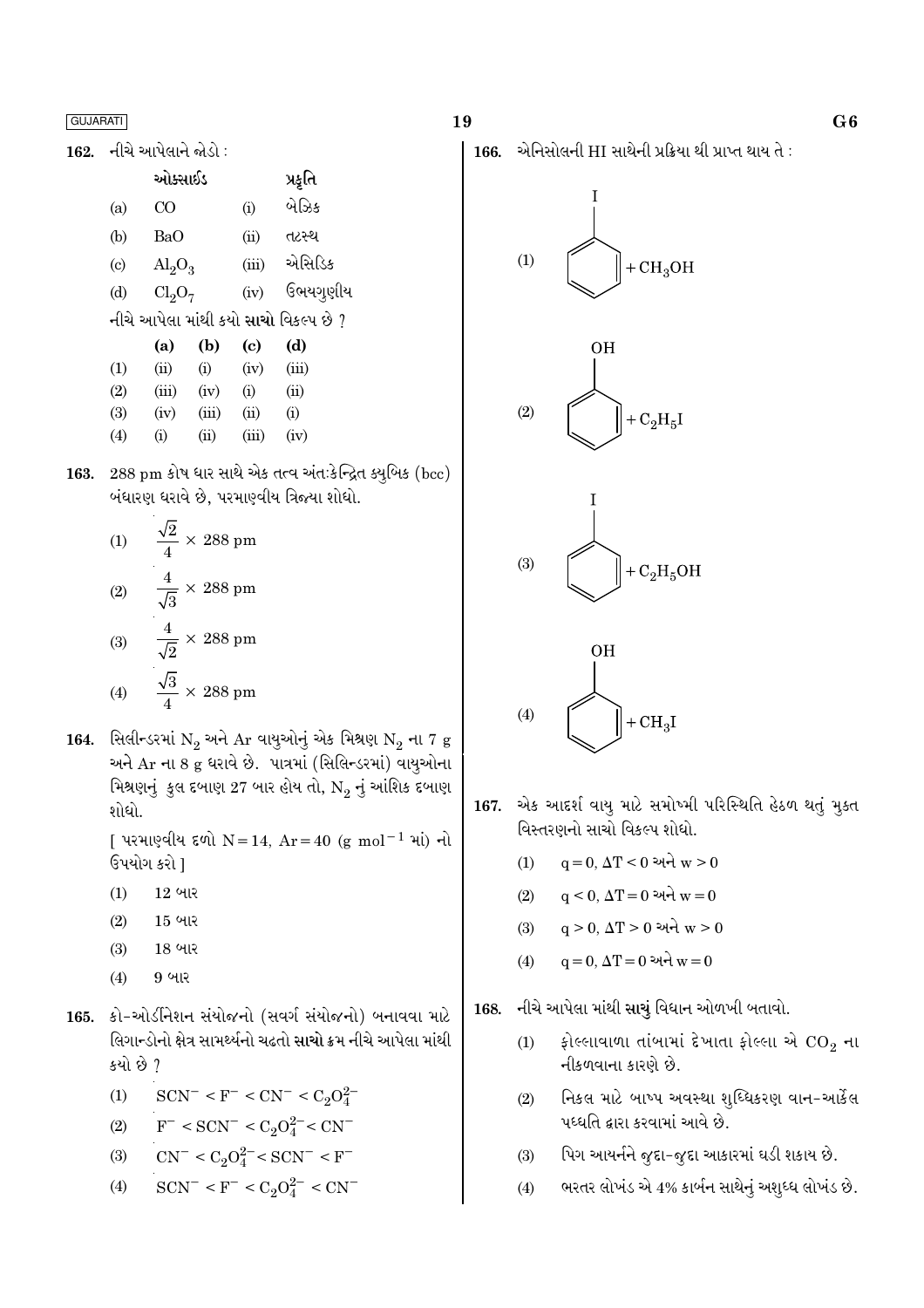162. નીચે આપેલાને જોડો :

|                                              | ઓક્સાઈડ                 |       |       | પ્રકૃતિ  |  |  |  |
|----------------------------------------------|-------------------------|-------|-------|----------|--|--|--|
| (a)                                          | CΟ                      |       | (i)   | બેઝિક    |  |  |  |
| (b)                                          | BaO                     |       | (ii)  | તટસ્થ    |  |  |  |
| $\left( \mathrm{c}\right)$                   | $\text{Al}_2\text{O}_3$ |       | (iii) | એસિડિક   |  |  |  |
| (d)                                          | $Cl_2O_7$               |       | (iv)  | ઉભયગૃણીય |  |  |  |
| નીચે આપેલા માંથી કયો <b>સાચો</b> વિકલ્પ છે ? |                         |       |       |          |  |  |  |
|                                              |                         |       |       |          |  |  |  |
|                                              | (a)                     | (b)   | (c)   | (d)      |  |  |  |
| (1)                                          | (ii)                    | (i)   | (iv)  | (iii)    |  |  |  |
| (2)                                          | (iii)                   | (iv)  | (i)   | (ii)     |  |  |  |
| (3)                                          | (iv)                    | (iii) | (ii)  | (i)      |  |  |  |
| (4)                                          | $\rm(i)$                | (i)   | (iii) | (iv)     |  |  |  |

163. 288 pm કોષ ધાર સાથે એક તત્વ અંત:કેન્દ્રિત ક્યુબિક (bcc) બંધારણ ધરાવે છે, પરમાણ્વીય ત્રિજ્યા શોધો.

(1) 
$$
\frac{\sqrt{2}}{4} \times 288 \text{ pm}
$$
  
(2) 
$$
\frac{4}{\sqrt{3}} \times 288 \text{ pm}
$$
  
(3) 
$$
\frac{4}{\sqrt{2}} \times 288 \text{ pm}
$$
  
(4) 
$$
\frac{\sqrt{3}}{4} \times 288 \text{ pm}
$$

164. સિલીન્ડરમાં  $N_2$  અને Ar વાયુઓનું એક મિશ્રણ  $N_2$  ના 7 g અને Ar ના 8 g ધરાવે છે. પાત્રમાં (સિલિન્ડરમાં) વાયુઓના મિશ્રણનું કુલ દબાણ 27 બાર હોય તો, N<sub>2</sub> નું આંશિક દબાણ શોધો.

> [ પરમાણ્વીય દળો N = 14, Ar = 40 (g mol<sup>-1</sup> માં) નો ઉપયોગ કરો 1

- 12 બાર  $(1)$
- $15$  બાર  $(2)$
- $(3)$ 18 બાર
- 9 બાર  $(4)$
- 165. કો-ઓર્ડીનેશન સંયોજનો (સવર્ગ સંયોજનો) બનાવવા માટે લિગાન્ડોનો ક્ષેત્ર સામર્થ્યનો ચઢતો <mark>સાચો</mark> ક્રમ નીચે આપેલા માંથી કયો છે ?

(1) 
$$
SCN^{-} < F^{-} < CN^{-} < C_2O_4^{2-}
$$

(2) 
$$
F^- < SCN^- < C_2O_4^{2-} < CN^-
$$

(3) 
$$
CN^{-} < C_2O_4^{2-} < SCN^{-} < F^{-}
$$

 $SCN^- < F^- < C_2O_4^{2-} < CN^ (4)$ 

19

 $166.$  એનિસોલની HI સાથેની પ્રક્રિયા થી પ્રાપ્ત થાય તે:









- 167. એક આદર્શ વાયુ માટે સમોખ્મી પરિસ્થિતિ હેઠળ થતું મુક્ત વિસ્તરણનો સાચો વિકલ્પ શોધો.
	- $\mathbf{q} = 0, \, \Delta \mathbf{T} \leq 0$ અને  $\mathbf{w} \geq 0$  $(1)$
	- $q < 0$ ,  $\Delta T = 0$  અને  $w = 0$  $(2)$
	- $q > 0$ ,  $\Delta T > 0$  અને  $w > 0$  $(3)$
	- $q = 0$ ,  $\Delta T = 0$  અને  $w = 0$  $(4)$

#### નીચે આપેલા માંથી સાચું વિધાન ઓળખી બતાવો. 168.

- ફોલ્લાવાળા તાંબામાં દેખાતા ફોલ્લા એ  $\mathrm{CO}_2$  ના  $(1)$ નીકળવાના કારણે છે.
- નિકલ માટે બાષ્પ અવસ્થા શૃધ્ધિકરણ વાન-આર્કેલ  $(2)$ પધ્ધતિ દ્વારા કરવામાં આવે છે.
- પિગ આયર્નને જુદા-જુદા આકારમાં ઘડી શકાય છે.  $(3)$
- ભરતર લોખંડ એ 4% કાર્બન સાથેનું અશુધ્ધ લોખંડ છે.  $(4)$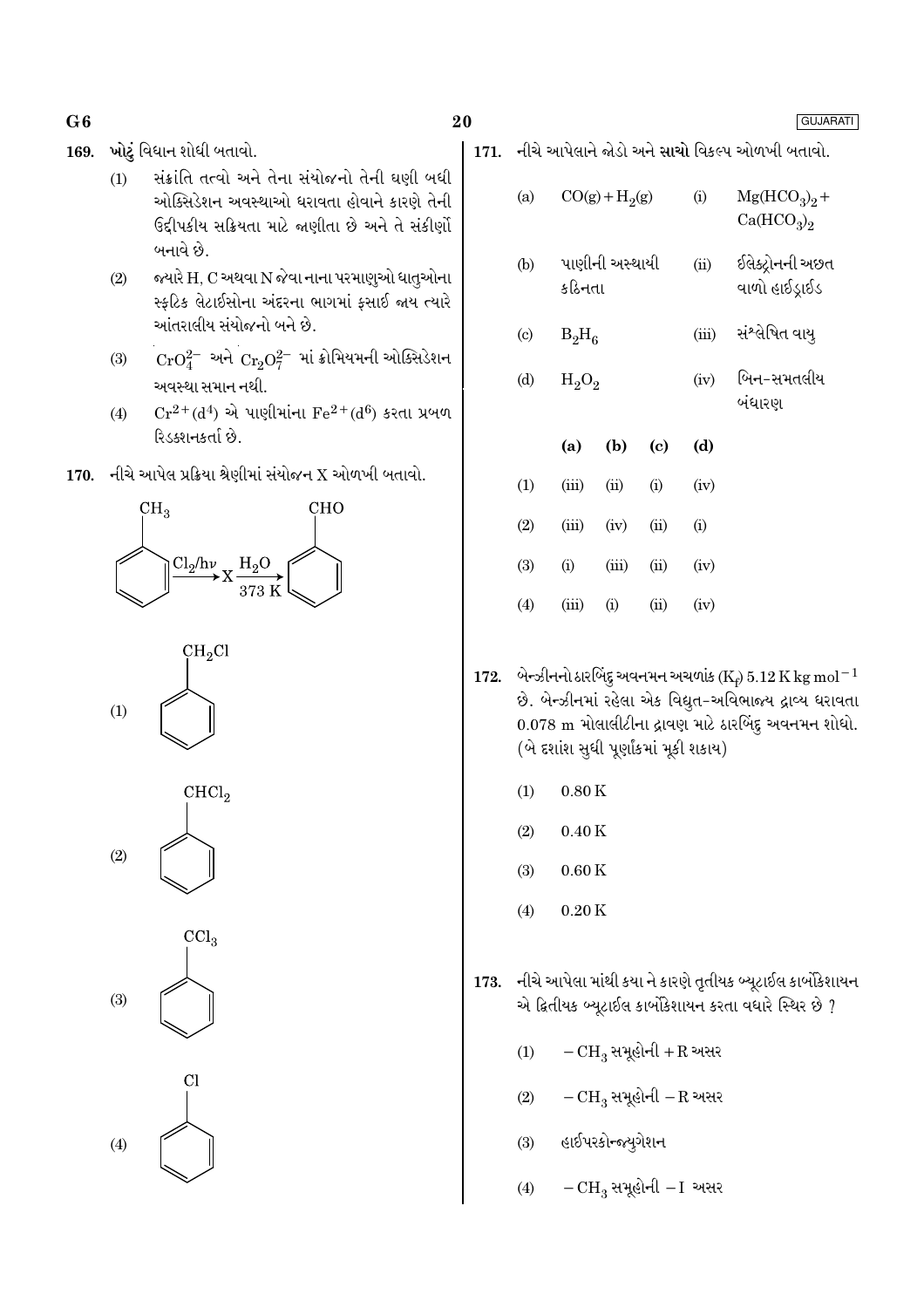ખોટું વિધાન શોધી બતાવો. 169.

- સંક્રાંતિ તત્વો અને તેના સંયોજનો તેની ઘણી બધી  $(1)$ ઓક્સિડેશન અવસ્થાઓ ધરાવતા હોવાને કારણે તેની ઉદ્દીપકીય સક્રિયતા માટે જણીતા છે અને તે સંકીર્ણો બનાવે છે.
- જ્યારે H, C અથવા N જેવા નાના પરમાણુઓ ધાતુઓના  $(2)$ સ્ફટિક લેટાઈસોના અંદરના ભાગમાં ફસાઈ જાય ત્યારે આંતરાલીય સંયોજનો બને છે.
- ${\rm CrO}_4^{2-}$  અને  ${\rm Cr}_2{\rm O}_7^{2-}$  માં ક્રોમિયમની ઓક્સિડેશન  $(3)$ અવસ્થા સમાન નથી.
- $Cr^{2+}(d^4)$  એ પાણીમાંના  $Fe^{2+}(d^6)$  કરતા પ્રબળ  $(4)$ રિડક્શનકર્તા છે.
- 170. નીચે આપેલ પ્રક્રિયા શ્રેણીમાં સંયોજન $X$  ઓળખી બતાવો.











GUJARATI

171. નીચે આપેલાને જોડો અને સાચો વિકલ્પ ઓળખી બતાવો.

| (a)                       |          | $CO(g) + H2(g)$ |      | (i)   | $Mg(HCO_3)_2 +$<br>Ca(HCO <sub>3</sub> ) <sub>2</sub> |
|---------------------------|----------|-----------------|------|-------|-------------------------------------------------------|
| (b)                       | કઠિનતા   | પાણીની અસ્થાયી  |      | (ii)  | ઈલેક્ટ્રોનની અછત<br>વાળો હાઈડ્રાઈડ                    |
| $\left( \text{c} \right)$ | $B_2H_6$ |                 |      | (iii) | સંશ્લેષિત વાયુ                                        |
| (d)                       | $H_2O_2$ |                 |      | (iv)  | બિન-સમતલીય<br>બંધારણ                                  |
|                           | (a)      | (b)             | (c)  | (d)   |                                                       |
| (1)                       | (iii)    | (ii)            | (i)  | (iv)  |                                                       |
| (2)                       | (iii)    | (iv)            | (ii) | (i)   |                                                       |
| (3)                       | (i)      | (iii)           | (ii) | (iv)  |                                                       |
| (4)                       |          |                 |      |       |                                                       |

- 172. બેન્ઝીનનો ઠારબિંદુ અવનમન અચળાંક (K<sub>t</sub>) 5.12 K kg mol<sup>-1</sup> છે. બેન્ઝીનમાં રહેલા એક વિદ્યુત-અવિભાજ્ય દ્રાવ્ય ધરાવતા 0.078 m મોલાલીટીના દ્રાવણ માટે ઠારબિંદુ અવનમન શોધો. (બે દર્શાશ સુધી પૂર્ણાંકમાં મૂકી શકાય)
	- $(1)$  $0.80K$
	- $(2)$  $0.40K$
	- $(3)$  $0.60K$
	- $0.20K$  $(4)$
- નીચે આપેલા માંથી કયા ને કારણે તૃતીયક બ્યૂટાઈલ કાર્બોકેશાયન 173. એ દ્વિતીયક બ્યૂટાઈલ કાર્બોકેશાયન કરતા વધારે સ્થિર છે ?
	- $-CH_3$  સમૂહોની + R અસર  $(1)$
	- $-CH_3$  સમૂહોની  $-R$  અસર  $(2)$
	- હાઈપરકોન્જ્યુગેશન  $(3)$
	- $-CH_3$  સમૂહોની  $-I$  અસર  $(4)$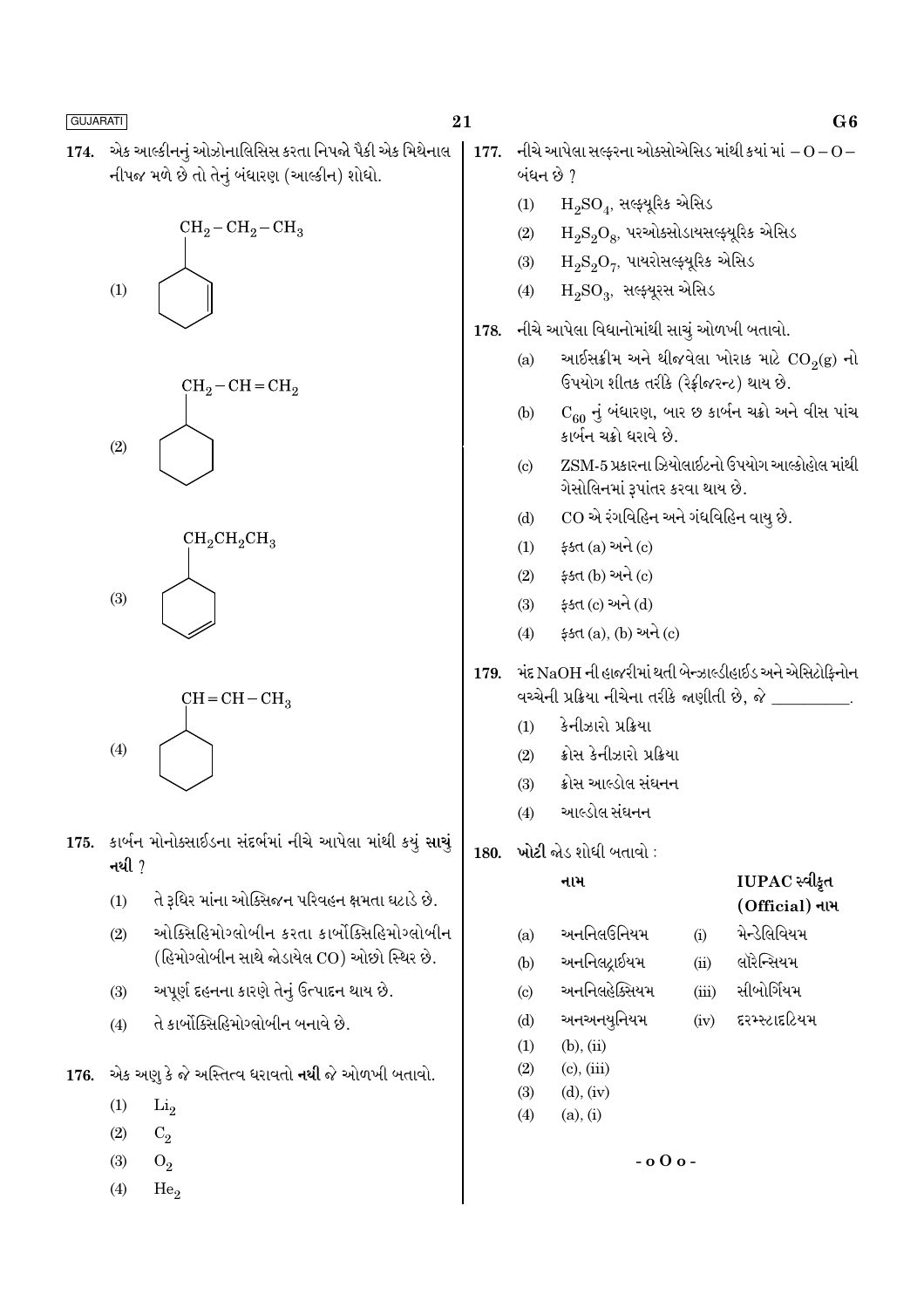એક આલ્કીનનું ઓઝોનાલિસિસ કરતા નિપજો પૈકી એક મિથેનાલ 174. નીપજ મળે છે તો તેનું બંધારણ (આલ્કીન) શોધો.









- 175. કાર્બન મોનોક્સાઈડના સંદર્ભમાં નીચે આપેલા માંથી કયું સાચું નથી  $<sup>7</sup>$ </sup>
	- તે રૂધિર માંના ઓક્સિજન પરિવહન ક્ષમતા ઘટાડે છે.  $(1)$
	- ઓક્સિહિમોગ્લોબીન કરતા કાર્બોક્સિહિમોગ્લોબીન  $(2)$ (હિમોગ્લોબીન સાથે જોડાયેલ CO) ઓછો સ્થિર છે.
	- અપૂર્ણ દહનના કારણે તેનું ઉત્પાદન થાય છે.  $(3)$
	- તે કાર્બોક્સિહિમોગ્લોબીન બનાવે છે.  $(4)$

એક અણુ કે જે અસ્તિત્વ ધરાવતો **નથી** જે ઓળખી બતાવો. 176.

- $(1)$  $Li<sub>2</sub>$
- $(2)$  $C_2$
- $(3)$  $O_2$
- $(4)$ He.

21

- નીચે આપેલા સલ્કરના ઓક્સોએસિડ માંથી કયાં માં $-O$   $O-$ 177. બંધન છે ?
	- $H_2SO_4$ , સલ્ફ્યુરિક એસિડ  $(1)$
	- $H_9S_9O_8$ , પરઓક્સોડાયસલ્ફ્યૂરિક એસિડ  $(2)$
	- $\text{H}_{2}\text{S}_{2}\text{O}_{7}$ , પાયરોસલ્ફ્યૂરિક એસિડ  $(3)$
	- $H_2SO_3$ , સલ્ફ્યૂરસ એસિડ  $(4)$
- નીચે આપેલા વિધાનોમાંથી સાચું ઓળખી બતાવો. 178.
	- આઈસક્રીમ અને થીજવેલા ખોરાક માટે  $CO_2(g)$  નો  $(a)$ ઉપયોગ શીતક તરીકે (રેક્રીજરન્ટ) થાય છે.
	- $C_{60}$  નું બંધારણ, બાર છ કાર્બન ચક્રો અને વીસ પાંચ  $(b)$ .<br>કાર્બન ચક્રો ધરાવે છે.
	- ZSM-5 પ્રકારના ઝિયોલાઈટનો ઉપયોગ આલ્કોહોલ માંથી  $\left( \mathrm{e}\right)$ ગેસોલિનમાં રૂપાંતર કરવા થાય છે.
	- CO એ રંગવિહિન અને ગંધવિહિન વાયૂ છે.  $(d)$
	- ફક્ત $(a)$  અને $(c)$  $(1)$
	- ફક્ત (b) અને (c)  $(2)$
	- ફક્ત (c) અને (d)  $(3)$
	- ફક્ત (a), (b) અને (c)  $(4)$
- મંદ NaOH ની હાજરીમાં થતી બેન્ઝાલ્ડીહાઈડ અને એસિટોકિનોન 179. વચ્ચેની પ્રક્રિયા નીચેના તરીકે જાણીતી છે, જે \_\_\_\_\_\_\_\_\_.
	- કેનીઝારો પ્રક્રિયા  $(1)$
	- ક્રોસ કેનીઝારો પ્રક્રિયા  $(2)$
	- ક્રોસ આલ્ડોલ સંઘનન  $(3)$
	- આલ્ડોલ સંઘનન  $(4)$
- 180. ખોટી જોડ શોધી બતાવો :

નામ

# IUPAC સ્વીકૃત (Official) નામ

<u> भेन्डेलिवियभ</u>

લૉરેન્સિયમ

સીબોર્ગિયમ

દરમ્સ્ટાદટિયમ

 $(i)$ 

 $(ii)$ 

 $(iii)$ 

 $(iv)$ 

- અનનિલઉનિયમ  $(a)$
- અનનિલદ્રાઈયમ  $(b)$
- અનનિલહેક્સિયમ  $(c)$
- અનઅનયનિયમ  $(d)$
- $(b)$ ,  $(ii)$  $(1)$
- $(2)$  $(c)$ ,  $(iii)$
- $(3)$  $(d)$ ,  $(iv)$
- $(4)$  $(a), (i)$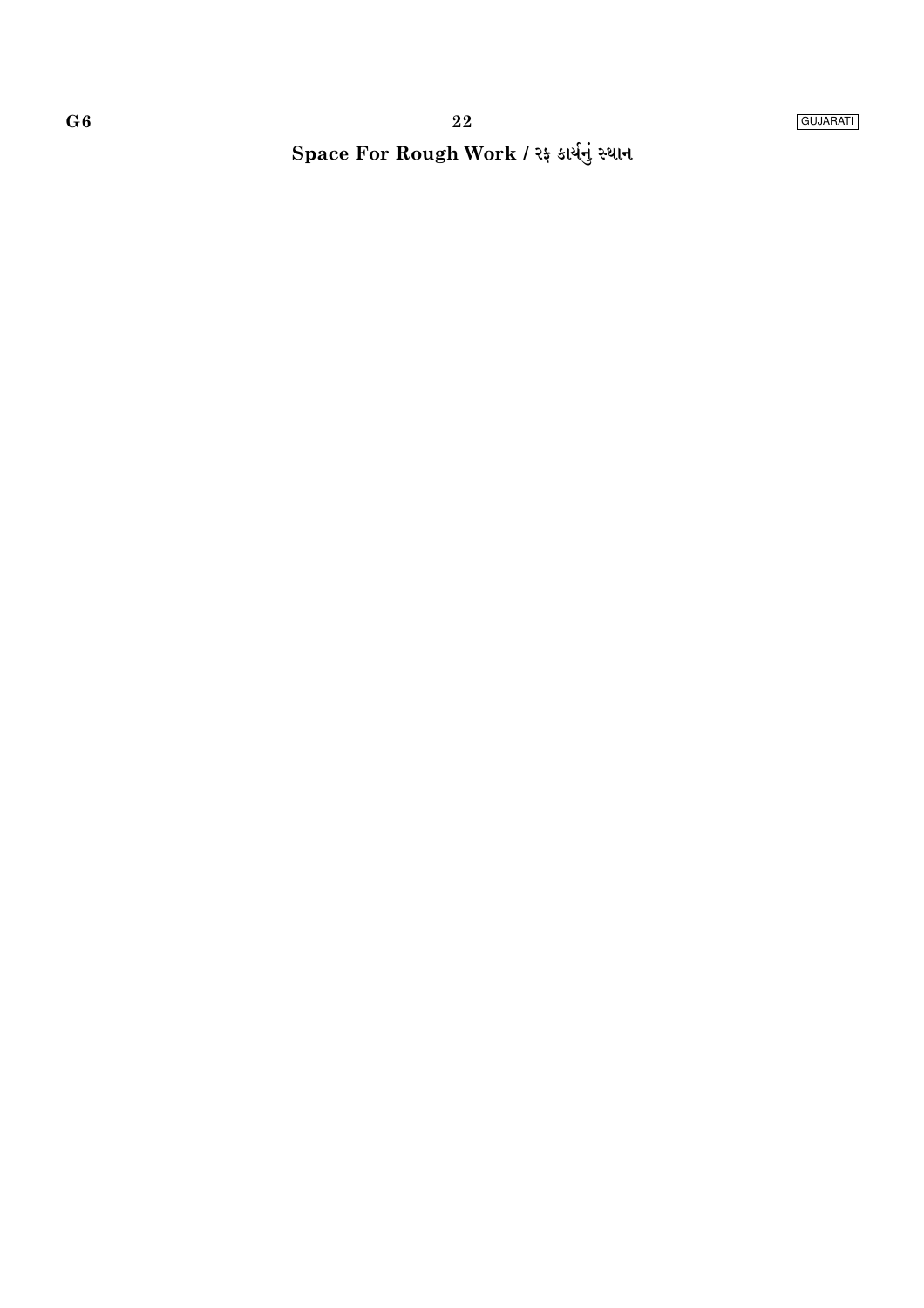# Space For Rough Work / રફ કાર્યનું સ્થાન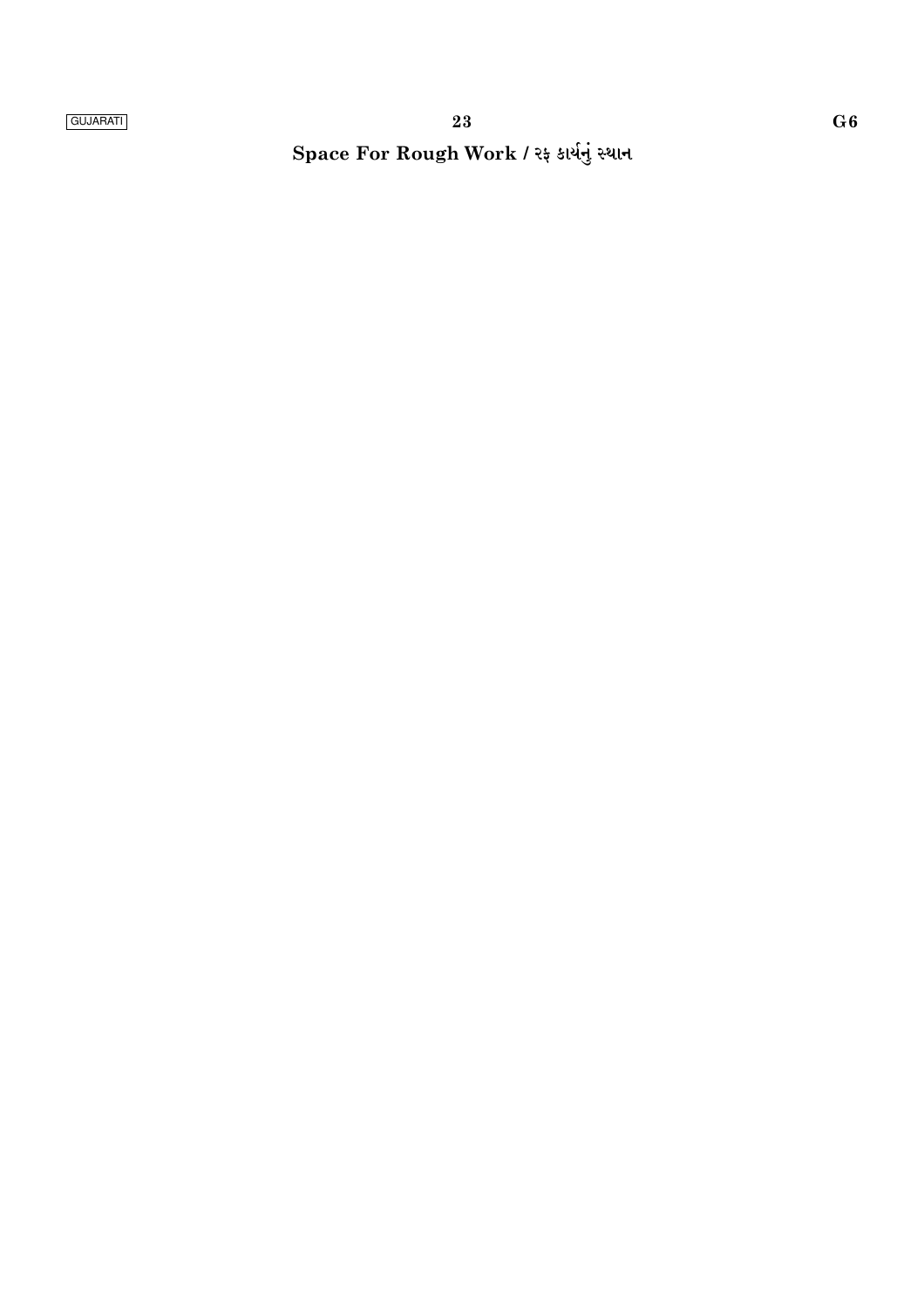Space For Rough Work / રફ કાર્યનું સ્થાન